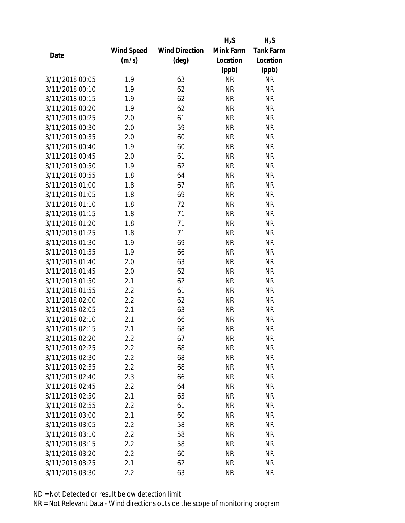|                 |            |                       | $H_2S$    | $H_2S$           |
|-----------------|------------|-----------------------|-----------|------------------|
|                 | Wind Speed | <b>Wind Direction</b> | Mink Farm | <b>Tank Farm</b> |
| Date            | (m/s)      | $(\text{deg})$        | Location  | Location         |
|                 |            |                       | (ppb)     | (ppb)            |
| 3/11/2018 00:05 | 1.9        | 63                    | <b>NR</b> | <b>NR</b>        |
| 3/11/2018 00:10 | 1.9        | 62                    | <b>NR</b> | <b>NR</b>        |
| 3/11/2018 00:15 | 1.9        | 62                    | <b>NR</b> | <b>NR</b>        |
| 3/11/2018 00:20 | 1.9        | 62                    | <b>NR</b> | <b>NR</b>        |
| 3/11/2018 00:25 | 2.0        | 61                    | <b>NR</b> | <b>NR</b>        |
| 3/11/2018 00:30 | 2.0        | 59                    | <b>NR</b> | <b>NR</b>        |
| 3/11/2018 00:35 | 2.0        | 60                    | <b>NR</b> | <b>NR</b>        |
| 3/11/2018 00:40 | 1.9        | 60                    | <b>NR</b> | <b>NR</b>        |
| 3/11/2018 00:45 | 2.0        | 61                    | <b>NR</b> | <b>NR</b>        |
| 3/11/2018 00:50 | 1.9        | 62                    | <b>NR</b> | <b>NR</b>        |
| 3/11/2018 00:55 | 1.8        | 64                    | <b>NR</b> | <b>NR</b>        |
| 3/11/2018 01:00 | 1.8        | 67                    | <b>NR</b> | <b>NR</b>        |
| 3/11/2018 01:05 | 1.8        | 69                    | <b>NR</b> | <b>NR</b>        |
| 3/11/2018 01:10 | 1.8        | 72                    | <b>NR</b> | <b>NR</b>        |
| 3/11/2018 01:15 | 1.8        | 71                    | <b>NR</b> | <b>NR</b>        |
| 3/11/2018 01:20 | 1.8        | 71                    | <b>NR</b> | <b>NR</b>        |
| 3/11/2018 01:25 | 1.8        | 71                    | <b>NR</b> | <b>NR</b>        |
| 3/11/2018 01:30 | 1.9        | 69                    | <b>NR</b> | <b>NR</b>        |
| 3/11/2018 01:35 | 1.9        | 66                    | <b>NR</b> | <b>NR</b>        |
| 3/11/2018 01:40 | 2.0        | 63                    | <b>NR</b> | <b>NR</b>        |
| 3/11/2018 01:45 | 2.0        | 62                    | <b>NR</b> | <b>NR</b>        |
| 3/11/2018 01:50 | 2.1        | 62                    | <b>NR</b> | <b>NR</b>        |
| 3/11/2018 01:55 | 2.2        | 61                    | <b>NR</b> | <b>NR</b>        |
| 3/11/2018 02:00 | 2.2        | 62                    | <b>NR</b> | <b>NR</b>        |
| 3/11/2018 02:05 | 2.1        | 63                    | <b>NR</b> | <b>NR</b>        |
| 3/11/2018 02:10 | 2.1        | 66                    | <b>NR</b> | <b>NR</b>        |
| 3/11/2018 02:15 | 2.1        | 68                    | <b>NR</b> | <b>NR</b>        |
| 3/11/2018 02:20 | 2.2        | 67                    | NR        | <b>NR</b>        |
| 3/11/2018 02:25 | 2.2        | 68                    | <b>NR</b> | <b>NR</b>        |
| 3/11/2018 02:30 | 2.2        | 68                    | NR        | <b>NR</b>        |
| 3/11/2018 02:35 | 2.2        | 68                    | <b>NR</b> | <b>NR</b>        |
| 3/11/2018 02:40 | 2.3        | 66                    | <b>NR</b> | <b>NR</b>        |
| 3/11/2018 02:45 | 2.2        | 64                    | NR        | <b>NR</b>        |
| 3/11/2018 02:50 | 2.1        | 63                    | <b>NR</b> | <b>NR</b>        |
| 3/11/2018 02:55 | 2.2        | 61                    | NR        | <b>NR</b>        |
| 3/11/2018 03:00 | 2.1        | 60                    | <b>NR</b> | <b>NR</b>        |
| 3/11/2018 03:05 |            | 58                    |           |                  |
|                 | 2.2        |                       | NR        | <b>NR</b>        |
| 3/11/2018 03:10 | 2.2        | 58                    | ΝR        | <b>NR</b>        |
| 3/11/2018 03:15 | 2.2        | 58                    | <b>NR</b> | <b>NR</b>        |
| 3/11/2018 03:20 | 2.2        | 60                    | NR        | <b>NR</b>        |
| 3/11/2018 03:25 | 2.1        | 62                    | <b>NR</b> | <b>NR</b>        |
| 3/11/2018 03:30 | 2.2        | 63                    | <b>NR</b> | <b>NR</b>        |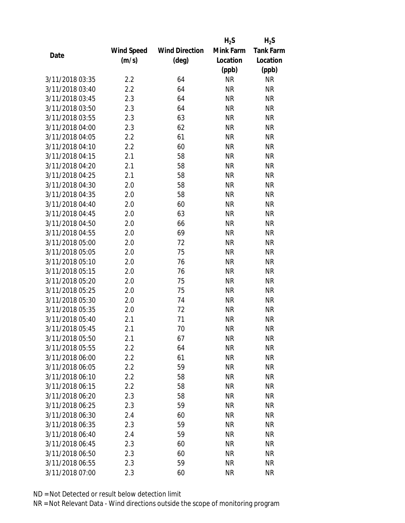|                 |            |                       | $H_2S$    | $H_2S$           |
|-----------------|------------|-----------------------|-----------|------------------|
|                 | Wind Speed | <b>Wind Direction</b> | Mink Farm | <b>Tank Farm</b> |
| Date            | (m/s)      | $(\text{deg})$        | Location  | Location         |
|                 |            |                       | (ppb)     | (ppb)            |
| 3/11/2018 03:35 | 2.2        | 64                    | <b>NR</b> | <b>NR</b>        |
| 3/11/2018 03:40 | 2.2        | 64                    | <b>NR</b> | <b>NR</b>        |
| 3/11/2018 03:45 | 2.3        | 64                    | <b>NR</b> | <b>NR</b>        |
| 3/11/2018 03:50 | 2.3        | 64                    | <b>NR</b> | <b>NR</b>        |
| 3/11/2018 03:55 | 2.3        | 63                    | <b>NR</b> | <b>NR</b>        |
| 3/11/2018 04:00 | 2.3        | 62                    | <b>NR</b> | <b>NR</b>        |
| 3/11/2018 04:05 | 2.2        | 61                    | <b>NR</b> | <b>NR</b>        |
| 3/11/2018 04:10 | 2.2        | 60                    | <b>NR</b> | <b>NR</b>        |
| 3/11/2018 04:15 | 2.1        | 58                    | <b>NR</b> | <b>NR</b>        |
| 3/11/2018 04:20 | 2.1        | 58                    | <b>NR</b> | <b>NR</b>        |
| 3/11/2018 04:25 | 2.1        | 58                    | <b>NR</b> | <b>NR</b>        |
| 3/11/2018 04:30 | 2.0        | 58                    | <b>NR</b> | <b>NR</b>        |
| 3/11/2018 04:35 | 2.0        | 58                    | <b>NR</b> | <b>NR</b>        |
| 3/11/2018 04:40 | 2.0        | 60                    | <b>NR</b> | <b>NR</b>        |
| 3/11/2018 04:45 | 2.0        | 63                    | <b>NR</b> | <b>NR</b>        |
| 3/11/2018 04:50 | 2.0        | 66                    | <b>NR</b> | <b>NR</b>        |
| 3/11/2018 04:55 | 2.0        | 69                    | <b>NR</b> | <b>NR</b>        |
| 3/11/2018 05:00 | 2.0        | 72                    | <b>NR</b> | <b>NR</b>        |
| 3/11/2018 05:05 | 2.0        | 75                    | <b>NR</b> | <b>NR</b>        |
| 3/11/2018 05:10 | 2.0        | 76                    | <b>NR</b> | <b>NR</b>        |
| 3/11/2018 05:15 | 2.0        | 76                    | <b>NR</b> | <b>NR</b>        |
| 3/11/2018 05:20 | 2.0        | 75                    | <b>NR</b> | <b>NR</b>        |
| 3/11/2018 05:25 | 2.0        | 75                    | <b>NR</b> | <b>NR</b>        |
| 3/11/2018 05:30 | 2.0        | 74                    | <b>NR</b> | <b>NR</b>        |
| 3/11/2018 05:35 | 2.0        | 72                    | <b>NR</b> | <b>NR</b>        |
| 3/11/2018 05:40 | 2.1        | 71                    | <b>NR</b> | <b>NR</b>        |
| 3/11/2018 05:45 | 2.1        | 70                    | <b>NR</b> | <b>NR</b>        |
| 3/11/2018 05:50 | 2.1        | 67                    | ΝR        | <b>NR</b>        |
| 3/11/2018 05:55 | 2.2        | 64                    | <b>NR</b> | <b>NR</b>        |
| 3/11/2018 06:00 | 2.2        | 61                    | NR        | <b>NR</b>        |
| 3/11/2018 06:05 | 2.2        | 59                    | <b>NR</b> | <b>NR</b>        |
| 3/11/2018 06:10 | 2.2        | 58                    | <b>NR</b> | <b>NR</b>        |
| 3/11/2018 06:15 | 2.2        | 58                    | NR        | <b>NR</b>        |
| 3/11/2018 06:20 | 2.3        | 58                    | <b>NR</b> | <b>NR</b>        |
| 3/11/2018 06:25 | 2.3        | 59                    | NR        | <b>NR</b>        |
| 3/11/2018 06:30 | 2.4        | 60                    | <b>NR</b> | <b>NR</b>        |
| 3/11/2018 06:35 | 2.3        | 59                    | ΝR        | <b>NR</b>        |
| 3/11/2018 06:40 | 2.4        | 59                    | ΝR        | <b>NR</b>        |
| 3/11/2018 06:45 | 2.3        | 60                    | ΝR        | <b>NR</b>        |
| 3/11/2018 06:50 | 2.3        | 60                    | NR        | <b>NR</b>        |
| 3/11/2018 06:55 | 2.3        | 59                    | <b>NR</b> | <b>NR</b>        |
| 3/11/2018 07:00 | 2.3        | 60                    | <b>NR</b> | <b>NR</b>        |
|                 |            |                       |           |                  |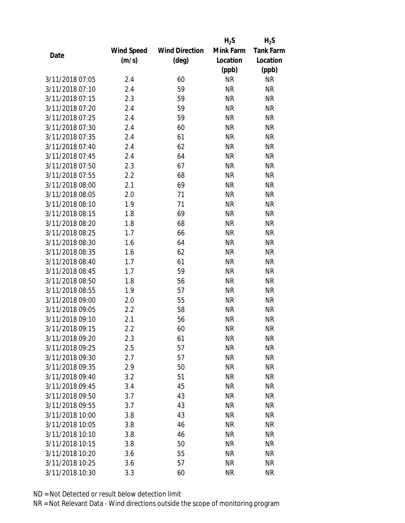|                 |            |                       | $H_2S$    | $H_2S$           |
|-----------------|------------|-----------------------|-----------|------------------|
|                 | Wind Speed | <b>Wind Direction</b> | Mink Farm | <b>Tank Farm</b> |
| Date            | (m/s)      | $(\text{deg})$        | Location  | Location         |
|                 |            |                       | (ppb)     | (ppb)            |
| 3/11/2018 07:05 | 2.4        | 60                    | <b>NR</b> | <b>NR</b>        |
| 3/11/2018 07:10 | 2.4        | 59                    | <b>NR</b> | <b>NR</b>        |
| 3/11/2018 07:15 | 2.3        | 59                    | <b>NR</b> | <b>NR</b>        |
| 3/11/2018 07:20 | 2.4        | 59                    | <b>NR</b> | <b>NR</b>        |
| 3/11/2018 07:25 | 2.4        | 59                    | <b>NR</b> | <b>NR</b>        |
| 3/11/2018 07:30 | 2.4        | 60                    | <b>NR</b> | <b>NR</b>        |
| 3/11/2018 07:35 | 2.4        | 61                    | <b>NR</b> | <b>NR</b>        |
| 3/11/2018 07:40 | 2.4        | 62                    | <b>NR</b> | <b>NR</b>        |
| 3/11/2018 07:45 | 2.4        | 64                    | <b>NR</b> | <b>NR</b>        |
| 3/11/2018 07:50 | 2.3        | 67                    | <b>NR</b> | <b>NR</b>        |
| 3/11/2018 07:55 | 2.2        | 68                    | <b>NR</b> | <b>NR</b>        |
| 3/11/2018 08:00 | 2.1        | 69                    | <b>NR</b> | <b>NR</b>        |
| 3/11/2018 08:05 | 2.0        | 71                    | <b>NR</b> | <b>NR</b>        |
| 3/11/2018 08:10 | 1.9        | 71                    | <b>NR</b> | <b>NR</b>        |
| 3/11/2018 08:15 | 1.8        | 69                    | <b>NR</b> | <b>NR</b>        |
| 3/11/2018 08:20 | 1.8        | 68                    | <b>NR</b> | <b>NR</b>        |
| 3/11/2018 08:25 | 1.7        | 66                    | <b>NR</b> | <b>NR</b>        |
| 3/11/2018 08:30 | 1.6        | 64                    | <b>NR</b> | <b>NR</b>        |
| 3/11/2018 08:35 | 1.6        | 62                    | <b>NR</b> | <b>NR</b>        |
| 3/11/2018 08:40 | 1.7        | 61                    | <b>NR</b> | <b>NR</b>        |
| 3/11/2018 08:45 | 1.7        | 59                    | <b>NR</b> | <b>NR</b>        |
| 3/11/2018 08:50 | 1.8        | 56                    | <b>NR</b> | <b>NR</b>        |
| 3/11/2018 08:55 | 1.9        | 57                    | <b>NR</b> | <b>NR</b>        |
| 3/11/2018 09:00 | 2.0        | 55                    | <b>NR</b> | <b>NR</b>        |
| 3/11/2018 09:05 | 2.2        | 58                    | <b>NR</b> | <b>NR</b>        |
| 3/11/2018 09:10 | 2.1        | 56                    | <b>NR</b> | <b>NR</b>        |
| 3/11/2018 09:15 | 2.2        | 60                    | <b>NR</b> | <b>NR</b>        |
| 3/11/2018 09:20 | 2.3        | 61                    | ΝR        | <b>NR</b>        |
| 3/11/2018 09:25 | 2.5        | 57                    | <b>NR</b> | <b>NR</b>        |
| 3/11/2018 09:30 | 2.7        | 57                    | NR        | <b>NR</b>        |
| 3/11/2018 09:35 | 2.9        | 50                    | <b>NR</b> | <b>NR</b>        |
| 3/11/2018 09:40 | 3.2        | 51                    | <b>NR</b> | <b>NR</b>        |
| 3/11/2018 09:45 | 3.4        | 45                    | NR        | <b>NR</b>        |
| 3/11/2018 09:50 | 3.7        | 43                    | <b>NR</b> | <b>NR</b>        |
| 3/11/2018 09:55 | 3.7        | 43                    | NR        | <b>NR</b>        |
| 3/11/2018 10:00 | 3.8        | 43                    | <b>NR</b> | <b>NR</b>        |
| 3/11/2018 10:05 | 3.8        | 46                    | ΝR        | <b>NR</b>        |
| 3/11/2018 10:10 | 3.8        | 46                    | ΝR        | <b>NR</b>        |
| 3/11/2018 10:15 | 3.8        | 50                    | <b>NR</b> | <b>NR</b>        |
| 3/11/2018 10:20 | 3.6        | 55                    | NR        | <b>NR</b>        |
| 3/11/2018 10:25 | 3.6        | 57                    | <b>NR</b> | <b>NR</b>        |
| 3/11/2018 10:30 | 3.3        | 60                    | <b>NR</b> | <b>NR</b>        |
|                 |            |                       |           |                  |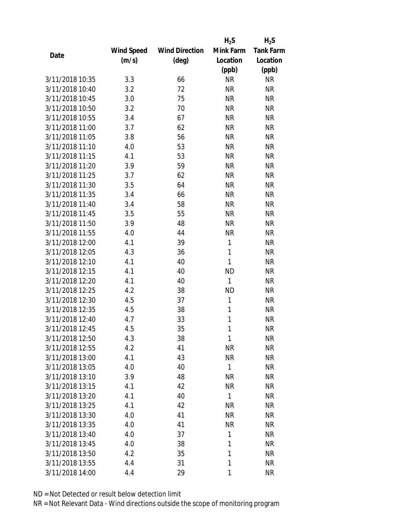|                 |                   |                       | $H_2S$       | $H_2S$           |
|-----------------|-------------------|-----------------------|--------------|------------------|
|                 | <b>Wind Speed</b> | <b>Wind Direction</b> | Mink Farm    | <b>Tank Farm</b> |
| Date            | (m/s)             | (deg)                 | Location     | Location         |
|                 |                   |                       | (ppb)        | (ppb)            |
| 3/11/2018 10:35 | 3.3               | 66                    | <b>NR</b>    | <b>NR</b>        |
| 3/11/2018 10:40 | 3.2               | 72                    | <b>NR</b>    | <b>NR</b>        |
| 3/11/2018 10:45 | 3.0               | 75                    | <b>NR</b>    | <b>NR</b>        |
| 3/11/2018 10:50 | 3.2               | 70                    | <b>NR</b>    | <b>NR</b>        |
| 3/11/2018 10:55 | 3.4               | 67                    | <b>NR</b>    | <b>NR</b>        |
| 3/11/2018 11:00 | 3.7               | 62                    | <b>NR</b>    | <b>NR</b>        |
| 3/11/2018 11:05 | 3.8               | 56                    | <b>NR</b>    | <b>NR</b>        |
| 3/11/2018 11:10 | 4.0               | 53                    | <b>NR</b>    | <b>NR</b>        |
| 3/11/2018 11:15 | 4.1               | 53                    | <b>NR</b>    | <b>NR</b>        |
| 3/11/2018 11:20 | 3.9               | 59                    | <b>NR</b>    | <b>NR</b>        |
| 3/11/2018 11:25 | 3.7               | 62                    | <b>NR</b>    | <b>NR</b>        |
| 3/11/2018 11:30 | 3.5               | 64                    | <b>NR</b>    | <b>NR</b>        |
| 3/11/2018 11:35 | 3.4               | 66                    | <b>NR</b>    | <b>NR</b>        |
| 3/11/2018 11:40 | 3.4               | 58                    | <b>NR</b>    | <b>NR</b>        |
| 3/11/2018 11:45 | 3.5               | 55                    | <b>NR</b>    | <b>NR</b>        |
| 3/11/2018 11:50 | 3.9               | 48                    | <b>NR</b>    | <b>NR</b>        |
| 3/11/2018 11:55 | 4.0               | 44                    | <b>NR</b>    | <b>NR</b>        |
| 3/11/2018 12:00 | 4.1               | 39                    | 1            | <b>NR</b>        |
| 3/11/2018 12:05 | 4.3               | 36                    | 1            | <b>NR</b>        |
| 3/11/2018 12:10 | 4.1               | 40                    | 1            | <b>NR</b>        |
| 3/11/2018 12:15 | 4.1               | 40                    | <b>ND</b>    | <b>NR</b>        |
| 3/11/2018 12:20 | 4.1               | 40                    | 1            | <b>NR</b>        |
| 3/11/2018 12:25 | 4.2               | 38                    | <b>ND</b>    | <b>NR</b>        |
| 3/11/2018 12:30 | 4.5               | 37                    | 1            | <b>NR</b>        |
| 3/11/2018 12:35 | 4.5               | 38                    | 1            | <b>NR</b>        |
| 3/11/2018 12:40 | 4.7               | 33                    | 1            | <b>NR</b>        |
| 3/11/2018 12:45 | 4.5               | 35                    | 1            | <b>NR</b>        |
| 3/11/2018 12:50 | 4.3               | 38                    | 1            | <b>NR</b>        |
| 3/11/2018 12:55 | 4.2               | 41                    | NR           | <b>NR</b>        |
| 3/11/2018 13:00 | 4.1               | 43                    | <b>NR</b>    | <b>NR</b>        |
| 3/11/2018 13:05 | 4.0               | 40                    | 1            | <b>NR</b>        |
| 3/11/2018 13:10 | 3.9               | 48                    | <b>NR</b>    | <b>NR</b>        |
| 3/11/2018 13:15 | 4.1               | 42                    | <b>NR</b>    | <b>NR</b>        |
| 3/11/2018 13:20 | 4.1               | 40                    | $\mathbf{1}$ | <b>NR</b>        |
| 3/11/2018 13:25 | 4.1               | 42                    | <b>NR</b>    | <b>NR</b>        |
| 3/11/2018 13:30 | 4.0               | 41                    | <b>NR</b>    | <b>NR</b>        |
| 3/11/2018 13:35 | 4.0               | 41                    | <b>NR</b>    | <b>NR</b>        |
| 3/11/2018 13:40 | 4.0               | 37                    | 1            | <b>NR</b>        |
| 3/11/2018 13:45 | 4.0               | 38                    | 1            | <b>NR</b>        |
| 3/11/2018 13:50 | 4.2               | 35                    | 1            | <b>NR</b>        |
| 3/11/2018 13:55 | 4.4               | 31                    | 1            | <b>NR</b>        |
| 3/11/2018 14:00 | 4.4               | 29                    | 1            | <b>NR</b>        |
|                 |                   |                       |              |                  |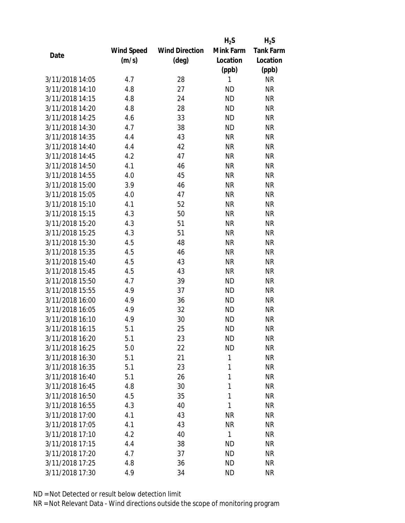|                 |            |                       | $H_2S$    | $H_2S$           |
|-----------------|------------|-----------------------|-----------|------------------|
|                 | Wind Speed | <b>Wind Direction</b> | Mink Farm | <b>Tank Farm</b> |
| Date            | (m/s)      | (deg)                 | Location  | Location         |
|                 |            |                       | (ppb)     | (ppb)            |
| 3/11/2018 14:05 | 4.7        | 28                    | 1         | <b>NR</b>        |
| 3/11/2018 14:10 | 4.8        | 27                    | <b>ND</b> | <b>NR</b>        |
| 3/11/2018 14:15 | 4.8        | 24                    | <b>ND</b> | <b>NR</b>        |
| 3/11/2018 14:20 | 4.8        | 28                    | <b>ND</b> | <b>NR</b>        |
| 3/11/2018 14:25 | 4.6        | 33                    | <b>ND</b> | <b>NR</b>        |
| 3/11/2018 14:30 | 4.7        | 38                    | <b>ND</b> | <b>NR</b>        |
| 3/11/2018 14:35 | 4.4        | 43                    | <b>NR</b> | <b>NR</b>        |
| 3/11/2018 14:40 | 4.4        | 42                    | <b>NR</b> | <b>NR</b>        |
| 3/11/2018 14:45 | 4.2        | 47                    | <b>NR</b> | <b>NR</b>        |
| 3/11/2018 14:50 | 4.1        | 46                    | <b>NR</b> | <b>NR</b>        |
| 3/11/2018 14:55 | 4.0        | 45                    | <b>NR</b> | <b>NR</b>        |
| 3/11/2018 15:00 | 3.9        | 46                    | <b>NR</b> | <b>NR</b>        |
| 3/11/2018 15:05 | 4.0        | 47                    | <b>NR</b> | <b>NR</b>        |
| 3/11/2018 15:10 | 4.1        | 52                    | <b>NR</b> | <b>NR</b>        |
| 3/11/2018 15:15 | 4.3        | 50                    | <b>NR</b> | <b>NR</b>        |
| 3/11/2018 15:20 | 4.3        | 51                    | <b>NR</b> | <b>NR</b>        |
| 3/11/2018 15:25 | 4.3        | 51                    | <b>NR</b> | <b>NR</b>        |
| 3/11/2018 15:30 | 4.5        | 48                    | <b>NR</b> | <b>NR</b>        |
| 3/11/2018 15:35 | 4.5        | 46                    | <b>NR</b> | <b>NR</b>        |
| 3/11/2018 15:40 | 4.5        | 43                    | <b>NR</b> | <b>NR</b>        |
| 3/11/2018 15:45 | 4.5        | 43                    | <b>NR</b> | <b>NR</b>        |
| 3/11/2018 15:50 | 4.7        | 39                    | <b>ND</b> | <b>NR</b>        |
| 3/11/2018 15:55 | 4.9        | 37                    | <b>ND</b> | <b>NR</b>        |
| 3/11/2018 16:00 | 4.9        | 36                    | <b>ND</b> | <b>NR</b>        |
| 3/11/2018 16:05 | 4.9        | 32                    | <b>ND</b> | <b>NR</b>        |
| 3/11/2018 16:10 | 4.9        | 30                    | <b>ND</b> | <b>NR</b>        |
| 3/11/2018 16:15 | 5.1        | 25                    | <b>ND</b> | <b>NR</b>        |
| 3/11/2018 16:20 | 5.1        | 23                    | ND        | <b>NR</b>        |
| 3/11/2018 16:25 | 5.0        | 22                    | <b>ND</b> | <b>NR</b>        |
| 3/11/2018 16:30 | 5.1        | 21                    | 1         | <b>NR</b>        |
| 3/11/2018 16:35 | 5.1        | 23                    | 1         | <b>NR</b>        |
| 3/11/2018 16:40 | 5.1        | 26                    | 1         | <b>NR</b>        |
| 3/11/2018 16:45 | 4.8        | 30                    | 1         | <b>NR</b>        |
| 3/11/2018 16:50 | 4.5        | 35                    | 1         | <b>NR</b>        |
| 3/11/2018 16:55 | 4.3        | 40                    | 1         | <b>NR</b>        |
| 3/11/2018 17:00 | 4.1        | 43                    | <b>NR</b> | <b>NR</b>        |
| 3/11/2018 17:05 | 4.1        | 43                    | <b>NR</b> | <b>NR</b>        |
| 3/11/2018 17:10 | 4.2        | 40                    | 1         | <b>NR</b>        |
| 3/11/2018 17:15 | 4.4        | 38                    | ND        | NR               |
| 3/11/2018 17:20 | 4.7        | 37                    | ND        | <b>NR</b>        |
| 3/11/2018 17:25 | 4.8        | 36                    | ND        | <b>NR</b>        |
| 3/11/2018 17:30 | 4.9        | 34                    | <b>ND</b> | <b>NR</b>        |
|                 |            |                       |           |                  |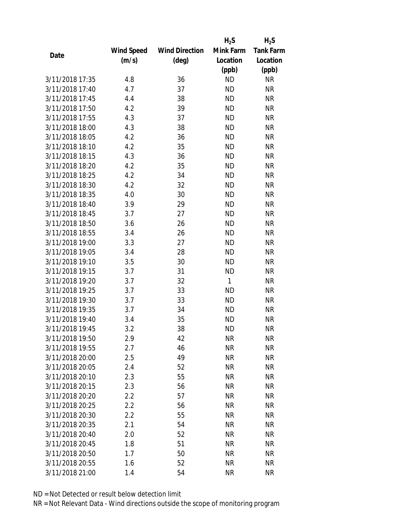|                 |            |                       | $H_2S$    | $H_2S$           |
|-----------------|------------|-----------------------|-----------|------------------|
|                 | Wind Speed | <b>Wind Direction</b> | Mink Farm | <b>Tank Farm</b> |
| Date            | (m/s)      | (deg)                 | Location  | Location         |
|                 |            |                       | (ppb)     | (ppb)            |
| 3/11/2018 17:35 | 4.8        | 36                    | <b>ND</b> | <b>NR</b>        |
| 3/11/2018 17:40 | 4.7        | 37                    | <b>ND</b> | <b>NR</b>        |
| 3/11/2018 17:45 | 4.4        | 38                    | <b>ND</b> | <b>NR</b>        |
| 3/11/2018 17:50 | 4.2        | 39                    | <b>ND</b> | <b>NR</b>        |
| 3/11/2018 17:55 | 4.3        | 37                    | <b>ND</b> | <b>NR</b>        |
| 3/11/2018 18:00 | 4.3        | 38                    | <b>ND</b> | <b>NR</b>        |
| 3/11/2018 18:05 | 4.2        | 36                    | <b>ND</b> | <b>NR</b>        |
| 3/11/2018 18:10 | 4.2        | 35                    | <b>ND</b> | <b>NR</b>        |
| 3/11/2018 18:15 | 4.3        | 36                    | <b>ND</b> | <b>NR</b>        |
| 3/11/2018 18:20 | 4.2        | 35                    | <b>ND</b> | <b>NR</b>        |
| 3/11/2018 18:25 | 4.2        | 34                    | <b>ND</b> | <b>NR</b>        |
| 3/11/2018 18:30 | 4.2        | 32                    | <b>ND</b> | <b>NR</b>        |
| 3/11/2018 18:35 | 4.0        | 30                    | <b>ND</b> | <b>NR</b>        |
| 3/11/2018 18:40 | 3.9        | 29                    | <b>ND</b> | <b>NR</b>        |
| 3/11/2018 18:45 | 3.7        | 27                    | <b>ND</b> | <b>NR</b>        |
| 3/11/2018 18:50 | 3.6        | 26                    | <b>ND</b> | <b>NR</b>        |
| 3/11/2018 18:55 | 3.4        | 26                    | <b>ND</b> | <b>NR</b>        |
| 3/11/2018 19:00 | 3.3        | 27                    | <b>ND</b> | <b>NR</b>        |
| 3/11/2018 19:05 | 3.4        | 28                    | <b>ND</b> | <b>NR</b>        |
| 3/11/2018 19:10 | 3.5        | 30                    | <b>ND</b> | <b>NR</b>        |
| 3/11/2018 19:15 | 3.7        | 31                    | <b>ND</b> | <b>NR</b>        |
| 3/11/2018 19:20 | 3.7        | 32                    | 1         | <b>NR</b>        |
| 3/11/2018 19:25 | 3.7        | 33                    | <b>ND</b> | <b>NR</b>        |
| 3/11/2018 19:30 | 3.7        | 33                    | <b>ND</b> | <b>NR</b>        |
| 3/11/2018 19:35 | 3.7        | 34                    | <b>ND</b> | <b>NR</b>        |
| 3/11/2018 19:40 | 3.4        | 35                    | <b>ND</b> | <b>NR</b>        |
| 3/11/2018 19:45 | 3.2        | 38                    | <b>ND</b> | <b>NR</b>        |
| 3/11/2018 19:50 | 2.9        | 42                    | ΝR        | <b>NR</b>        |
| 3/11/2018 19:55 | 2.7        | 46                    | <b>NR</b> | <b>NR</b>        |
| 3/11/2018 20:00 | 2.5        | 49                    | NR        | <b>NR</b>        |
| 3/11/2018 20:05 | 2.4        | 52                    | <b>NR</b> | <b>NR</b>        |
| 3/11/2018 20:10 | 2.3        | 55                    | <b>NR</b> | <b>NR</b>        |
| 3/11/2018 20:15 | 2.3        | 56                    | NR        | <b>NR</b>        |
| 3/11/2018 20:20 | 2.2        | 57                    | <b>NR</b> | <b>NR</b>        |
| 3/11/2018 20:25 | 2.2        | 56                    | NR        | <b>NR</b>        |
| 3/11/2018 20:30 | 2.2        | 55                    | <b>NR</b> | <b>NR</b>        |
| 3/11/2018 20:35 | 2.1        | 54                    | ΝR        | <b>NR</b>        |
| 3/11/2018 20:40 | 2.0        | 52                    | ΝR        | <b>NR</b>        |
| 3/11/2018 20:45 | 1.8        | 51                    | <b>NR</b> | <b>NR</b>        |
| 3/11/2018 20:50 | 1.7        | 50                    | NR        | <b>NR</b>        |
| 3/11/2018 20:55 | 1.6        | 52                    | <b>NR</b> | <b>NR</b>        |
| 3/11/2018 21:00 | 1.4        | 54                    | <b>NR</b> | <b>NR</b>        |
|                 |            |                       |           |                  |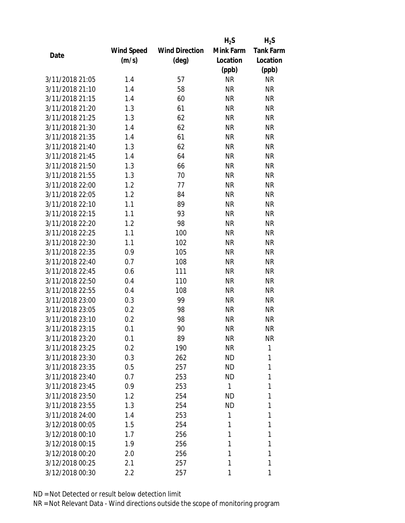|                 |            |                       | $H_2S$    | $H_2S$           |
|-----------------|------------|-----------------------|-----------|------------------|
|                 | Wind Speed | <b>Wind Direction</b> | Mink Farm | <b>Tank Farm</b> |
| Date            | (m/s)      | (deg)                 | Location  | Location         |
|                 |            |                       | (ppb)     | (ppb)            |
| 3/11/2018 21:05 | 1.4        | 57                    | <b>NR</b> | <b>NR</b>        |
| 3/11/2018 21:10 | 1.4        | 58                    | <b>NR</b> | <b>NR</b>        |
| 3/11/2018 21:15 | 1.4        | 60                    | <b>NR</b> | <b>NR</b>        |
| 3/11/2018 21:20 | 1.3        | 61                    | <b>NR</b> | <b>NR</b>        |
| 3/11/2018 21:25 | 1.3        | 62                    | <b>NR</b> | <b>NR</b>        |
| 3/11/2018 21:30 | 1.4        | 62                    | <b>NR</b> | <b>NR</b>        |
| 3/11/2018 21:35 | 1.4        | 61                    | <b>NR</b> | <b>NR</b>        |
| 3/11/2018 21:40 | 1.3        | 62                    | <b>NR</b> | <b>NR</b>        |
| 3/11/2018 21:45 | 1.4        | 64                    | <b>NR</b> | <b>NR</b>        |
| 3/11/2018 21:50 | 1.3        | 66                    | <b>NR</b> | <b>NR</b>        |
| 3/11/2018 21:55 | 1.3        | 70                    | <b>NR</b> | <b>NR</b>        |
| 3/11/2018 22:00 | 1.2        | 77                    | <b>NR</b> | <b>NR</b>        |
| 3/11/2018 22:05 | 1.2        | 84                    | <b>NR</b> | <b>NR</b>        |
| 3/11/2018 22:10 | 1.1        | 89                    | <b>NR</b> | <b>NR</b>        |
| 3/11/2018 22:15 | 1.1        | 93                    | <b>NR</b> | <b>NR</b>        |
| 3/11/2018 22:20 | 1.2        | 98                    | <b>NR</b> | <b>NR</b>        |
| 3/11/2018 22:25 | 1.1        | 100                   | <b>NR</b> | <b>NR</b>        |
| 3/11/2018 22:30 | 1.1        | 102                   | <b>NR</b> | <b>NR</b>        |
| 3/11/2018 22:35 | 0.9        | 105                   | <b>NR</b> | <b>NR</b>        |
| 3/11/2018 22:40 | 0.7        | 108                   | <b>NR</b> | <b>NR</b>        |
| 3/11/2018 22:45 | 0.6        | 111                   | <b>NR</b> | <b>NR</b>        |
| 3/11/2018 22:50 | 0.4        | 110                   | <b>NR</b> | <b>NR</b>        |
| 3/11/2018 22:55 | 0.4        | 108                   | <b>NR</b> | <b>NR</b>        |
| 3/11/2018 23:00 | 0.3        | 99                    | <b>NR</b> | <b>NR</b>        |
| 3/11/2018 23:05 | 0.2        | 98                    | <b>NR</b> | <b>NR</b>        |
| 3/11/2018 23:10 | 0.2        | 98                    | <b>NR</b> | <b>NR</b>        |
| 3/11/2018 23:15 | 0.1        | 90                    | <b>NR</b> | <b>NR</b>        |
| 3/11/2018 23:20 | 0.1        | 89                    | ΝR        | <b>NR</b>        |
| 3/11/2018 23:25 | 0.2        | 190                   | <b>NR</b> | 1                |
| 3/11/2018 23:30 | 0.3        | 262                   | ND        | 1                |
| 3/11/2018 23:35 | 0.5        | 257                   | <b>ND</b> | 1                |
| 3/11/2018 23:40 | 0.7        | 253                   | <b>ND</b> | 1                |
| 3/11/2018 23:45 | 0.9        | 253                   | 1         | 1                |
| 3/11/2018 23:50 | 1.2        | 254                   | <b>ND</b> | 1                |
| 3/11/2018 23:55 | 1.3        | 254                   | <b>ND</b> | 1                |
| 3/11/2018 24:00 | 1.4        | 253                   | 1         | 1                |
| 3/12/2018 00:05 | 1.5        | 254                   | 1         | 1                |
| 3/12/2018 00:10 | 1.7        | 256                   | 1         | 1                |
| 3/12/2018 00:15 | 1.9        | 256                   | 1         | 1                |
| 3/12/2018 00:20 | 2.0        | 256                   | 1         | 1                |
| 3/12/2018 00:25 | 2.1        | 257                   | 1         | 1                |
| 3/12/2018 00:30 | 2.2        | 257                   | 1         | 1                |
|                 |            |                       |           |                  |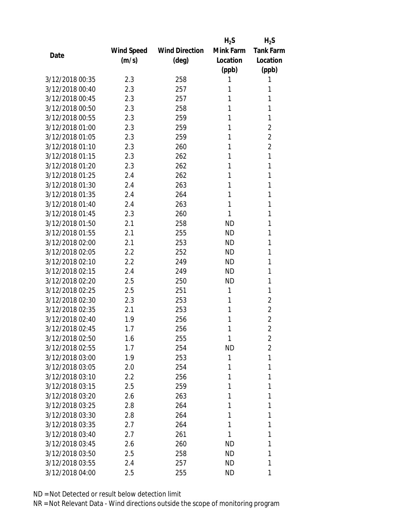|                 |            |                       | $H_2S$    | $H_2S$           |
|-----------------|------------|-----------------------|-----------|------------------|
|                 | Wind Speed | <b>Wind Direction</b> | Mink Farm | <b>Tank Farm</b> |
| Date            | (m/s)      | $(\text{deg})$        | Location  | Location         |
|                 |            |                       | (ppb)     | (ppb)            |
| 3/12/2018 00:35 | 2.3        | 258                   | 1         | 1                |
| 3/12/2018 00:40 | 2.3        | 257                   | 1         | 1                |
| 3/12/2018 00:45 | 2.3        | 257                   | 1         | 1                |
| 3/12/2018 00:50 | 2.3        | 258                   | 1         | 1                |
| 3/12/2018 00:55 | 2.3        | 259                   | 1         | 1                |
| 3/12/2018 01:00 | 2.3        | 259                   | 1         | $\overline{2}$   |
| 3/12/2018 01:05 | 2.3        | 259                   | 1         | $\overline{2}$   |
| 3/12/2018 01:10 | 2.3        | 260                   | 1         | $\overline{2}$   |
| 3/12/2018 01:15 | 2.3        | 262                   | 1         | 1                |
| 3/12/2018 01:20 | 2.3        | 262                   | 1         | 1                |
| 3/12/2018 01:25 | 2.4        | 262                   | 1         | 1                |
| 3/12/2018 01:30 | 2.4        | 263                   | 1         | 1                |
| 3/12/2018 01:35 | 2.4        | 264                   | 1         | 1                |
| 3/12/2018 01:40 | 2.4        | 263                   | 1         | 1                |
| 3/12/2018 01:45 | 2.3        | 260                   | 1         | 1                |
| 3/12/2018 01:50 | 2.1        | 258                   | <b>ND</b> | 1                |
| 3/12/2018 01:55 | 2.1        | 255                   | <b>ND</b> | 1                |
| 3/12/2018 02:00 | 2.1        | 253                   | <b>ND</b> | 1                |
| 3/12/2018 02:05 | 2.2        | 252                   | <b>ND</b> | 1                |
| 3/12/2018 02:10 | 2.2        | 249                   | <b>ND</b> | 1                |
| 3/12/2018 02:15 | 2.4        | 249                   | <b>ND</b> | 1                |
| 3/12/2018 02:20 | 2.5        | 250                   | <b>ND</b> | 1                |
| 3/12/2018 02:25 | 2.5        | 251                   | 1         | 1                |
| 3/12/2018 02:30 | 2.3        | 253                   | 1         | $\overline{2}$   |
| 3/12/2018 02:35 | 2.1        | 253                   | 1         | $\overline{2}$   |
| 3/12/2018 02:40 | 1.9        | 256                   | 1         | $\overline{2}$   |
| 3/12/2018 02:45 | 1.7        | 256                   | 1         | $\overline{2}$   |
| 3/12/2018 02:50 | 1.6        | 255                   | 1         | $\overline{2}$   |
| 3/12/2018 02:55 | 1.7        | 254                   | <b>ND</b> | $\overline{2}$   |
| 3/12/2018 03:00 | 1.9        | 253                   | 1         | 1                |
| 3/12/2018 03:05 | 2.0        | 254                   | 1         | 1                |
| 3/12/2018 03:10 | 2.2        | 256                   | 1         | 1                |
| 3/12/2018 03:15 | 2.5        | 259                   | 1         | 1                |
| 3/12/2018 03:20 | 2.6        | 263                   | 1         | 1                |
| 3/12/2018 03:25 | 2.8        | 264                   | 1         | 1                |
| 3/12/2018 03:30 | 2.8        | 264                   | 1         | 1                |
| 3/12/2018 03:35 | 2.7        | 264                   | 1         | 1                |
| 3/12/2018 03:40 | 2.7        | 261                   | 1         | 1                |
| 3/12/2018 03:45 | 2.6        | 260                   | ND        | 1                |
| 3/12/2018 03:50 | 2.5        | 258                   | ND        | 1                |
| 3/12/2018 03:55 | 2.4        | 257                   | ND        | 1                |
| 3/12/2018 04:00 | 2.5        | 255                   | ND        | 1                |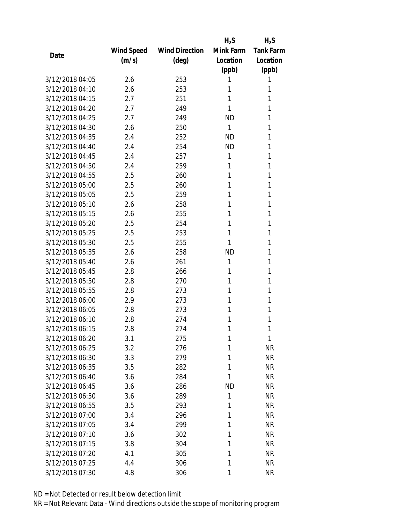|                 |            |                       | $H_2S$    | $H_2S$           |
|-----------------|------------|-----------------------|-----------|------------------|
|                 | Wind Speed | <b>Wind Direction</b> | Mink Farm | <b>Tank Farm</b> |
| Date            | (m/s)      | $(\text{deg})$        | Location  | Location         |
|                 |            |                       | (ppb)     | (ppb)            |
| 3/12/2018 04:05 | 2.6        | 253                   | 1         | 1                |
| 3/12/2018 04:10 | 2.6        | 253                   | 1         | 1                |
| 3/12/2018 04:15 | 2.7        | 251                   | 1         | 1                |
| 3/12/2018 04:20 | 2.7        | 249                   | 1         | 1                |
| 3/12/2018 04:25 | 2.7        | 249                   | <b>ND</b> | 1                |
| 3/12/2018 04:30 | 2.6        | 250                   | 1         | 1                |
| 3/12/2018 04:35 | 2.4        | 252                   | <b>ND</b> | 1                |
| 3/12/2018 04:40 | 2.4        | 254                   | <b>ND</b> | 1                |
| 3/12/2018 04:45 | 2.4        | 257                   | 1         | 1                |
| 3/12/2018 04:50 | 2.4        | 259                   | 1         | 1                |
| 3/12/2018 04:55 | 2.5        | 260                   | 1         | 1                |
| 3/12/2018 05:00 | 2.5        | 260                   | 1         | 1                |
| 3/12/2018 05:05 | 2.5        | 259                   | 1         | 1                |
| 3/12/2018 05:10 | 2.6        | 258                   | 1         | 1                |
| 3/12/2018 05:15 | 2.6        | 255                   | 1         | 1                |
| 3/12/2018 05:20 | 2.5        | 254                   | 1         | 1                |
| 3/12/2018 05:25 | 2.5        | 253                   | 1         | 1                |
| 3/12/2018 05:30 | 2.5        | 255                   | 1         | 1                |
| 3/12/2018 05:35 | 2.6        | 258                   | <b>ND</b> | 1                |
| 3/12/2018 05:40 | 2.6        | 261                   | 1         | 1                |
| 3/12/2018 05:45 | 2.8        | 266                   | 1         | 1                |
| 3/12/2018 05:50 | 2.8        | 270                   | 1         | 1                |
| 3/12/2018 05:55 | 2.8        | 273                   | 1         | 1                |
| 3/12/2018 06:00 | 2.9        | 273                   | 1         | 1                |
| 3/12/2018 06:05 | 2.8        | 273                   | 1         | 1                |
| 3/12/2018 06:10 | 2.8        | 274                   | 1         | 1                |
| 3/12/2018 06:15 | 2.8        | 274                   | 1         | 1                |
| 3/12/2018 06:20 | 3.1        | 275                   | 1         | 1                |
| 3/12/2018 06:25 | 3.2        | 276                   | 1         | <b>NR</b>        |
| 3/12/2018 06:30 | 3.3        | 279                   | 1         | <b>NR</b>        |
| 3/12/2018 06:35 | 3.5        | 282                   | 1         | <b>NR</b>        |
| 3/12/2018 06:40 | 3.6        | 284                   | 1         | <b>NR</b>        |
| 3/12/2018 06:45 | 3.6        | 286                   | <b>ND</b> | <b>NR</b>        |
| 3/12/2018 06:50 | 3.6        | 289                   | 1         | <b>NR</b>        |
| 3/12/2018 06:55 | 3.5        | 293                   | 1         | <b>NR</b>        |
| 3/12/2018 07:00 | 3.4        | 296                   | 1         | <b>NR</b>        |
| 3/12/2018 07:05 | 3.4        | 299                   | 1         | <b>NR</b>        |
| 3/12/2018 07:10 | 3.6        | 302                   | 1         | <b>NR</b>        |
| 3/12/2018 07:15 | 3.8        | 304                   | 1         | <b>NR</b>        |
| 3/12/2018 07:20 | 4.1        | 305                   | 1         | <b>NR</b>        |
| 3/12/2018 07:25 | 4.4        | 306                   | 1         | <b>NR</b>        |
| 3/12/2018 07:30 | 4.8        | 306                   | 1         | <b>NR</b>        |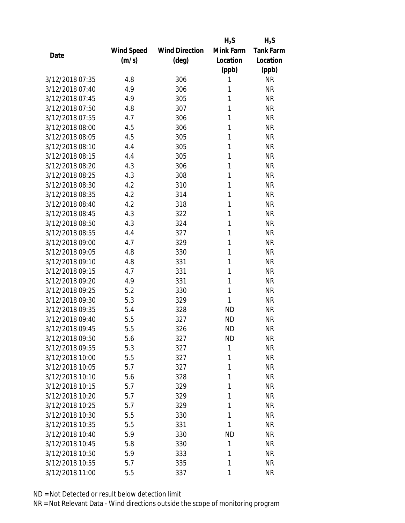|                 |            |                       | $H_2S$    | $H_2S$           |
|-----------------|------------|-----------------------|-----------|------------------|
|                 | Wind Speed | <b>Wind Direction</b> | Mink Farm | <b>Tank Farm</b> |
| Date            | (m/s)      | (deg)                 | Location  | Location         |
|                 |            |                       | (ppb)     | (ppb)            |
| 3/12/2018 07:35 | 4.8        | 306                   | 1         | <b>NR</b>        |
| 3/12/2018 07:40 | 4.9        | 306                   | 1         | <b>NR</b>        |
| 3/12/2018 07:45 | 4.9        | 305                   | 1         | <b>NR</b>        |
| 3/12/2018 07:50 | 4.8        | 307                   | 1         | <b>NR</b>        |
| 3/12/2018 07:55 | 4.7        | 306                   | 1         | <b>NR</b>        |
| 3/12/2018 08:00 | 4.5        | 306                   | 1         | <b>NR</b>        |
| 3/12/2018 08:05 | 4.5        | 305                   | 1         | <b>NR</b>        |
| 3/12/2018 08:10 | 4.4        | 305                   | 1         | <b>NR</b>        |
| 3/12/2018 08:15 | 4.4        | 305                   | 1         | <b>NR</b>        |
| 3/12/2018 08:20 | 4.3        | 306                   | 1         | <b>NR</b>        |
| 3/12/2018 08:25 | 4.3        | 308                   | 1         | <b>NR</b>        |
| 3/12/2018 08:30 | 4.2        | 310                   | 1         | <b>NR</b>        |
| 3/12/2018 08:35 | 4.2        | 314                   | 1         | <b>NR</b>        |
| 3/12/2018 08:40 | 4.2        | 318                   | 1         | <b>NR</b>        |
| 3/12/2018 08:45 | 4.3        | 322                   | 1         | <b>NR</b>        |
| 3/12/2018 08:50 | 4.3        | 324                   | 1         | <b>NR</b>        |
| 3/12/2018 08:55 | 4.4        | 327                   | 1         | <b>NR</b>        |
| 3/12/2018 09:00 | 4.7        | 329                   | 1         | <b>NR</b>        |
| 3/12/2018 09:05 | 4.8        | 330                   | 1         | <b>NR</b>        |
| 3/12/2018 09:10 | 4.8        | 331                   | 1         | <b>NR</b>        |
| 3/12/2018 09:15 | 4.7        | 331                   | 1         | <b>NR</b>        |
| 3/12/2018 09:20 | 4.9        | 331                   | 1         | <b>NR</b>        |
| 3/12/2018 09:25 | 5.2        | 330                   | 1         | <b>NR</b>        |
| 3/12/2018 09:30 | 5.3        | 329                   | 1         | <b>NR</b>        |
| 3/12/2018 09:35 | 5.4        | 328                   | <b>ND</b> | <b>NR</b>        |
| 3/12/2018 09:40 | 5.5        | 327                   | <b>ND</b> | <b>NR</b>        |
| 3/12/2018 09:45 | 5.5        | 326                   | <b>ND</b> | <b>NR</b>        |
| 3/12/2018 09:50 | 5.6        | 327                   | ND        | <b>NR</b>        |
| 3/12/2018 09:55 | 5.3        | 327                   | 1         | <b>NR</b>        |
| 3/12/2018 10:00 | 5.5        | 327                   | 1         | <b>NR</b>        |
| 3/12/2018 10:05 | 5.7        | 327                   | 1         | <b>NR</b>        |
| 3/12/2018 10:10 | 5.6        | 328                   | 1         | <b>NR</b>        |
| 3/12/2018 10:15 | 5.7        | 329                   | 1         | <b>NR</b>        |
| 3/12/2018 10:20 | 5.7        | 329                   | 1         | <b>NR</b>        |
| 3/12/2018 10:25 | 5.7        | 329                   | 1         | <b>NR</b>        |
| 3/12/2018 10:30 | 5.5        | 330                   | 1         | <b>NR</b>        |
| 3/12/2018 10:35 | 5.5        | 331                   | 1         | <b>NR</b>        |
| 3/12/2018 10:40 | 5.9        | 330                   | <b>ND</b> | <b>NR</b>        |
| 3/12/2018 10:45 | 5.8        | 330                   | 1         | <b>NR</b>        |
| 3/12/2018 10:50 | 5.9        | 333                   | 1         | <b>NR</b>        |
| 3/12/2018 10:55 | 5.7        | 335                   | 1         | <b>NR</b>        |
| 3/12/2018 11:00 | 5.5        | 337                   | 1         | <b>NR</b>        |
|                 |            |                       |           |                  |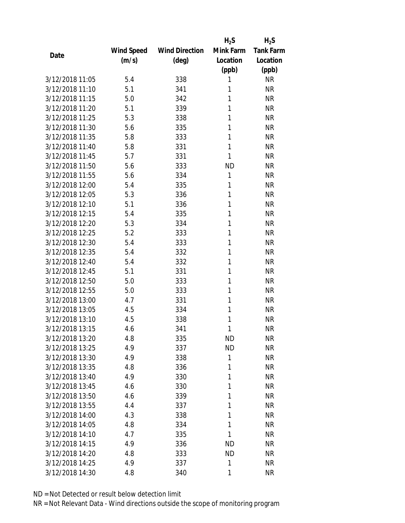|                 |            |                       | $H_2S$    | $H_2S$           |
|-----------------|------------|-----------------------|-----------|------------------|
|                 | Wind Speed | <b>Wind Direction</b> | Mink Farm | <b>Tank Farm</b> |
| Date            | (m/s)      | (deg)                 | Location  | Location         |
|                 |            |                       | (ppb)     | (ppb)            |
| 3/12/2018 11:05 | 5.4        | 338                   | 1         | <b>NR</b>        |
| 3/12/2018 11:10 | 5.1        | 341                   | 1         | <b>NR</b>        |
| 3/12/2018 11:15 | 5.0        | 342                   | 1         | <b>NR</b>        |
| 3/12/2018 11:20 | 5.1        | 339                   | 1         | <b>NR</b>        |
| 3/12/2018 11:25 | 5.3        | 338                   | 1         | <b>NR</b>        |
| 3/12/2018 11:30 | 5.6        | 335                   | 1         | <b>NR</b>        |
| 3/12/2018 11:35 | 5.8        | 333                   | 1         | <b>NR</b>        |
| 3/12/2018 11:40 | 5.8        | 331                   | 1         | <b>NR</b>        |
| 3/12/2018 11:45 | 5.7        | 331                   | 1         | <b>NR</b>        |
| 3/12/2018 11:50 | 5.6        | 333                   | <b>ND</b> | <b>NR</b>        |
| 3/12/2018 11:55 | 5.6        | 334                   | 1         | <b>NR</b>        |
| 3/12/2018 12:00 | 5.4        | 335                   | 1         | <b>NR</b>        |
| 3/12/2018 12:05 | 5.3        | 336                   | 1         | <b>NR</b>        |
| 3/12/2018 12:10 | 5.1        | 336                   | 1         | <b>NR</b>        |
| 3/12/2018 12:15 | 5.4        | 335                   | 1         | <b>NR</b>        |
| 3/12/2018 12:20 | 5.3        | 334                   | 1         | <b>NR</b>        |
| 3/12/2018 12:25 | 5.2        | 333                   | 1         | <b>NR</b>        |
| 3/12/2018 12:30 | 5.4        | 333                   | 1         | <b>NR</b>        |
| 3/12/2018 12:35 | 5.4        | 332                   | 1         | <b>NR</b>        |
| 3/12/2018 12:40 | 5.4        | 332                   | 1         | <b>NR</b>        |
| 3/12/2018 12:45 | 5.1        | 331                   | 1         | <b>NR</b>        |
| 3/12/2018 12:50 | 5.0        | 333                   | 1         | <b>NR</b>        |
| 3/12/2018 12:55 | 5.0        | 333                   | 1         | <b>NR</b>        |
| 3/12/2018 13:00 | 4.7        | 331                   | 1         | <b>NR</b>        |
| 3/12/2018 13:05 | 4.5        | 334                   | 1         | <b>NR</b>        |
| 3/12/2018 13:10 | 4.5        | 338                   | 1         | <b>NR</b>        |
| 3/12/2018 13:15 | 4.6        | 341                   | 1         | <b>NR</b>        |
| 3/12/2018 13:20 | 4.8        | 335                   | ND        | <b>NR</b>        |
| 3/12/2018 13:25 | 4.9        | 337                   | <b>ND</b> | <b>NR</b>        |
| 3/12/2018 13:30 | 4.9        | 338                   | 1         | <b>NR</b>        |
| 3/12/2018 13:35 | 4.8        | 336                   | 1         | <b>NR</b>        |
| 3/12/2018 13:40 | 4.9        | 330                   | 1         | <b>NR</b>        |
| 3/12/2018 13:45 | 4.6        | 330                   | 1         | <b>NR</b>        |
| 3/12/2018 13:50 | 4.6        | 339                   | 1         | <b>NR</b>        |
| 3/12/2018 13:55 | 4.4        | 337                   | 1         | <b>NR</b>        |
| 3/12/2018 14:00 | 4.3        | 338                   | 1         | <b>NR</b>        |
| 3/12/2018 14:05 | 4.8        | 334                   | 1         | <b>NR</b>        |
| 3/12/2018 14:10 | 4.7        | 335                   | 1         | <b>NR</b>        |
| 3/12/2018 14:15 | 4.9        | 336                   | <b>ND</b> | <b>NR</b>        |
| 3/12/2018 14:20 | 4.8        | 333                   | ND        | <b>NR</b>        |
| 3/12/2018 14:25 | 4.9        | 337                   | 1         | <b>NR</b>        |
| 3/12/2018 14:30 | 4.8        | 340                   | 1         | <b>NR</b>        |
|                 |            |                       |           |                  |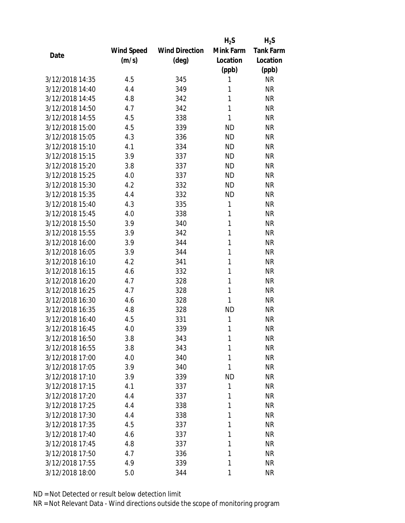|                 |            |                       | $H_2S$       | $H_2S$           |
|-----------------|------------|-----------------------|--------------|------------------|
|                 | Wind Speed | <b>Wind Direction</b> | Mink Farm    | <b>Tank Farm</b> |
| Date            | (m/s)      | (deg)                 | Location     | Location         |
|                 |            |                       | (ppb)        | (ppb)            |
| 3/12/2018 14:35 | 4.5        | 345                   | 1            | <b>NR</b>        |
| 3/12/2018 14:40 | 4.4        | 349                   | 1            | <b>NR</b>        |
| 3/12/2018 14:45 | 4.8        | 342                   | 1            | <b>NR</b>        |
| 3/12/2018 14:50 | 4.7        | 342                   | 1            | <b>NR</b>        |
| 3/12/2018 14:55 | 4.5        | 338                   | 1            | <b>NR</b>        |
| 3/12/2018 15:00 | 4.5        | 339                   | <b>ND</b>    | <b>NR</b>        |
| 3/12/2018 15:05 | 4.3        | 336                   | <b>ND</b>    | <b>NR</b>        |
| 3/12/2018 15:10 | 4.1        | 334                   | <b>ND</b>    | <b>NR</b>        |
| 3/12/2018 15:15 | 3.9        | 337                   | <b>ND</b>    | <b>NR</b>        |
| 3/12/2018 15:20 | 3.8        | 337                   | <b>ND</b>    | <b>NR</b>        |
| 3/12/2018 15:25 | 4.0        | 337                   | <b>ND</b>    | <b>NR</b>        |
| 3/12/2018 15:30 | 4.2        | 332                   | <b>ND</b>    | <b>NR</b>        |
| 3/12/2018 15:35 | 4.4        | 332                   | <b>ND</b>    | <b>NR</b>        |
| 3/12/2018 15:40 | 4.3        | 335                   | $\mathbf{1}$ | <b>NR</b>        |
| 3/12/2018 15:45 | 4.0        | 338                   | 1            | <b>NR</b>        |
| 3/12/2018 15:50 | 3.9        | 340                   | 1            | <b>NR</b>        |
| 3/12/2018 15:55 | 3.9        | 342                   | 1            | <b>NR</b>        |
| 3/12/2018 16:00 | 3.9        | 344                   | 1            | <b>NR</b>        |
| 3/12/2018 16:05 | 3.9        | 344                   | 1            | <b>NR</b>        |
| 3/12/2018 16:10 | 4.2        | 341                   | 1            | <b>NR</b>        |
| 3/12/2018 16:15 | 4.6        | 332                   | 1            | <b>NR</b>        |
| 3/12/2018 16:20 | 4.7        | 328                   | 1            | <b>NR</b>        |
| 3/12/2018 16:25 | 4.7        | 328                   | 1            | <b>NR</b>        |
| 3/12/2018 16:30 | 4.6        | 328                   | 1            | <b>NR</b>        |
| 3/12/2018 16:35 | 4.8        | 328                   | <b>ND</b>    | <b>NR</b>        |
| 3/12/2018 16:40 | 4.5        | 331                   | 1            | <b>NR</b>        |
| 3/12/2018 16:45 | 4.0        | 339                   | 1            | <b>NR</b>        |
| 3/12/2018 16:50 | 3.8        | 343                   | 1            | ΝR               |
| 3/12/2018 16:55 | 3.8        | 343                   | 1            | <b>NR</b>        |
| 3/12/2018 17:00 | 4.0        | 340                   | 1            | <b>NR</b>        |
| 3/12/2018 17:05 | 3.9        | 340                   | 1            | <b>NR</b>        |
| 3/12/2018 17:10 | 3.9        | 339                   | <b>ND</b>    | <b>NR</b>        |
| 3/12/2018 17:15 | 4.1        | 337                   | 1            | <b>NR</b>        |
| 3/12/2018 17:20 | 4.4        | 337                   | 1            | <b>NR</b>        |
| 3/12/2018 17:25 | 4.4        | 338                   | 1            | <b>NR</b>        |
| 3/12/2018 17:30 | 4.4        | 338                   | 1            | <b>NR</b>        |
| 3/12/2018 17:35 | 4.5        | 337                   | 1            | <b>NR</b>        |
| 3/12/2018 17:40 | 4.6        | 337                   | 1            | <b>NR</b>        |
| 3/12/2018 17:45 | 4.8        | 337                   | 1            | <b>NR</b>        |
| 3/12/2018 17:50 | 4.7        | 336                   | 1            | <b>NR</b>        |
| 3/12/2018 17:55 | 4.9        | 339                   | 1            | <b>NR</b>        |
| 3/12/2018 18:00 | 5.0        | 344                   | 1            | <b>NR</b>        |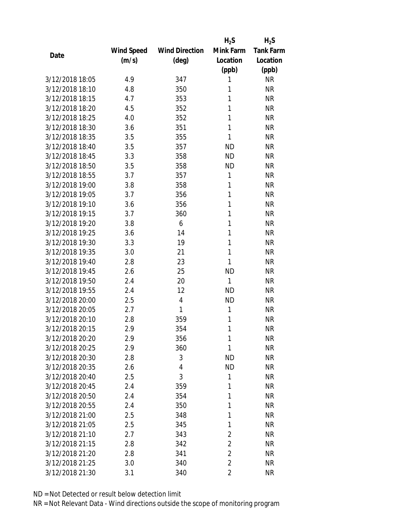|                 |            |                       | $H_2S$         | $H_2S$           |
|-----------------|------------|-----------------------|----------------|------------------|
|                 | Wind Speed | <b>Wind Direction</b> | Mink Farm      | <b>Tank Farm</b> |
| Date            | (m/s)      | (deg)                 | Location       | Location         |
|                 |            |                       | (ppb)          | (ppb)            |
| 3/12/2018 18:05 | 4.9        | 347                   | 1              | <b>NR</b>        |
| 3/12/2018 18:10 | 4.8        | 350                   | 1              | <b>NR</b>        |
| 3/12/2018 18:15 | 4.7        | 353                   | 1              | <b>NR</b>        |
| 3/12/2018 18:20 | 4.5        | 352                   | 1              | <b>NR</b>        |
| 3/12/2018 18:25 | 4.0        | 352                   | 1              | <b>NR</b>        |
| 3/12/2018 18:30 | 3.6        | 351                   | 1              | <b>NR</b>        |
| 3/12/2018 18:35 | 3.5        | 355                   | 1              | <b>NR</b>        |
| 3/12/2018 18:40 | 3.5        | 357                   | <b>ND</b>      | <b>NR</b>        |
| 3/12/2018 18:45 | 3.3        | 358                   | <b>ND</b>      | <b>NR</b>        |
| 3/12/2018 18:50 | 3.5        | 358                   | <b>ND</b>      | <b>NR</b>        |
| 3/12/2018 18:55 | 3.7        | 357                   | 1              | <b>NR</b>        |
| 3/12/2018 19:00 | 3.8        | 358                   | 1              | <b>NR</b>        |
| 3/12/2018 19:05 | 3.7        | 356                   | 1              | <b>NR</b>        |
| 3/12/2018 19:10 | 3.6        | 356                   | 1              | <b>NR</b>        |
| 3/12/2018 19:15 | 3.7        | 360                   | 1              | <b>NR</b>        |
| 3/12/2018 19:20 | 3.8        | 6                     | 1              | <b>NR</b>        |
| 3/12/2018 19:25 | 3.6        | 14                    | 1              | <b>NR</b>        |
| 3/12/2018 19:30 | 3.3        | 19                    | 1              | <b>NR</b>        |
| 3/12/2018 19:35 | 3.0        | 21                    | 1              | <b>NR</b>        |
| 3/12/2018 19:40 | 2.8        | 23                    | 1              | <b>NR</b>        |
| 3/12/2018 19:45 | 2.6        | 25                    | <b>ND</b>      | <b>NR</b>        |
| 3/12/2018 19:50 | 2.4        | 20                    | 1              | <b>NR</b>        |
| 3/12/2018 19:55 | 2.4        | 12                    | <b>ND</b>      | <b>NR</b>        |
| 3/12/2018 20:00 | 2.5        | 4                     | <b>ND</b>      | <b>NR</b>        |
| 3/12/2018 20:05 | 2.7        | 1                     | 1              | <b>NR</b>        |
| 3/12/2018 20:10 | 2.8        | 359                   | 1              | <b>NR</b>        |
| 3/12/2018 20:15 | 2.9        | 354                   | 1              | <b>NR</b>        |
| 3/12/2018 20:20 | 2.9        | 356                   | 1              | <b>NR</b>        |
| 3/12/2018 20:25 | 2.9        | 360                   | 1              | <b>NR</b>        |
| 3/12/2018 20:30 | 2.8        | 3                     | <b>ND</b>      | <b>NR</b>        |
| 3/12/2018 20:35 | 2.6        | 4                     | <b>ND</b>      | <b>NR</b>        |
| 3/12/2018 20:40 | 2.5        | 3                     | 1              | <b>NR</b>        |
| 3/12/2018 20:45 | 2.4        | 359                   | 1              | <b>NR</b>        |
| 3/12/2018 20:50 | 2.4        | 354                   | 1              | <b>NR</b>        |
| 3/12/2018 20:55 | 2.4        | 350                   | 1              | <b>NR</b>        |
| 3/12/2018 21:00 | 2.5        | 348                   | 1              | <b>NR</b>        |
| 3/12/2018 21:05 | 2.5        | 345                   | 1              | <b>NR</b>        |
| 3/12/2018 21:10 | 2.7        | 343                   | $\overline{2}$ | <b>NR</b>        |
| 3/12/2018 21:15 | 2.8        | 342                   | $\overline{c}$ | <b>NR</b>        |
| 3/12/2018 21:20 | 2.8        | 341                   | $\overline{2}$ | <b>NR</b>        |
| 3/12/2018 21:25 | 3.0        | 340                   | $\overline{2}$ | <b>NR</b>        |
| 3/12/2018 21:30 | 3.1        | 340                   | $\overline{2}$ | <b>NR</b>        |
|                 |            |                       |                |                  |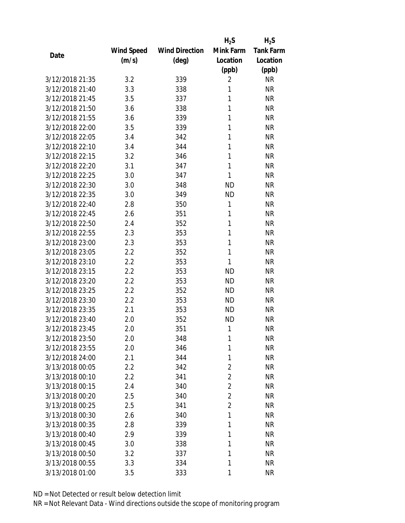|                 |            |                       | $H_2S$         | $H_2S$           |
|-----------------|------------|-----------------------|----------------|------------------|
|                 | Wind Speed | <b>Wind Direction</b> | Mink Farm      | <b>Tank Farm</b> |
| Date            | (m/s)      | (deg)                 | Location       | Location         |
|                 |            |                       | (ppb)          | (ppb)            |
| 3/12/2018 21:35 | 3.2        | 339                   | $\overline{2}$ | <b>NR</b>        |
| 3/12/2018 21:40 | 3.3        | 338                   | 1              | <b>NR</b>        |
| 3/12/2018 21:45 | 3.5        | 337                   | 1              | <b>NR</b>        |
| 3/12/2018 21:50 | 3.6        | 338                   | 1              | <b>NR</b>        |
| 3/12/2018 21:55 | 3.6        | 339                   | 1              | <b>NR</b>        |
| 3/12/2018 22:00 | 3.5        | 339                   | 1              | <b>NR</b>        |
| 3/12/2018 22:05 | 3.4        | 342                   | 1              | <b>NR</b>        |
| 3/12/2018 22:10 | 3.4        | 344                   | 1              | <b>NR</b>        |
| 3/12/2018 22:15 | 3.2        | 346                   | 1              | <b>NR</b>        |
| 3/12/2018 22:20 | 3.1        | 347                   | 1              | <b>NR</b>        |
| 3/12/2018 22:25 | 3.0        | 347                   | 1              | <b>NR</b>        |
| 3/12/2018 22:30 | 3.0        | 348                   | <b>ND</b>      | <b>NR</b>        |
| 3/12/2018 22:35 | 3.0        | 349                   | <b>ND</b>      | <b>NR</b>        |
| 3/12/2018 22:40 | 2.8        | 350                   | 1              | <b>NR</b>        |
| 3/12/2018 22:45 | 2.6        | 351                   | 1              | <b>NR</b>        |
| 3/12/2018 22:50 | 2.4        | 352                   | 1              | <b>NR</b>        |
| 3/12/2018 22:55 | 2.3        | 353                   | 1              | <b>NR</b>        |
| 3/12/2018 23:00 | 2.3        | 353                   | 1              | <b>NR</b>        |
| 3/12/2018 23:05 | 2.2        | 352                   | 1              | <b>NR</b>        |
| 3/12/2018 23:10 | 2.2        | 353                   | 1              | <b>NR</b>        |
| 3/12/2018 23:15 | 2.2        | 353                   | <b>ND</b>      | <b>NR</b>        |
| 3/12/2018 23:20 | 2.2        | 353                   | <b>ND</b>      | <b>NR</b>        |
| 3/12/2018 23:25 | 2.2        | 352                   | <b>ND</b>      | <b>NR</b>        |
| 3/12/2018 23:30 | 2.2        | 353                   | <b>ND</b>      | <b>NR</b>        |
| 3/12/2018 23:35 | 2.1        | 353                   | <b>ND</b>      | <b>NR</b>        |
| 3/12/2018 23:40 | 2.0        | 352                   | <b>ND</b>      | <b>NR</b>        |
| 3/12/2018 23:45 | 2.0        | 351                   | 1              | <b>NR</b>        |
| 3/12/2018 23:50 | 2.0        | 348                   | 1              | <b>NR</b>        |
| 3/12/2018 23:55 | 2.0        | 346                   | 1              | <b>NR</b>        |
| 3/12/2018 24:00 | 2.1        | 344                   | 1              | <b>NR</b>        |
| 3/13/2018 00:05 | 2.2        | 342                   | $\overline{2}$ | <b>NR</b>        |
| 3/13/2018 00:10 | 2.2        | 341                   | $\overline{2}$ | <b>NR</b>        |
| 3/13/2018 00:15 | 2.4        | 340                   | $\overline{2}$ | <b>NR</b>        |
| 3/13/2018 00:20 | 2.5        | 340                   | $\overline{2}$ | <b>NR</b>        |
| 3/13/2018 00:25 | 2.5        | 341                   | $\overline{2}$ | <b>NR</b>        |
| 3/13/2018 00:30 | 2.6        | 340                   | 1              | <b>NR</b>        |
| 3/13/2018 00:35 | 2.8        | 339                   | 1              | <b>NR</b>        |
| 3/13/2018 00:40 | 2.9        | 339                   | 1              | <b>NR</b>        |
| 3/13/2018 00:45 | 3.0        | 338                   | 1              | <b>NR</b>        |
| 3/13/2018 00:50 | 3.2        | 337                   | 1              | <b>NR</b>        |
| 3/13/2018 00:55 | 3.3        | 334                   | 1              | <b>NR</b>        |
| 3/13/2018 01:00 | 3.5        | 333                   | 1              | <b>NR</b>        |
|                 |            |                       |                |                  |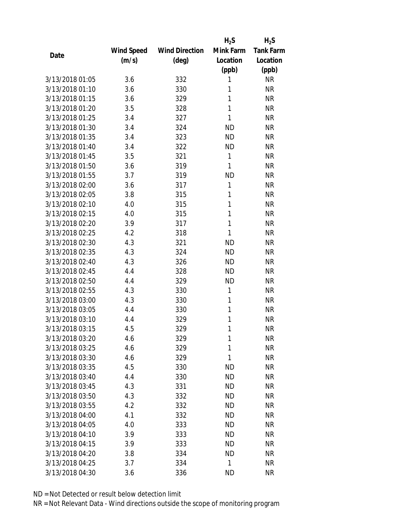|                 |            |                       | $H_2S$    | $H_2S$           |
|-----------------|------------|-----------------------|-----------|------------------|
|                 | Wind Speed | <b>Wind Direction</b> | Mink Farm | <b>Tank Farm</b> |
| Date            | (m/s)      | (deg)                 | Location  | Location         |
|                 |            |                       | (ppb)     | (ppb)            |
| 3/13/2018 01:05 | 3.6        | 332                   | 1         | <b>NR</b>        |
| 3/13/2018 01:10 | 3.6        | 330                   | 1         | <b>NR</b>        |
| 3/13/2018 01:15 | 3.6        | 329                   | 1         | <b>NR</b>        |
| 3/13/2018 01:20 | 3.5        | 328                   | 1         | <b>NR</b>        |
| 3/13/2018 01:25 | 3.4        | 327                   | 1         | <b>NR</b>        |
| 3/13/2018 01:30 | 3.4        | 324                   | <b>ND</b> | <b>NR</b>        |
| 3/13/2018 01:35 | 3.4        | 323                   | <b>ND</b> | <b>NR</b>        |
| 3/13/2018 01:40 | 3.4        | 322                   | <b>ND</b> | <b>NR</b>        |
| 3/13/2018 01:45 | 3.5        | 321                   | 1         | <b>NR</b>        |
| 3/13/2018 01:50 | 3.6        | 319                   | 1         | <b>NR</b>        |
| 3/13/2018 01:55 | 3.7        | 319                   | <b>ND</b> | <b>NR</b>        |
| 3/13/2018 02:00 | 3.6        | 317                   | 1         | <b>NR</b>        |
| 3/13/2018 02:05 | 3.8        | 315                   | 1         | <b>NR</b>        |
| 3/13/2018 02:10 | 4.0        | 315                   | 1         | <b>NR</b>        |
| 3/13/2018 02:15 | 4.0        | 315                   | 1         | <b>NR</b>        |
| 3/13/2018 02:20 | 3.9        | 317                   | 1         | <b>NR</b>        |
| 3/13/2018 02:25 | 4.2        | 318                   | 1         | <b>NR</b>        |
| 3/13/2018 02:30 | 4.3        | 321                   | <b>ND</b> | <b>NR</b>        |
| 3/13/2018 02:35 | 4.3        | 324                   | <b>ND</b> | <b>NR</b>        |
| 3/13/2018 02:40 | 4.3        | 326                   | <b>ND</b> | <b>NR</b>        |
| 3/13/2018 02:45 | 4.4        | 328                   | <b>ND</b> | <b>NR</b>        |
| 3/13/2018 02:50 | 4.4        | 329                   | <b>ND</b> | <b>NR</b>        |
| 3/13/2018 02:55 | 4.3        | 330                   | 1         | <b>NR</b>        |
| 3/13/2018 03:00 | 4.3        | 330                   | 1         | <b>NR</b>        |
| 3/13/2018 03:05 | 4.4        | 330                   | 1         | <b>NR</b>        |
| 3/13/2018 03:10 | 4.4        | 329                   | 1         | <b>NR</b>        |
| 3/13/2018 03:15 | 4.5        | 329                   | 1         | <b>NR</b>        |
| 3/13/2018 03:20 | 4.6        | 329                   | 1         | <b>NR</b>        |
| 3/13/2018 03:25 | 4.6        | 329                   | 1         | <b>NR</b>        |
| 3/13/2018 03:30 | 4.6        | 329                   | 1         | <b>NR</b>        |
| 3/13/2018 03:35 | 4.5        | 330                   | <b>ND</b> | <b>NR</b>        |
| 3/13/2018 03:40 | 4.4        | 330                   | <b>ND</b> | <b>NR</b>        |
| 3/13/2018 03:45 | 4.3        | 331                   | <b>ND</b> | <b>NR</b>        |
| 3/13/2018 03:50 | 4.3        | 332                   | <b>ND</b> | <b>NR</b>        |
| 3/13/2018 03:55 | 4.2        | 332                   | ND        | <b>NR</b>        |
| 3/13/2018 04:00 | 4.1        | 332                   | <b>ND</b> | <b>NR</b>        |
| 3/13/2018 04:05 | 4.0        | 333                   | <b>ND</b> | <b>NR</b>        |
| 3/13/2018 04:10 | 3.9        | 333                   | <b>ND</b> | <b>NR</b>        |
| 3/13/2018 04:15 | 3.9        | 333                   | <b>ND</b> | <b>NR</b>        |
| 3/13/2018 04:20 | 3.8        | 334                   | ND        | <b>NR</b>        |
| 3/13/2018 04:25 | 3.7        | 334                   | 1         | <b>NR</b>        |
| 3/13/2018 04:30 | 3.6        | 336                   | <b>ND</b> | <b>NR</b>        |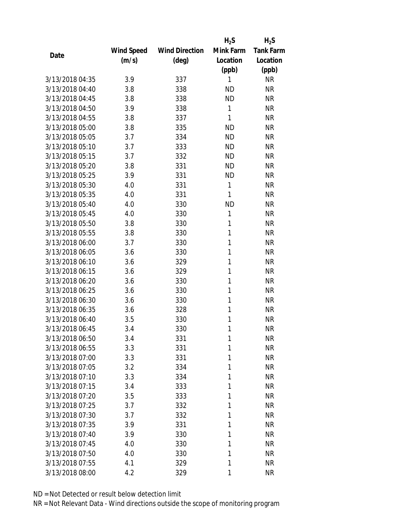|                 |            |                       | $H_2S$    | $H_2S$           |
|-----------------|------------|-----------------------|-----------|------------------|
|                 | Wind Speed | <b>Wind Direction</b> | Mink Farm | <b>Tank Farm</b> |
| Date            | (m/s)      | (deg)                 | Location  | Location         |
|                 |            |                       | (ppb)     | (ppb)            |
| 3/13/2018 04:35 | 3.9        | 337                   | 1         | <b>NR</b>        |
| 3/13/2018 04:40 | 3.8        | 338                   | <b>ND</b> | <b>NR</b>        |
| 3/13/2018 04:45 | 3.8        | 338                   | <b>ND</b> | <b>NR</b>        |
| 3/13/2018 04:50 | 3.9        | 338                   | 1         | <b>NR</b>        |
| 3/13/2018 04:55 | 3.8        | 337                   | 1         | <b>NR</b>        |
| 3/13/2018 05:00 | 3.8        | 335                   | <b>ND</b> | <b>NR</b>        |
| 3/13/2018 05:05 | 3.7        | 334                   | <b>ND</b> | <b>NR</b>        |
| 3/13/2018 05:10 | 3.7        | 333                   | <b>ND</b> | <b>NR</b>        |
| 3/13/2018 05:15 | 3.7        | 332                   | <b>ND</b> | <b>NR</b>        |
| 3/13/2018 05:20 | 3.8        | 331                   | <b>ND</b> | <b>NR</b>        |
| 3/13/2018 05:25 | 3.9        | 331                   | <b>ND</b> | <b>NR</b>        |
| 3/13/2018 05:30 | 4.0        | 331                   | 1         | <b>NR</b>        |
| 3/13/2018 05:35 | 4.0        | 331                   | 1         | <b>NR</b>        |
| 3/13/2018 05:40 | 4.0        | 330                   | <b>ND</b> | <b>NR</b>        |
| 3/13/2018 05:45 | 4.0        | 330                   | 1         | <b>NR</b>        |
| 3/13/2018 05:50 | 3.8        | 330                   | 1         | <b>NR</b>        |
| 3/13/2018 05:55 | 3.8        | 330                   | 1         | <b>NR</b>        |
| 3/13/2018 06:00 | 3.7        | 330                   | 1         | <b>NR</b>        |
| 3/13/2018 06:05 | 3.6        | 330                   | 1         | <b>NR</b>        |
| 3/13/2018 06:10 | 3.6        | 329                   | 1         | <b>NR</b>        |
| 3/13/2018 06:15 | 3.6        | 329                   | 1         | <b>NR</b>        |
| 3/13/2018 06:20 | 3.6        | 330                   | 1         | <b>NR</b>        |
| 3/13/2018 06:25 | 3.6        | 330                   | 1         | <b>NR</b>        |
| 3/13/2018 06:30 | 3.6        | 330                   | 1         | <b>NR</b>        |
| 3/13/2018 06:35 | 3.6        | 328                   | 1         | <b>NR</b>        |
| 3/13/2018 06:40 | 3.5        | 330                   | 1         | <b>NR</b>        |
| 3/13/2018 06:45 | 3.4        | 330                   | 1         | <b>NR</b>        |
| 3/13/2018 06:50 | 3.4        | 331                   | 1         | <b>NR</b>        |
| 3/13/2018 06:55 | 3.3        | 331                   | 1         | <b>NR</b>        |
| 3/13/2018 07:00 | 3.3        | 331                   | 1         | <b>NR</b>        |
| 3/13/2018 07:05 | 3.2        | 334                   | 1         | <b>NR</b>        |
| 3/13/2018 07:10 | 3.3        | 334                   | 1         | <b>NR</b>        |
| 3/13/2018 07:15 | 3.4        | 333                   | 1         | <b>NR</b>        |
| 3/13/2018 07:20 | 3.5        | 333                   | 1         | <b>NR</b>        |
| 3/13/2018 07:25 | 3.7        | 332                   | 1         | <b>NR</b>        |
| 3/13/2018 07:30 | 3.7        | 332                   | 1         | <b>NR</b>        |
| 3/13/2018 07:35 | 3.9        | 331                   | 1         | <b>NR</b>        |
| 3/13/2018 07:40 | 3.9        | 330                   | 1         | <b>NR</b>        |
| 3/13/2018 07:45 | 4.0        | 330                   | 1         | <b>NR</b>        |
| 3/13/2018 07:50 | 4.0        | 330                   | 1         | <b>NR</b>        |
| 3/13/2018 07:55 | 4.1        | 329                   | 1         | <b>NR</b>        |
| 3/13/2018 08:00 | 4.2        | 329                   | 1         | <b>NR</b>        |
|                 |            |                       |           |                  |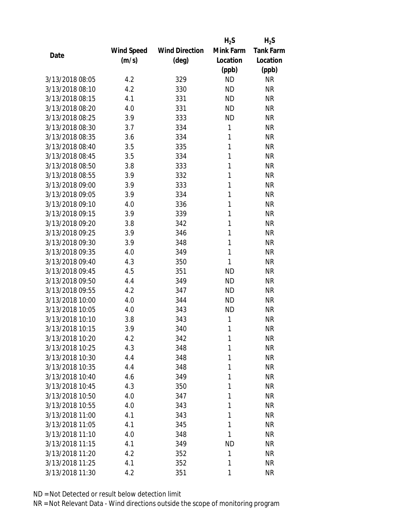|                 |            |                       | $H_2S$    | $H_2S$           |
|-----------------|------------|-----------------------|-----------|------------------|
|                 | Wind Speed | <b>Wind Direction</b> | Mink Farm | <b>Tank Farm</b> |
| Date            | (m/s)      | (deg)                 | Location  | Location         |
|                 |            |                       | (ppb)     | (ppb)            |
| 3/13/2018 08:05 | 4.2        | 329                   | <b>ND</b> | <b>NR</b>        |
| 3/13/2018 08:10 | 4.2        | 330                   | <b>ND</b> | <b>NR</b>        |
| 3/13/2018 08:15 | 4.1        | 331                   | <b>ND</b> | <b>NR</b>        |
| 3/13/2018 08:20 | 4.0        | 331                   | <b>ND</b> | <b>NR</b>        |
| 3/13/2018 08:25 | 3.9        | 333                   | <b>ND</b> | <b>NR</b>        |
| 3/13/2018 08:30 | 3.7        | 334                   | 1         | <b>NR</b>        |
| 3/13/2018 08:35 | 3.6        | 334                   | 1         | <b>NR</b>        |
| 3/13/2018 08:40 | 3.5        | 335                   | 1         | <b>NR</b>        |
| 3/13/2018 08:45 | 3.5        | 334                   | 1         | <b>NR</b>        |
| 3/13/2018 08:50 | 3.8        | 333                   | 1         | <b>NR</b>        |
| 3/13/2018 08:55 | 3.9        | 332                   | 1         | <b>NR</b>        |
| 3/13/2018 09:00 | 3.9        | 333                   | 1         | <b>NR</b>        |
| 3/13/2018 09:05 | 3.9        | 334                   | 1         | <b>NR</b>        |
| 3/13/2018 09:10 | 4.0        | 336                   | 1         | <b>NR</b>        |
| 3/13/2018 09:15 | 3.9        | 339                   | 1         | <b>NR</b>        |
| 3/13/2018 09:20 | 3.8        | 342                   | 1         | <b>NR</b>        |
| 3/13/2018 09:25 | 3.9        | 346                   | 1         | <b>NR</b>        |
| 3/13/2018 09:30 | 3.9        | 348                   | 1         | <b>NR</b>        |
| 3/13/2018 09:35 | 4.0        | 349                   | 1         | <b>NR</b>        |
| 3/13/2018 09:40 | 4.3        | 350                   | 1         | <b>NR</b>        |
| 3/13/2018 09:45 | 4.5        | 351                   | <b>ND</b> | <b>NR</b>        |
| 3/13/2018 09:50 | 4.4        | 349                   | <b>ND</b> | <b>NR</b>        |
| 3/13/2018 09:55 | 4.2        | 347                   | <b>ND</b> | <b>NR</b>        |
| 3/13/2018 10:00 | 4.0        | 344                   | <b>ND</b> | <b>NR</b>        |
| 3/13/2018 10:05 | 4.0        | 343                   | <b>ND</b> | <b>NR</b>        |
| 3/13/2018 10:10 | 3.8        | 343                   | 1         | <b>NR</b>        |
| 3/13/2018 10:15 | 3.9        | 340                   | 1         | <b>NR</b>        |
| 3/13/2018 10:20 | 4.2        | 342                   | 1         | <b>NR</b>        |
| 3/13/2018 10:25 | 4.3        | 348                   | 1         | <b>NR</b>        |
| 3/13/2018 10:30 | 4.4        | 348                   | 1         | <b>NR</b>        |
| 3/13/2018 10:35 | 4.4        | 348                   | 1         | <b>NR</b>        |
| 3/13/2018 10:40 | 4.6        | 349                   | 1         | <b>NR</b>        |
| 3/13/2018 10:45 | 4.3        | 350                   | 1         | <b>NR</b>        |
| 3/13/2018 10:50 | 4.0        | 347                   | 1         | <b>NR</b>        |
| 3/13/2018 10:55 | 4.0        | 343                   | 1         | <b>NR</b>        |
| 3/13/2018 11:00 | 4.1        | 343                   | 1         | <b>NR</b>        |
| 3/13/2018 11:05 | 4.1        | 345                   | 1         | <b>NR</b>        |
| 3/13/2018 11:10 | 4.0        | 348                   | 1         | <b>NR</b>        |
| 3/13/2018 11:15 | 4.1        | 349                   | <b>ND</b> | <b>NR</b>        |
| 3/13/2018 11:20 | 4.2        | 352                   | 1         | <b>NR</b>        |
| 3/13/2018 11:25 | 4.1        | 352                   | 1         | <b>NR</b>        |
| 3/13/2018 11:30 | 4.2        | 351                   | 1         | <b>NR</b>        |
|                 |            |                       |           |                  |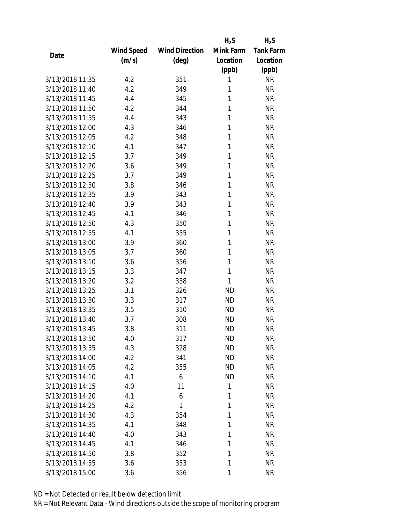|                 |            |                       | $H_2S$    | $H_2S$           |
|-----------------|------------|-----------------------|-----------|------------------|
|                 | Wind Speed | <b>Wind Direction</b> | Mink Farm | <b>Tank Farm</b> |
| Date            | (m/s)      | (deg)                 | Location  | Location         |
|                 |            |                       | (ppb)     | (ppb)            |
| 3/13/2018 11:35 | 4.2        | 351                   | 1         | <b>NR</b>        |
| 3/13/2018 11:40 | 4.2        | 349                   | 1         | <b>NR</b>        |
| 3/13/2018 11:45 | 4.4        | 345                   | 1         | <b>NR</b>        |
| 3/13/2018 11:50 | 4.2        | 344                   | 1         | <b>NR</b>        |
| 3/13/2018 11:55 | 4.4        | 343                   | 1         | <b>NR</b>        |
| 3/13/2018 12:00 | 4.3        | 346                   | 1         | <b>NR</b>        |
| 3/13/2018 12:05 | 4.2        | 348                   | 1         | <b>NR</b>        |
| 3/13/2018 12:10 | 4.1        | 347                   | 1         | <b>NR</b>        |
| 3/13/2018 12:15 | 3.7        | 349                   | 1         | <b>NR</b>        |
| 3/13/2018 12:20 | 3.6        | 349                   | 1         | <b>NR</b>        |
| 3/13/2018 12:25 | 3.7        | 349                   | 1         | <b>NR</b>        |
| 3/13/2018 12:30 | 3.8        | 346                   | 1         | <b>NR</b>        |
| 3/13/2018 12:35 | 3.9        | 343                   | 1         | <b>NR</b>        |
| 3/13/2018 12:40 | 3.9        | 343                   | 1         | <b>NR</b>        |
| 3/13/2018 12:45 | 4.1        | 346                   | 1         | <b>NR</b>        |
| 3/13/2018 12:50 | 4.3        | 350                   | 1         | <b>NR</b>        |
| 3/13/2018 12:55 | 4.1        | 355                   | 1         | <b>NR</b>        |
| 3/13/2018 13:00 | 3.9        | 360                   | 1         | <b>NR</b>        |
| 3/13/2018 13:05 | 3.7        | 360                   | 1         | <b>NR</b>        |
| 3/13/2018 13:10 | 3.6        | 356                   | 1         | <b>NR</b>        |
| 3/13/2018 13:15 | 3.3        | 347                   | 1         | <b>NR</b>        |
| 3/13/2018 13:20 | 3.2        | 338                   | 1         | <b>NR</b>        |
| 3/13/2018 13:25 | 3.1        | 326                   | <b>ND</b> | <b>NR</b>        |
| 3/13/2018 13:30 | 3.3        | 317                   | <b>ND</b> | <b>NR</b>        |
| 3/13/2018 13:35 | 3.5        | 310                   | <b>ND</b> | <b>NR</b>        |
| 3/13/2018 13:40 | 3.7        | 308                   | <b>ND</b> | <b>NR</b>        |
| 3/13/2018 13:45 | 3.8        | 311                   | <b>ND</b> | <b>NR</b>        |
| 3/13/2018 13:50 | 4.0        | 317                   | ND        | <b>NR</b>        |
| 3/13/2018 13:55 | 4.3        | 328                   | <b>ND</b> | <b>NR</b>        |
| 3/13/2018 14:00 | 4.2        | 341                   | ND        | <b>NR</b>        |
| 3/13/2018 14:05 | 4.2        | 355                   | <b>ND</b> | <b>NR</b>        |
| 3/13/2018 14:10 | 4.1        | 6                     | <b>ND</b> | NR               |
| 3/13/2018 14:15 | 4.0        | 11                    | 1         | <b>NR</b>        |
| 3/13/2018 14:20 | 4.1        | 6                     | 1         | <b>NR</b>        |
| 3/13/2018 14:25 | 4.2        | 1                     | 1         | <b>NR</b>        |
| 3/13/2018 14:30 | 4.3        | 354                   | 1         | <b>NR</b>        |
| 3/13/2018 14:35 | 4.1        | 348                   | 1         | <b>NR</b>        |
| 3/13/2018 14:40 | 4.0        | 343                   | 1         | <b>NR</b>        |
| 3/13/2018 14:45 | 4.1        | 346                   | 1         | NR               |
| 3/13/2018 14:50 | 3.8        | 352                   | 1         | <b>NR</b>        |
| 3/13/2018 14:55 | 3.6        | 353                   | 1         | <b>NR</b>        |
| 3/13/2018 15:00 | 3.6        | 356                   | 1         | <b>NR</b>        |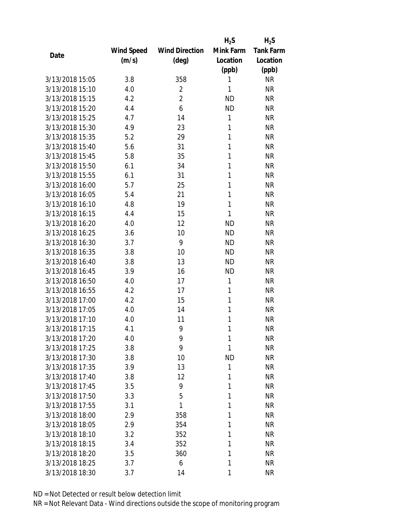|                 |            |                       | $H_2S$    | $H_2S$           |
|-----------------|------------|-----------------------|-----------|------------------|
|                 | Wind Speed | <b>Wind Direction</b> | Mink Farm | <b>Tank Farm</b> |
| Date            | (m/s)      | (deg)                 | Location  | Location         |
|                 |            |                       | (ppb)     | (ppb)            |
| 3/13/2018 15:05 | 3.8        | 358                   | 1         | <b>NR</b>        |
| 3/13/2018 15:10 | 4.0        | $\overline{2}$        | 1         | <b>NR</b>        |
| 3/13/2018 15:15 | 4.2        | $\overline{2}$        | <b>ND</b> | <b>NR</b>        |
| 3/13/2018 15:20 | 4.4        | 6                     | <b>ND</b> | <b>NR</b>        |
| 3/13/2018 15:25 | 4.7        | 14                    | 1         | <b>NR</b>        |
| 3/13/2018 15:30 | 4.9        | 23                    | 1         | <b>NR</b>        |
| 3/13/2018 15:35 | 5.2        | 29                    | 1         | <b>NR</b>        |
| 3/13/2018 15:40 | 5.6        | 31                    | 1         | <b>NR</b>        |
| 3/13/2018 15:45 | 5.8        | 35                    | 1         | <b>NR</b>        |
| 3/13/2018 15:50 | 6.1        | 34                    | 1         | <b>NR</b>        |
| 3/13/2018 15:55 | 6.1        | 31                    | 1         | <b>NR</b>        |
| 3/13/2018 16:00 | 5.7        | 25                    | 1         | <b>NR</b>        |
| 3/13/2018 16:05 | 5.4        | 21                    | 1         | <b>NR</b>        |
| 3/13/2018 16:10 | 4.8        | 19                    | 1         | <b>NR</b>        |
| 3/13/2018 16:15 | 4.4        | 15                    | 1         | <b>NR</b>        |
| 3/13/2018 16:20 | 4.0        | 12                    | <b>ND</b> | <b>NR</b>        |
| 3/13/2018 16:25 | 3.6        | 10                    | <b>ND</b> | <b>NR</b>        |
| 3/13/2018 16:30 | 3.7        | 9                     | <b>ND</b> | <b>NR</b>        |
| 3/13/2018 16:35 | 3.8        | 10                    | <b>ND</b> | <b>NR</b>        |
| 3/13/2018 16:40 | 3.8        | 13                    | <b>ND</b> | <b>NR</b>        |
| 3/13/2018 16:45 | 3.9        | 16                    | <b>ND</b> | <b>NR</b>        |
| 3/13/2018 16:50 | 4.0        | 17                    | 1         | <b>NR</b>        |
| 3/13/2018 16:55 | 4.2        | 17                    | 1         | <b>NR</b>        |
| 3/13/2018 17:00 | 4.2        | 15                    | 1         | <b>NR</b>        |
| 3/13/2018 17:05 | 4.0        | 14                    | 1         | <b>NR</b>        |
| 3/13/2018 17:10 | 4.0        | 11                    | 1         | <b>NR</b>        |
| 3/13/2018 17:15 | 4.1        | 9                     | 1         | <b>NR</b>        |
| 3/13/2018 17:20 | 4.0        | 9                     | 1         | <b>NR</b>        |
| 3/13/2018 17:25 | 3.8        | 9                     | 1         | <b>NR</b>        |
| 3/13/2018 17:30 | 3.8        | 10                    | <b>ND</b> | <b>NR</b>        |
| 3/13/2018 17:35 | 3.9        | 13                    | 1         | <b>NR</b>        |
| 3/13/2018 17:40 | 3.8        | 12                    | 1         | <b>NR</b>        |
| 3/13/2018 17:45 | 3.5        | 9                     | 1         | <b>NR</b>        |
| 3/13/2018 17:50 | 3.3        | 5                     | 1         | <b>NR</b>        |
| 3/13/2018 17:55 | 3.1        | 1                     | 1         | <b>NR</b>        |
| 3/13/2018 18:00 | 2.9        | 358                   | 1         | <b>NR</b>        |
| 3/13/2018 18:05 | 2.9        | 354                   | 1         | <b>NR</b>        |
| 3/13/2018 18:10 | 3.2        | 352                   | 1         | <b>NR</b>        |
| 3/13/2018 18:15 | 3.4        | 352                   | 1         | <b>NR</b>        |
| 3/13/2018 18:20 | 3.5        | 360                   | 1         | <b>NR</b>        |
| 3/13/2018 18:25 | 3.7        | 6                     | 1         | <b>NR</b>        |
| 3/13/2018 18:30 | 3.7        | 14                    | 1         | <b>NR</b>        |
|                 |            |                       |           |                  |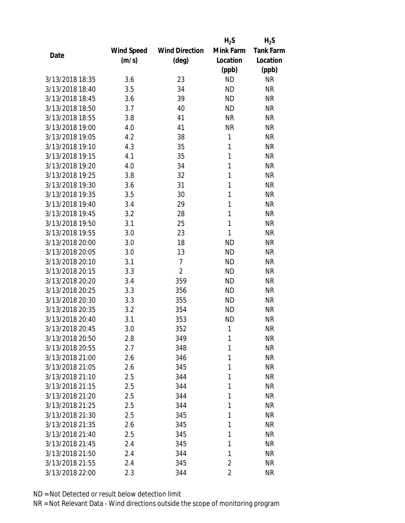|                 |                   |                       | $H_2S$         | $H_2S$           |
|-----------------|-------------------|-----------------------|----------------|------------------|
|                 | <b>Wind Speed</b> | <b>Wind Direction</b> | Mink Farm      | <b>Tank Farm</b> |
| Date            | (m/s)             | $(\text{deg})$        | Location       | Location         |
|                 |                   |                       | (ppb)          | (ppb)            |
| 3/13/2018 18:35 | 3.6               | 23                    | <b>ND</b>      | <b>NR</b>        |
| 3/13/2018 18:40 | 3.5               | 34                    | <b>ND</b>      | <b>NR</b>        |
| 3/13/2018 18:45 | 3.6               | 39                    | <b>ND</b>      | <b>NR</b>        |
| 3/13/2018 18:50 | 3.7               | 40                    | <b>ND</b>      | <b>NR</b>        |
| 3/13/2018 18:55 | 3.8               | 41                    | <b>NR</b>      | <b>NR</b>        |
| 3/13/2018 19:00 | 4.0               | 41                    | <b>NR</b>      | <b>NR</b>        |
| 3/13/2018 19:05 | 4.2               | 38                    | 1              | <b>NR</b>        |
| 3/13/2018 19:10 | 4.3               | 35                    | 1              | <b>NR</b>        |
| 3/13/2018 19:15 | 4.1               | 35                    | 1              | <b>NR</b>        |
| 3/13/2018 19:20 | 4.0               | 34                    | 1              | <b>NR</b>        |
| 3/13/2018 19:25 | 3.8               | 32                    | 1              | <b>NR</b>        |
| 3/13/2018 19:30 | 3.6               | 31                    | 1              | <b>NR</b>        |
| 3/13/2018 19:35 | 3.5               | 30                    | 1              | <b>NR</b>        |
| 3/13/2018 19:40 | 3.4               | 29                    | 1              | <b>NR</b>        |
| 3/13/2018 19:45 | 3.2               | 28                    | 1              | <b>NR</b>        |
| 3/13/2018 19:50 | 3.1               | 25                    | 1              | <b>NR</b>        |
| 3/13/2018 19:55 | 3.0               | 23                    | 1              | <b>NR</b>        |
| 3/13/2018 20:00 | 3.0               | 18                    | <b>ND</b>      | <b>NR</b>        |
| 3/13/2018 20:05 | 3.0               | 13                    | <b>ND</b>      | <b>NR</b>        |
| 3/13/2018 20:10 | 3.1               | $\overline{7}$        | <b>ND</b>      | <b>NR</b>        |
| 3/13/2018 20:15 | 3.3               | $\overline{2}$        | <b>ND</b>      | <b>NR</b>        |
| 3/13/2018 20:20 | 3.4               | 359                   | <b>ND</b>      | <b>NR</b>        |
| 3/13/2018 20:25 | 3.3               | 356                   | <b>ND</b>      | <b>NR</b>        |
| 3/13/2018 20:30 | 3.3               | 355                   | <b>ND</b>      | <b>NR</b>        |
| 3/13/2018 20:35 | 3.2               | 354                   | <b>ND</b>      | <b>NR</b>        |
| 3/13/2018 20:40 | 3.1               | 353                   | <b>ND</b>      | <b>NR</b>        |
| 3/13/2018 20:45 | 3.0               | 352                   | 1              | <b>NR</b>        |
| 3/13/2018 20:50 | 2.8               | 349                   | 1              | <b>NR</b>        |
| 3/13/2018 20:55 | 2.7               | 348                   | 1              | <b>NR</b>        |
| 3/13/2018 21:00 | 2.6               | 346                   | 1              | <b>NR</b>        |
| 3/13/2018 21:05 | 2.6               | 345                   | 1              | <b>NR</b>        |
| 3/13/2018 21:10 | 2.5               | 344                   | 1              | <b>NR</b>        |
| 3/13/2018 21:15 | 2.5               | 344                   | 1              | <b>NR</b>        |
| 3/13/2018 21:20 | 2.5               | 344                   | 1              | <b>NR</b>        |
| 3/13/2018 21:25 | 2.5               | 344                   | 1              | <b>NR</b>        |
| 3/13/2018 21:30 | 2.5               | 345                   | 1              | <b>NR</b>        |
| 3/13/2018 21:35 | 2.6               | 345                   | 1              | <b>NR</b>        |
| 3/13/2018 21:40 | 2.5               | 345                   | 1              | <b>NR</b>        |
| 3/13/2018 21:45 | 2.4               | 345                   | 1              | <b>NR</b>        |
| 3/13/2018 21:50 | 2.4               | 344                   | 1              | <b>NR</b>        |
| 3/13/2018 21:55 | 2.4               | 345                   | $\overline{2}$ | <b>NR</b>        |
| 3/13/2018 22:00 | 2.3               | 344                   | $\overline{2}$ | <b>NR</b>        |
|                 |                   |                       |                |                  |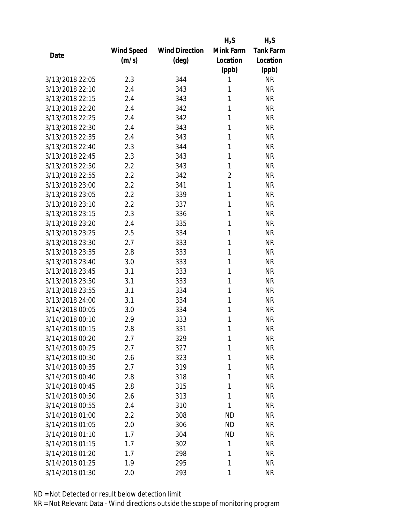|                 |                   |                       | $H_2S$         | $H_2S$           |
|-----------------|-------------------|-----------------------|----------------|------------------|
|                 | <b>Wind Speed</b> | <b>Wind Direction</b> | Mink Farm      | <b>Tank Farm</b> |
| Date            | (m/s)             | (deg)                 | Location       | Location         |
|                 |                   |                       | (ppb)          | (ppb)            |
| 3/13/2018 22:05 | 2.3               | 344                   | 1              | <b>NR</b>        |
| 3/13/2018 22:10 | 2.4               | 343                   | 1              | <b>NR</b>        |
| 3/13/2018 22:15 | 2.4               | 343                   | 1              | <b>NR</b>        |
| 3/13/2018 22:20 | 2.4               | 342                   | 1              | <b>NR</b>        |
| 3/13/2018 22:25 | 2.4               | 342                   | 1              | <b>NR</b>        |
| 3/13/2018 22:30 | 2.4               | 343                   | 1              | <b>NR</b>        |
| 3/13/2018 22:35 | 2.4               | 343                   | 1              | <b>NR</b>        |
| 3/13/2018 22:40 | 2.3               | 344                   | 1              | <b>NR</b>        |
| 3/13/2018 22:45 | 2.3               | 343                   | 1              | <b>NR</b>        |
| 3/13/2018 22:50 | 2.2               | 343                   | 1              | <b>NR</b>        |
| 3/13/2018 22:55 | 2.2               | 342                   | $\overline{2}$ | <b>NR</b>        |
| 3/13/2018 23:00 | 2.2               | 341                   | 1              | <b>NR</b>        |
| 3/13/2018 23:05 | 2.2               | 339                   | 1              | <b>NR</b>        |
| 3/13/2018 23:10 | 2.2               | 337                   | 1              | <b>NR</b>        |
| 3/13/2018 23:15 | 2.3               | 336                   | 1              | <b>NR</b>        |
| 3/13/2018 23:20 | 2.4               | 335                   | 1              | <b>NR</b>        |
| 3/13/2018 23:25 | 2.5               | 334                   | 1              | <b>NR</b>        |
| 3/13/2018 23:30 | 2.7               | 333                   | 1              | <b>NR</b>        |
| 3/13/2018 23:35 | 2.8               | 333                   | 1              | <b>NR</b>        |
| 3/13/2018 23:40 | 3.0               | 333                   | 1              | <b>NR</b>        |
| 3/13/2018 23:45 | 3.1               | 333                   | 1              | <b>NR</b>        |
| 3/13/2018 23:50 | 3.1               | 333                   | 1              | <b>NR</b>        |
| 3/13/2018 23:55 | 3.1               | 334                   | 1              | <b>NR</b>        |
| 3/13/2018 24:00 | 3.1               | 334                   | 1              | <b>NR</b>        |
| 3/14/2018 00:05 | 3.0               | 334                   | 1              | <b>NR</b>        |
| 3/14/2018 00:10 | 2.9               | 333                   | 1              | <b>NR</b>        |
| 3/14/2018 00:15 | 2.8               | 331                   | 1              | <b>NR</b>        |
| 3/14/2018 00:20 | 2.7               | 329                   | 1              | <b>NR</b>        |
| 3/14/2018 00:25 | 2.7               | 327                   | 1              | <b>NR</b>        |
| 3/14/2018 00:30 | 2.6               | 323                   | 1              | <b>NR</b>        |
| 3/14/2018 00:35 | 2.7               | 319                   | 1              | <b>NR</b>        |
| 3/14/2018 00:40 | 2.8               | 318                   | 1              | <b>NR</b>        |
| 3/14/2018 00:45 | 2.8               | 315                   | 1              | <b>NR</b>        |
| 3/14/2018 00:50 | 2.6               | 313                   | 1              | <b>NR</b>        |
| 3/14/2018 00:55 | 2.4               | 310                   | 1              | <b>NR</b>        |
| 3/14/2018 01:00 | 2.2               | 308                   | <b>ND</b>      | <b>NR</b>        |
| 3/14/2018 01:05 | 2.0               | 306                   | <b>ND</b>      | <b>NR</b>        |
| 3/14/2018 01:10 | 1.7               | 304                   | <b>ND</b>      | <b>NR</b>        |
| 3/14/2018 01:15 | 1.7               | 302                   | 1              | <b>NR</b>        |
| 3/14/2018 01:20 | 1.7               |                       | 1              | <b>NR</b>        |
|                 |                   | 298                   |                |                  |
| 3/14/2018 01:25 | 1.9               | 295                   | 1              | <b>NR</b>        |
| 3/14/2018 01:30 | 2.0               | 293                   | 1              | <b>NR</b>        |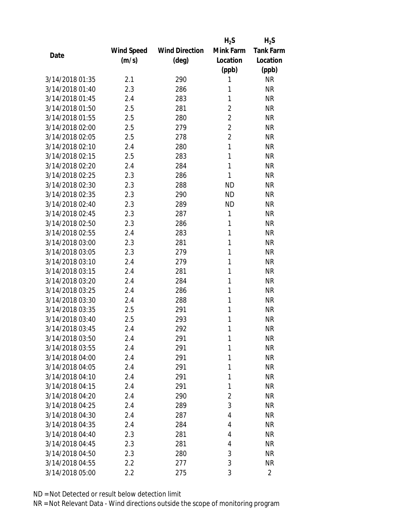|                 |            |                       | $H_2S$         | $H_2S$           |
|-----------------|------------|-----------------------|----------------|------------------|
|                 | Wind Speed | <b>Wind Direction</b> | Mink Farm      | <b>Tank Farm</b> |
| Date            | (m/s)      | $(\text{deg})$        | Location       | Location         |
|                 |            |                       | (ppb)          | (ppb)            |
| 3/14/2018 01:35 | 2.1        | 290                   | 1              | <b>NR</b>        |
| 3/14/2018 01:40 | 2.3        | 286                   | 1              | <b>NR</b>        |
| 3/14/2018 01:45 | 2.4        | 283                   | 1              | <b>NR</b>        |
| 3/14/2018 01:50 | 2.5        | 281                   | $\overline{2}$ | <b>NR</b>        |
| 3/14/2018 01:55 | 2.5        | 280                   | $\overline{2}$ | <b>NR</b>        |
| 3/14/2018 02:00 | 2.5        | 279                   | $\overline{2}$ | <b>NR</b>        |
| 3/14/2018 02:05 | 2.5        | 278                   | $\overline{2}$ | <b>NR</b>        |
| 3/14/2018 02:10 | 2.4        | 280                   | 1              | <b>NR</b>        |
| 3/14/2018 02:15 | 2.5        | 283                   | 1              | <b>NR</b>        |
| 3/14/2018 02:20 | 2.4        | 284                   | 1              | <b>NR</b>        |
| 3/14/2018 02:25 | 2.3        | 286                   | 1              | <b>NR</b>        |
| 3/14/2018 02:30 | 2.3        | 288                   | <b>ND</b>      | <b>NR</b>        |
| 3/14/2018 02:35 | 2.3        | 290                   | <b>ND</b>      | <b>NR</b>        |
| 3/14/2018 02:40 | 2.3        | 289                   | <b>ND</b>      | <b>NR</b>        |
| 3/14/2018 02:45 | 2.3        | 287                   | 1              | <b>NR</b>        |
| 3/14/2018 02:50 | 2.3        | 286                   | 1              | <b>NR</b>        |
| 3/14/2018 02:55 | 2.4        | 283                   | 1              | <b>NR</b>        |
| 3/14/2018 03:00 | 2.3        | 281                   | 1              | <b>NR</b>        |
| 3/14/2018 03:05 | 2.3        | 279                   | 1              | <b>NR</b>        |
| 3/14/2018 03:10 | 2.4        | 279                   | 1              | <b>NR</b>        |
| 3/14/2018 03:15 | 2.4        | 281                   | 1              | <b>NR</b>        |
| 3/14/2018 03:20 | 2.4        | 284                   | 1              | <b>NR</b>        |
| 3/14/2018 03:25 | 2.4        | 286                   | 1              | <b>NR</b>        |
| 3/14/2018 03:30 | 2.4        | 288                   | 1              | <b>NR</b>        |
| 3/14/2018 03:35 | 2.5        | 291                   | 1              | <b>NR</b>        |
| 3/14/2018 03:40 | 2.5        | 293                   | 1              | <b>NR</b>        |
| 3/14/2018 03:45 | 2.4        | 292                   | 1              | <b>NR</b>        |
| 3/14/2018 03:50 | 2.4        | 291                   | 1              | <b>NR</b>        |
| 3/14/2018 03:55 | 2.4        | 291                   | 1              | <b>NR</b>        |
| 3/14/2018 04:00 | 2.4        | 291                   | 1              | <b>NR</b>        |
| 3/14/2018 04:05 | 2.4        | 291                   | 1              | <b>NR</b>        |
| 3/14/2018 04:10 | 2.4        | 291                   | 1              | <b>NR</b>        |
| 3/14/2018 04:15 | 2.4        | 291                   | 1              | <b>NR</b>        |
| 3/14/2018 04:20 | 2.4        | 290                   | $\overline{2}$ | <b>NR</b>        |
| 3/14/2018 04:25 | 2.4        | 289                   | 3              | <b>NR</b>        |
| 3/14/2018 04:30 | 2.4        | 287                   | 4              | <b>NR</b>        |
| 3/14/2018 04:35 | 2.4        | 284                   | 4              | <b>NR</b>        |
| 3/14/2018 04:40 | 2.3        | 281                   | 4              | <b>NR</b>        |
| 3/14/2018 04:45 | 2.3        | 281                   | 4              | <b>NR</b>        |
| 3/14/2018 04:50 | 2.3        | 280                   | 3              | <b>NR</b>        |
| 3/14/2018 04:55 | 2.2        | 277                   | 3              | <b>NR</b>        |
| 3/14/2018 05:00 | 2.2        | 275                   | 3              | $\overline{2}$   |
|                 |            |                       |                |                  |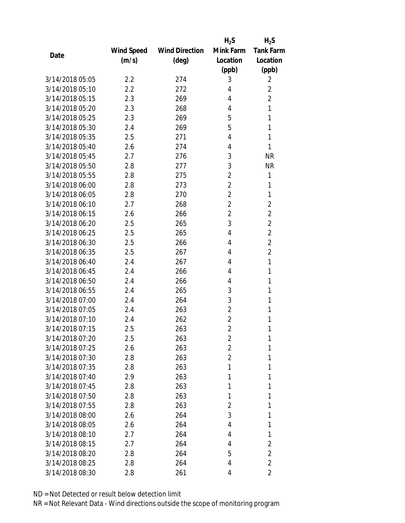|                 |            |                       | $H_2S$         | $H_2S$           |
|-----------------|------------|-----------------------|----------------|------------------|
|                 | Wind Speed | <b>Wind Direction</b> | Mink Farm      | <b>Tank Farm</b> |
| Date            | (m/s)      | (deg)                 | Location       | Location         |
|                 |            |                       | (ppb)          | (ppb)            |
| 3/14/2018 05:05 | 2.2        | 274                   | 3              | 2                |
| 3/14/2018 05:10 | 2.2        | 272                   | 4              | $\overline{2}$   |
| 3/14/2018 05:15 | 2.3        | 269                   | 4              | $\overline{2}$   |
| 3/14/2018 05:20 | 2.3        | 268                   | 4              | 1                |
| 3/14/2018 05:25 | 2.3        | 269                   | 5              | 1                |
| 3/14/2018 05:30 | 2.4        | 269                   | 5              | 1                |
| 3/14/2018 05:35 | 2.5        | 271                   | 4              | 1                |
| 3/14/2018 05:40 | 2.6        | 274                   | 4              | 1                |
| 3/14/2018 05:45 | 2.7        | 276                   | 3              | <b>NR</b>        |
| 3/14/2018 05:50 | 2.8        | 277                   | 3              | <b>NR</b>        |
| 3/14/2018 05:55 | 2.8        | 275                   | $\overline{2}$ | 1                |
| 3/14/2018 06:00 | 2.8        | 273                   | 2              | 1                |
| 3/14/2018 06:05 | 2.8        | 270                   | $\overline{2}$ | 1                |
| 3/14/2018 06:10 | 2.7        | 268                   | 2              | $\overline{2}$   |
| 3/14/2018 06:15 | 2.6        | 266                   | $\overline{2}$ | $\overline{2}$   |
| 3/14/2018 06:20 | 2.5        | 265                   | 3              | $\overline{2}$   |
| 3/14/2018 06:25 | 2.5        | 265                   | 4              | $\overline{2}$   |
| 3/14/2018 06:30 | 2.5        | 266                   | 4              | $\overline{2}$   |
| 3/14/2018 06:35 | 2.5        | 267                   | 4              | $\overline{2}$   |
| 3/14/2018 06:40 | 2.4        | 267                   | 4              | 1                |
| 3/14/2018 06:45 | 2.4        | 266                   | 4              | 1                |
| 3/14/2018 06:50 | 2.4        | 266                   | 4              | 1                |
| 3/14/2018 06:55 | 2.4        | 265                   | 3              | 1                |
| 3/14/2018 07:00 | 2.4        | 264                   | 3              | 1                |
| 3/14/2018 07:05 | 2.4        | 263                   | 2              | 1                |
| 3/14/2018 07:10 | 2.4        | 262                   | 2              | 1                |
| 3/14/2018 07:15 | 2.5        | 263                   | $\overline{2}$ | 1                |
| 3/14/2018 07:20 | 2.5        | 263                   | 2              | 1                |
| 3/14/2018 07:25 | 2.6        | 263                   | 2              | 1                |
| 3/14/2018 07:30 | 2.8        | 263                   | $\overline{2}$ | 1                |
| 3/14/2018 07:35 | 2.8        | 263                   | 1              | 1                |
| 3/14/2018 07:40 | 2.9        | 263                   | 1              | 1                |
| 3/14/2018 07:45 | 2.8        | 263                   | 1              | 1                |
| 3/14/2018 07:50 | 2.8        | 263                   | 1              | 1                |
| 3/14/2018 07:55 | 2.8        | 263                   | 2              | 1                |
| 3/14/2018 08:00 | 2.6        | 264                   | 3              | 1                |
| 3/14/2018 08:05 | 2.6        | 264                   | 4              | 1                |
| 3/14/2018 08:10 | 2.7        | 264                   | 4              | 1                |
| 3/14/2018 08:15 | 2.7        | 264                   | 4              | 2                |
| 3/14/2018 08:20 | 2.8        | 264                   | 5              | 2                |
| 3/14/2018 08:25 | 2.8        | 264                   | 4              | $\overline{2}$   |
| 3/14/2018 08:30 | 2.8        | 261                   | 4              | 2                |
|                 |            |                       |                |                  |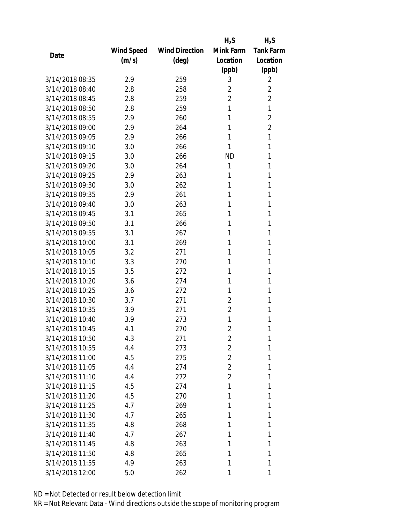|                 |            |                       | $H_2S$         | $H_2S$           |
|-----------------|------------|-----------------------|----------------|------------------|
|                 | Wind Speed | <b>Wind Direction</b> | Mink Farm      | <b>Tank Farm</b> |
| Date            | (m/s)      | $(\text{deg})$        | Location       | Location         |
|                 |            |                       | (ppb)          | (ppb)            |
| 3/14/2018 08:35 | 2.9        | 259                   | 3              | 2                |
| 3/14/2018 08:40 | 2.8        | 258                   | 2              | $\overline{2}$   |
| 3/14/2018 08:45 | 2.8        | 259                   | $\overline{2}$ | $\overline{2}$   |
| 3/14/2018 08:50 | 2.8        | 259                   | 1              | 1                |
| 3/14/2018 08:55 | 2.9        | 260                   | 1              | $\overline{2}$   |
| 3/14/2018 09:00 | 2.9        | 264                   | 1              | $\overline{2}$   |
| 3/14/2018 09:05 | 2.9        | 266                   | 1              | 1                |
| 3/14/2018 09:10 | 3.0        | 266                   | 1              | 1                |
| 3/14/2018 09:15 | 3.0        | 266                   | ND             | 1                |
| 3/14/2018 09:20 | 3.0        | 264                   | 1              | 1                |
| 3/14/2018 09:25 | 2.9        | 263                   | 1              | 1                |
| 3/14/2018 09:30 | 3.0        | 262                   | 1              | 1                |
| 3/14/2018 09:35 | 2.9        | 261                   | 1              | 1                |
| 3/14/2018 09:40 | 3.0        | 263                   | 1              | 1                |
| 3/14/2018 09:45 | 3.1        | 265                   | 1              | 1                |
| 3/14/2018 09:50 | 3.1        | 266                   | 1              | 1                |
| 3/14/2018 09:55 | 3.1        | 267                   | 1              | 1                |
| 3/14/2018 10:00 | 3.1        | 269                   | 1              | 1                |
| 3/14/2018 10:05 | 3.2        | 271                   | 1              | 1                |
| 3/14/2018 10:10 | 3.3        | 270                   | 1              | 1                |
| 3/14/2018 10:15 | 3.5        | 272                   | 1              | 1                |
| 3/14/2018 10:20 | 3.6        | 274                   | 1              | 1                |
| 3/14/2018 10:25 | 3.6        | 272                   | 1              | 1                |
| 3/14/2018 10:30 | 3.7        | 271                   | 2              | 1                |
| 3/14/2018 10:35 | 3.9        | 271                   | $\overline{2}$ | 1                |
| 3/14/2018 10:40 | 3.9        | 273                   | 1              | 1                |
| 3/14/2018 10:45 | 4.1        | 270                   | $\overline{2}$ | 1                |
| 3/14/2018 10:50 | 4.3        | 271                   | 2              | 1                |
| 3/14/2018 10:55 | 4.4        | 273                   | 2              | 1                |
| 3/14/2018 11:00 | 4.5        | 275                   | 2              | 1                |
| 3/14/2018 11:05 | 4.4        | 274                   | $\overline{2}$ | 1                |
| 3/14/2018 11:10 | 4.4        | 272                   | $\overline{2}$ | 1                |
| 3/14/2018 11:15 | 4.5        | 274                   | 1              | 1                |
| 3/14/2018 11:20 | 4.5        | 270                   | 1              | 1                |
| 3/14/2018 11:25 | 4.7        | 269                   | 1              | 1                |
| 3/14/2018 11:30 | 4.7        | 265                   | 1              | 1                |
| 3/14/2018 11:35 | 4.8        | 268                   | 1              | 1                |
| 3/14/2018 11:40 | 4.7        | 267                   | 1              | 1                |
| 3/14/2018 11:45 | 4.8        | 263                   | 1              | 1                |
| 3/14/2018 11:50 | 4.8        | 265                   | 1              | 1                |
| 3/14/2018 11:55 | 4.9        | 263                   | 1              | 1                |
| 3/14/2018 12:00 | 5.0        | 262                   | 1              | 1                |
|                 |            |                       |                |                  |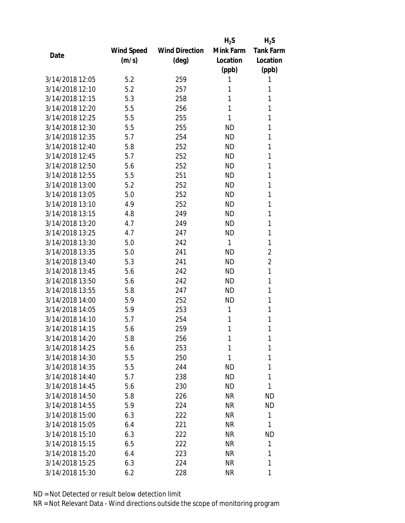|                 |                   |                       | $H_2S$    | $H_2S$           |
|-----------------|-------------------|-----------------------|-----------|------------------|
|                 | <b>Wind Speed</b> | <b>Wind Direction</b> | Mink Farm | <b>Tank Farm</b> |
| Date            | (m/s)             | (deg)                 | Location  | Location         |
|                 |                   |                       | (ppb)     | (ppb)            |
| 3/14/2018 12:05 | 5.2               | 259                   | 1         | 1                |
| 3/14/2018 12:10 | 5.2               | 257                   | 1         | 1                |
| 3/14/2018 12:15 | 5.3               | 258                   | 1         | 1                |
| 3/14/2018 12:20 | 5.5               | 256                   | 1         | 1                |
| 3/14/2018 12:25 | 5.5               | 255                   | 1         | 1                |
| 3/14/2018 12:30 | 5.5               | 255                   | ND        | 1                |
| 3/14/2018 12:35 | 5.7               | 254                   | <b>ND</b> | 1                |
| 3/14/2018 12:40 | 5.8               | 252                   | <b>ND</b> | 1                |
| 3/14/2018 12:45 | 5.7               | 252                   | <b>ND</b> | 1                |
| 3/14/2018 12:50 | 5.6               | 252                   | <b>ND</b> | 1                |
| 3/14/2018 12:55 | 5.5               | 251                   | <b>ND</b> | 1                |
| 3/14/2018 13:00 | 5.2               | 252                   | <b>ND</b> | 1                |
| 3/14/2018 13:05 | 5.0               | 252                   | <b>ND</b> | 1                |
| 3/14/2018 13:10 | 4.9               | 252                   | <b>ND</b> | 1                |
| 3/14/2018 13:15 | 4.8               | 249                   | <b>ND</b> | 1                |
| 3/14/2018 13:20 | 4.7               | 249                   | <b>ND</b> | 1                |
| 3/14/2018 13:25 | 4.7               | 247                   | <b>ND</b> | 1                |
| 3/14/2018 13:30 | 5.0               | 242                   | 1         | 1                |
| 3/14/2018 13:35 | 5.0               | 241                   | <b>ND</b> | $\overline{2}$   |
| 3/14/2018 13:40 | 5.3               | 241                   | <b>ND</b> | $\overline{2}$   |
| 3/14/2018 13:45 | 5.6               | 242                   | <b>ND</b> | 1                |
| 3/14/2018 13:50 | 5.6               | 242                   | <b>ND</b> | 1                |
| 3/14/2018 13:55 | 5.8               | 247                   | <b>ND</b> | 1                |
| 3/14/2018 14:00 | 5.9               | 252                   | <b>ND</b> | 1                |
| 3/14/2018 14:05 | 5.9               | 253                   | 1         | 1                |
| 3/14/2018 14:10 | 5.7               | 254                   | 1         | 1                |
| 3/14/2018 14:15 | 5.6               | 259                   | 1         | 1                |
| 3/14/2018 14:20 | 5.8               | 256                   | 1         | 1                |
| 3/14/2018 14:25 | 5.6               | 253                   | 1         | 1                |
| 3/14/2018 14:30 | 5.5               | 250                   | 1         | 1                |
| 3/14/2018 14:35 | 5.5               | 244                   | <b>ND</b> | 1                |
| 3/14/2018 14:40 | 5.7               | 238                   | ND        | 1                |
| 3/14/2018 14:45 | 5.6               | 230                   | ND        | 1                |
| 3/14/2018 14:50 | 5.8               | 226                   | <b>NR</b> | ND               |
| 3/14/2018 14:55 | 5.9               | 224                   | NR        | ND               |
| 3/14/2018 15:00 | 6.3               | 222                   | <b>NR</b> | 1                |
| 3/14/2018 15:05 | 6.4               | 221                   | ΝR        | 1                |
| 3/14/2018 15:10 | 6.3               | 222                   | ΝR        | <b>ND</b>        |
| 3/14/2018 15:15 | 6.5               | 222                   | NR        | 1                |
| 3/14/2018 15:20 | 6.4               | 223                   | ΝR        | 1                |
| 3/14/2018 15:25 | 6.3               | 224                   | <b>NR</b> | 1                |
| 3/14/2018 15:30 | 6.2               | 228                   | <b>NR</b> | 1                |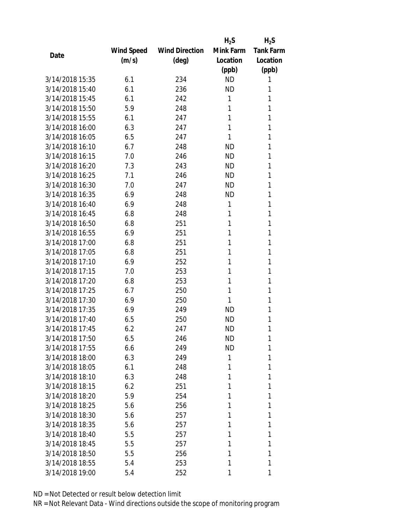|                 |            |                       | $H_2S$    | $H_2S$           |
|-----------------|------------|-----------------------|-----------|------------------|
|                 | Wind Speed | <b>Wind Direction</b> | Mink Farm | <b>Tank Farm</b> |
| Date            | (m/s)      | $(\text{deg})$        | Location  | Location         |
|                 |            |                       | (ppb)     | (ppb)            |
| 3/14/2018 15:35 | 6.1        | 234                   | <b>ND</b> | 1                |
| 3/14/2018 15:40 | 6.1        | 236                   | <b>ND</b> | 1                |
| 3/14/2018 15:45 | 6.1        | 242                   | 1         | 1                |
| 3/14/2018 15:50 | 5.9        | 248                   | 1         | 1                |
| 3/14/2018 15:55 | 6.1        | 247                   | 1         | 1                |
| 3/14/2018 16:00 | 6.3        | 247                   | 1         | 1                |
| 3/14/2018 16:05 | 6.5        | 247                   | 1         | 1                |
| 3/14/2018 16:10 | 6.7        | 248                   | <b>ND</b> | 1                |
| 3/14/2018 16:15 | 7.0        | 246                   | <b>ND</b> | 1                |
| 3/14/2018 16:20 | 7.3        | 243                   | <b>ND</b> | 1                |
| 3/14/2018 16:25 | 7.1        | 246                   | <b>ND</b> | 1                |
| 3/14/2018 16:30 | 7.0        | 247                   | <b>ND</b> | 1                |
| 3/14/2018 16:35 | 6.9        | 248                   | <b>ND</b> | 1                |
| 3/14/2018 16:40 | 6.9        | 248                   | 1         | 1                |
| 3/14/2018 16:45 | 6.8        | 248                   | 1         | 1                |
| 3/14/2018 16:50 | 6.8        | 251                   | 1         | 1                |
| 3/14/2018 16:55 | 6.9        | 251                   | 1         | 1                |
| 3/14/2018 17:00 | 6.8        | 251                   | 1         | 1                |
| 3/14/2018 17:05 | 6.8        | 251                   | 1         | 1                |
| 3/14/2018 17:10 | 6.9        | 252                   | 1         | 1                |
| 3/14/2018 17:15 | 7.0        | 253                   | 1         | 1                |
| 3/14/2018 17:20 | 6.8        | 253                   | 1         | 1                |
| 3/14/2018 17:25 | 6.7        | 250                   | 1         | 1                |
| 3/14/2018 17:30 | 6.9        | 250                   | 1         | 1                |
| 3/14/2018 17:35 | 6.9        | 249                   | ND        | 1                |
| 3/14/2018 17:40 | 6.5        | 250                   | <b>ND</b> | 1                |
| 3/14/2018 17:45 | 6.2        | 247                   | <b>ND</b> | 1                |
| 3/14/2018 17:50 | 6.5        | 246                   | ND        | 1                |
| 3/14/2018 17:55 | 6.6        | 249                   | <b>ND</b> | 1                |
| 3/14/2018 18:00 | 6.3        | 249                   | 1         | 1                |
| 3/14/2018 18:05 | 6.1        | 248                   | 1         | 1                |
| 3/14/2018 18:10 | 6.3        | 248                   | 1         | 1                |
| 3/14/2018 18:15 | 6.2        | 251                   | 1         | 1                |
| 3/14/2018 18:20 | 5.9        | 254                   | 1         | 1                |
| 3/14/2018 18:25 | 5.6        | 256                   | 1         | 1                |
| 3/14/2018 18:30 | 5.6        | 257                   | 1         | 1                |
| 3/14/2018 18:35 | 5.6        | 257                   | 1         | 1                |
| 3/14/2018 18:40 | 5.5        | 257                   | 1         | 1                |
| 3/14/2018 18:45 | 5.5        | 257                   | 1         | 1                |
| 3/14/2018 18:50 | 5.5        | 256                   | 1         | 1                |
| 3/14/2018 18:55 | 5.4        | 253                   | 1         | 1                |
| 3/14/2018 19:00 | 5.4        | 252                   | 1         | 1                |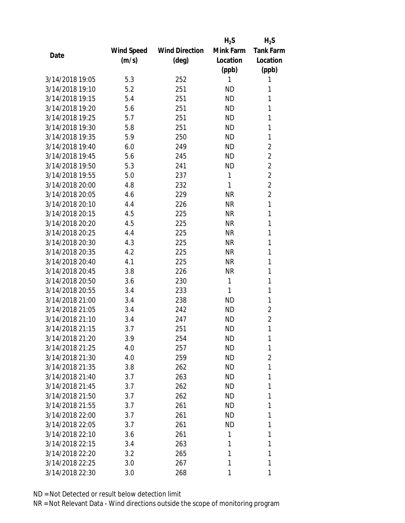|                 |                   |                       | $H_2S$    | $H_2S$           |
|-----------------|-------------------|-----------------------|-----------|------------------|
|                 | <b>Wind Speed</b> | <b>Wind Direction</b> | Mink Farm | <b>Tank Farm</b> |
| Date            | (m/s)             | (deg)                 | Location  | Location         |
|                 |                   |                       | (ppb)     | (ppb)            |
| 3/14/2018 19:05 | 5.3               | 252                   | 1         | 1                |
| 3/14/2018 19:10 | 5.2               | 251                   | <b>ND</b> | 1                |
| 3/14/2018 19:15 | 5.4               | 251                   | <b>ND</b> | 1                |
| 3/14/2018 19:20 | 5.6               | 251                   | <b>ND</b> | 1                |
| 3/14/2018 19:25 | 5.7               | 251                   | <b>ND</b> | 1                |
| 3/14/2018 19:30 | 5.8               | 251                   | <b>ND</b> | 1                |
| 3/14/2018 19:35 | 5.9               | 250                   | <b>ND</b> | 1                |
| 3/14/2018 19:40 | 6.0               | 249                   | <b>ND</b> | $\overline{2}$   |
| 3/14/2018 19:45 | 5.6               | 245                   | <b>ND</b> | $\overline{2}$   |
| 3/14/2018 19:50 | 5.3               | 241                   | <b>ND</b> | $\overline{2}$   |
| 3/14/2018 19:55 | 5.0               | 237                   | 1         | $\overline{2}$   |
| 3/14/2018 20:00 | 4.8               | 232                   | 1         | $\overline{2}$   |
| 3/14/2018 20:05 | 4.6               | 229                   | <b>NR</b> | $\overline{2}$   |
| 3/14/2018 20:10 | 4.4               | 226                   | <b>NR</b> | 1                |
| 3/14/2018 20:15 | 4.5               | 225                   | <b>NR</b> | 1                |
| 3/14/2018 20:20 | 4.5               | 225                   | <b>NR</b> | 1                |
| 3/14/2018 20:25 | 4.4               | 225                   | <b>NR</b> | 1                |
| 3/14/2018 20:30 | 4.3               | 225                   | <b>NR</b> | 1                |
| 3/14/2018 20:35 | 4.2               | 225                   | <b>NR</b> | 1                |
| 3/14/2018 20:40 | 4.1               | 225                   | <b>NR</b> | 1                |
| 3/14/2018 20:45 | 3.8               | 226                   | <b>NR</b> | 1                |
| 3/14/2018 20:50 | 3.6               | 230                   | 1         | 1                |
| 3/14/2018 20:55 | 3.4               | 233                   | 1         | 1                |
| 3/14/2018 21:00 | 3.4               | 238                   | <b>ND</b> | 1                |
| 3/14/2018 21:05 | 3.4               | 242                   | <b>ND</b> | $\overline{2}$   |
| 3/14/2018 21:10 | 3.4               | 247                   | <b>ND</b> | $\overline{2}$   |
| 3/14/2018 21:15 | 3.7               | 251                   | <b>ND</b> | 1                |
| 3/14/2018 21:20 | 3.9               | 254                   | ND        | 1                |
| 3/14/2018 21:25 | 4.0               | 257                   | <b>ND</b> | 1                |
| 3/14/2018 21:30 | 4.0               | 259                   | ND        | $\overline{2}$   |
| 3/14/2018 21:35 | 3.8               | 262                   | ND        | 1                |
| 3/14/2018 21:40 | 3.7               | 263                   | ND.       | 1                |
| 3/14/2018 21:45 | 3.7               | 262                   | ND        | 1                |
| 3/14/2018 21:50 | 3.7               | 262                   | <b>ND</b> | 1                |
| 3/14/2018 21:55 | 3.7               | 261                   | ND.       | 1                |
| 3/14/2018 22:00 | 3.7               | 261                   | ND        | 1                |
| 3/14/2018 22:05 | 3.7               | 261                   | ND        | 1                |
| 3/14/2018 22:10 | 3.6               | 261                   | 1         | 1                |
| 3/14/2018 22:15 | 3.4               | 263                   | 1         | 1                |
| 3/14/2018 22:20 | 3.2               | 265                   | 1         | 1                |
| 3/14/2018 22:25 | 3.0               | 267                   | 1         | 1                |
|                 |                   |                       |           |                  |
| 3/14/2018 22:30 | 3.0               | 268                   | 1         | 1                |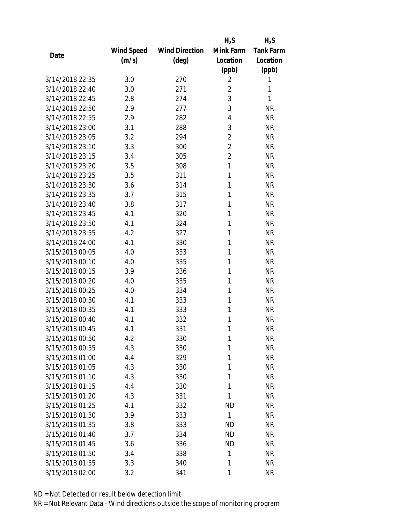|                 |            |                       | $H_2S$         | $H_2S$           |
|-----------------|------------|-----------------------|----------------|------------------|
|                 | Wind Speed | <b>Wind Direction</b> | Mink Farm      | <b>Tank Farm</b> |
| Date            | (m/s)      | $(\text{deg})$        | Location       | Location         |
|                 |            |                       | (ppb)          | (ppb)            |
| 3/14/2018 22:35 | 3.0        | 270                   | $\overline{2}$ | 1                |
| 3/14/2018 22:40 | 3.0        | 271                   | $\overline{2}$ | 1                |
| 3/14/2018 22:45 | 2.8        | 274                   | 3              | 1                |
| 3/14/2018 22:50 | 2.9        | 277                   | 3              | <b>NR</b>        |
| 3/14/2018 22:55 | 2.9        | 282                   | 4              | <b>NR</b>        |
| 3/14/2018 23:00 | 3.1        | 288                   | 3              | <b>NR</b>        |
| 3/14/2018 23:05 | 3.2        | 294                   | 2              | <b>NR</b>        |
| 3/14/2018 23:10 | 3.3        | 300                   | $\overline{2}$ | <b>NR</b>        |
| 3/14/2018 23:15 | 3.4        | 305                   | $\overline{2}$ | <b>NR</b>        |
| 3/14/2018 23:20 | 3.5        | 308                   | 1              | <b>NR</b>        |
| 3/14/2018 23:25 | 3.5        | 311                   | 1              | <b>NR</b>        |
| 3/14/2018 23:30 | 3.6        | 314                   | 1              | <b>NR</b>        |
| 3/14/2018 23:35 | 3.7        | 315                   | 1              | <b>NR</b>        |
| 3/14/2018 23:40 | 3.8        | 317                   | 1              | <b>NR</b>        |
| 3/14/2018 23:45 | 4.1        | 320                   | 1              | <b>NR</b>        |
| 3/14/2018 23:50 | 4.1        | 324                   | 1              | <b>NR</b>        |
| 3/14/2018 23:55 | 4.2        | 327                   | 1              | <b>NR</b>        |
| 3/14/2018 24:00 | 4.1        | 330                   | 1              | <b>NR</b>        |
| 3/15/2018 00:05 | 4.0        | 333                   | 1              | <b>NR</b>        |
| 3/15/2018 00:10 | 4.0        | 335                   | 1              | <b>NR</b>        |
| 3/15/2018 00:15 | 3.9        | 336                   | 1              | <b>NR</b>        |
| 3/15/2018 00:20 | 4.0        | 335                   | 1              | <b>NR</b>        |
| 3/15/2018 00:25 | 4.0        | 334                   | 1              | <b>NR</b>        |
| 3/15/2018 00:30 | 4.1        | 333                   | 1              | <b>NR</b>        |
| 3/15/2018 00:35 | 4.1        | 333                   | 1              | <b>NR</b>        |
| 3/15/2018 00:40 | 4.1        | 332                   | 1              | <b>NR</b>        |
| 3/15/2018 00:45 | 4.1        | 331                   | 1              | <b>NR</b>        |
| 3/15/2018 00:50 | 4.2        | 330                   | 1              | <b>NR</b>        |
| 3/15/2018 00:55 | 4.3        | 330                   | 1              | <b>NR</b>        |
| 3/15/2018 01:00 | 4.4        | 329                   | 1              | <b>NR</b>        |
| 3/15/2018 01:05 | 4.3        | 330                   | 1              | <b>NR</b>        |
| 3/15/2018 01:10 | 4.3        | 330                   | 1              | <b>NR</b>        |
| 3/15/2018 01:15 | 4.4        | 330                   | 1              | <b>NR</b>        |
| 3/15/2018 01:20 | 4.3        | 331                   | 1              | <b>NR</b>        |
| 3/15/2018 01:25 | 4.1        | 332                   | <b>ND</b>      | <b>NR</b>        |
| 3/15/2018 01:30 | 3.9        | 333                   | 1              | <b>NR</b>        |
| 3/15/2018 01:35 | 3.8        | 333                   | <b>ND</b>      | <b>NR</b>        |
| 3/15/2018 01:40 | 3.7        | 334                   | <b>ND</b>      | <b>NR</b>        |
| 3/15/2018 01:45 | 3.6        | 336                   | <b>ND</b>      | <b>NR</b>        |
| 3/15/2018 01:50 | 3.4        | 338                   | 1              | <b>NR</b>        |
| 3/15/2018 01:55 | 3.3        | 340                   | 1              | <b>NR</b>        |
| 3/15/2018 02:00 | 3.2        | 341                   | 1              | <b>NR</b>        |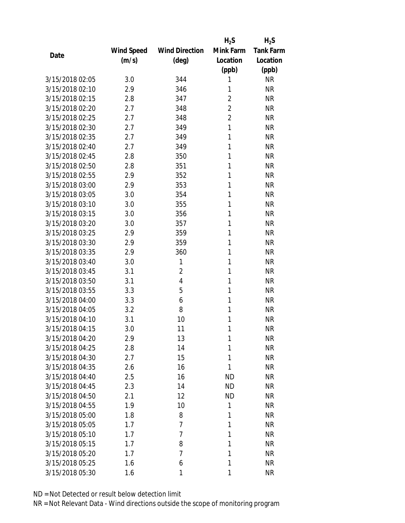|                 |            |                       | $H_2S$         | $H_2S$           |
|-----------------|------------|-----------------------|----------------|------------------|
|                 | Wind Speed | <b>Wind Direction</b> | Mink Farm      | <b>Tank Farm</b> |
| Date            | (m/s)      | $(\text{deg})$        | Location       | Location         |
|                 |            |                       | (ppb)          | (ppb)            |
| 3/15/2018 02:05 | 3.0        | 344                   | 1              | <b>NR</b>        |
| 3/15/2018 02:10 | 2.9        | 346                   | 1              | <b>NR</b>        |
| 3/15/2018 02:15 | 2.8        | 347                   | $\overline{2}$ | <b>NR</b>        |
| 3/15/2018 02:20 | 2.7        | 348                   | $\overline{2}$ | <b>NR</b>        |
| 3/15/2018 02:25 | 2.7        | 348                   | $\overline{2}$ | <b>NR</b>        |
| 3/15/2018 02:30 | 2.7        | 349                   | 1              | <b>NR</b>        |
| 3/15/2018 02:35 | 2.7        | 349                   | 1              | <b>NR</b>        |
| 3/15/2018 02:40 | 2.7        | 349                   | 1              | <b>NR</b>        |
| 3/15/2018 02:45 | 2.8        | 350                   | 1              | <b>NR</b>        |
| 3/15/2018 02:50 | 2.8        | 351                   | 1              | <b>NR</b>        |
| 3/15/2018 02:55 | 2.9        | 352                   | 1              | <b>NR</b>        |
| 3/15/2018 03:00 | 2.9        | 353                   | 1              | <b>NR</b>        |
| 3/15/2018 03:05 | 3.0        | 354                   | 1              | <b>NR</b>        |
| 3/15/2018 03:10 | 3.0        | 355                   | 1              | <b>NR</b>        |
| 3/15/2018 03:15 | 3.0        | 356                   | 1              | <b>NR</b>        |
| 3/15/2018 03:20 | 3.0        | 357                   | 1              | <b>NR</b>        |
| 3/15/2018 03:25 | 2.9        | 359                   | 1              | <b>NR</b>        |
| 3/15/2018 03:30 | 2.9        | 359                   | 1              | <b>NR</b>        |
| 3/15/2018 03:35 | 2.9        | 360                   | 1              | <b>NR</b>        |
| 3/15/2018 03:40 | 3.0        | 1                     | 1              | <b>NR</b>        |
| 3/15/2018 03:45 | 3.1        | $\overline{2}$        | 1              | <b>NR</b>        |
| 3/15/2018 03:50 | 3.1        | 4                     | 1              | <b>NR</b>        |
| 3/15/2018 03:55 | 3.3        | 5                     | 1              | <b>NR</b>        |
| 3/15/2018 04:00 | 3.3        | 6                     | 1              | <b>NR</b>        |
| 3/15/2018 04:05 | 3.2        | 8                     | 1              | <b>NR</b>        |
| 3/15/2018 04:10 | 3.1        | 10                    | 1              | <b>NR</b>        |
| 3/15/2018 04:15 | 3.0        | 11                    | 1              | <b>NR</b>        |
| 3/15/2018 04:20 | 2.9        | 13                    | 1              | <b>NR</b>        |
| 3/15/2018 04:25 | 2.8        | 14                    | 1              | <b>NR</b>        |
| 3/15/2018 04:30 | 2.7        | 15                    | 1              | <b>NR</b>        |
| 3/15/2018 04:35 | 2.6        | 16                    | 1              | <b>NR</b>        |
| 3/15/2018 04:40 | 2.5        | 16                    | <b>ND</b>      | <b>NR</b>        |
| 3/15/2018 04:45 | 2.3        | 14                    | <b>ND</b>      | <b>NR</b>        |
| 3/15/2018 04:50 | 2.1        | 12                    | <b>ND</b>      | <b>NR</b>        |
| 3/15/2018 04:55 | 1.9        | 10                    | 1              | <b>NR</b>        |
| 3/15/2018 05:00 | 1.8        | 8                     | 1              | <b>NR</b>        |
| 3/15/2018 05:05 | 1.7        | $\overline{7}$        | 1              | <b>NR</b>        |
| 3/15/2018 05:10 | 1.7        | 7                     | 1              | <b>NR</b>        |
| 3/15/2018 05:15 | 1.7        | 8                     | 1              | <b>NR</b>        |
| 3/15/2018 05:20 | 1.7        | 7                     | 1              | <b>NR</b>        |
| 3/15/2018 05:25 | 1.6        | 6                     | 1              | <b>NR</b>        |
| 3/15/2018 05:30 |            | 1                     | 1              | <b>NR</b>        |
|                 | 1.6        |                       |                |                  |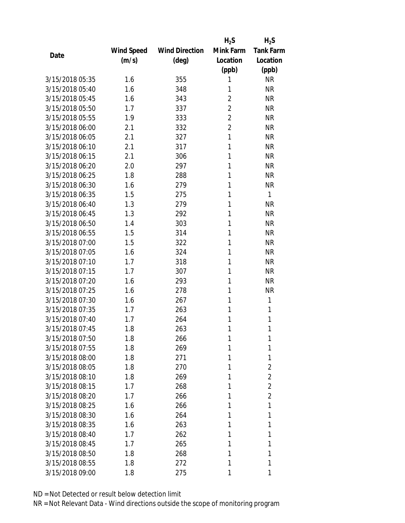|                 |            |                       | $H_2S$         | $H_2S$           |
|-----------------|------------|-----------------------|----------------|------------------|
|                 | Wind Speed | <b>Wind Direction</b> | Mink Farm      | <b>Tank Farm</b> |
| Date            | (m/s)      | (deg)                 | Location       | Location         |
|                 |            |                       | (ppb)          | (ppb)            |
| 3/15/2018 05:35 | 1.6        | 355                   | 1              | <b>NR</b>        |
| 3/15/2018 05:40 | 1.6        | 348                   | 1              | <b>NR</b>        |
| 3/15/2018 05:45 | 1.6        | 343                   | 2              | <b>NR</b>        |
| 3/15/2018 05:50 | 1.7        | 337                   | 2              | <b>NR</b>        |
| 3/15/2018 05:55 | 1.9        | 333                   | $\overline{2}$ | <b>NR</b>        |
| 3/15/2018 06:00 | 2.1        | 332                   | $\overline{2}$ | <b>NR</b>        |
| 3/15/2018 06:05 | 2.1        | 327                   | 1              | <b>NR</b>        |
| 3/15/2018 06:10 | 2.1        | 317                   | 1              | <b>NR</b>        |
| 3/15/2018 06:15 | 2.1        | 306                   | 1              | <b>NR</b>        |
| 3/15/2018 06:20 | 2.0        | 297                   | 1              | <b>NR</b>        |
| 3/15/2018 06:25 | 1.8        | 288                   | 1              | <b>NR</b>        |
| 3/15/2018 06:30 | 1.6        | 279                   | 1              | <b>NR</b>        |
| 3/15/2018 06:35 | 1.5        | 275                   | 1              | $\mathbf{1}$     |
| 3/15/2018 06:40 | 1.3        | 279                   | 1              | <b>NR</b>        |
| 3/15/2018 06:45 | 1.3        | 292                   | 1              | <b>NR</b>        |
| 3/15/2018 06:50 | 1.4        | 303                   | 1              | <b>NR</b>        |
| 3/15/2018 06:55 | 1.5        | 314                   | 1              | <b>NR</b>        |
| 3/15/2018 07:00 | 1.5        | 322                   | 1              | <b>NR</b>        |
| 3/15/2018 07:05 | 1.6        | 324                   | 1              | <b>NR</b>        |
| 3/15/2018 07:10 | 1.7        | 318                   | 1              | <b>NR</b>        |
| 3/15/2018 07:15 | 1.7        | 307                   | 1              | <b>NR</b>        |
| 3/15/2018 07:20 | 1.6        | 293                   | 1              | <b>NR</b>        |
| 3/15/2018 07:25 | 1.6        | 278                   | 1              | <b>NR</b>        |
| 3/15/2018 07:30 | 1.6        | 267                   | 1              | 1                |
| 3/15/2018 07:35 | 1.7        | 263                   | 1              | 1                |
| 3/15/2018 07:40 | 1.7        | 264                   | 1              | 1                |
| 3/15/2018 07:45 | 1.8        | 263                   | 1              | 1                |
| 3/15/2018 07:50 | 1.8        | 266                   | 1              | 1                |
| 3/15/2018 07:55 | 1.8        | 269                   | 1              | 1                |
| 3/15/2018 08:00 | 1.8        | 271                   | 1              | 1                |
| 3/15/2018 08:05 | 1.8        | 270                   | 1              | $\overline{2}$   |
| 3/15/2018 08:10 | 1.8        | 269                   | 1              | $\overline{2}$   |
| 3/15/2018 08:15 | 1.7        | 268                   | 1              | $\overline{2}$   |
| 3/15/2018 08:20 | 1.7        | 266                   | 1              | $\overline{2}$   |
| 3/15/2018 08:25 | 1.6        | 266                   | 1              | 1                |
| 3/15/2018 08:30 | 1.6        | 264                   | 1              | 1                |
| 3/15/2018 08:35 | 1.6        | 263                   | 1              | 1                |
| 3/15/2018 08:40 | 1.7        | 262                   | 1              | 1                |
| 3/15/2018 08:45 | 1.7        | 265                   | 1              | 1                |
| 3/15/2018 08:50 | 1.8        | 268                   | 1              | 1                |
| 3/15/2018 08:55 | 1.8        | 272                   | 1              | 1                |
| 3/15/2018 09:00 | 1.8        | 275                   | 1              | 1                |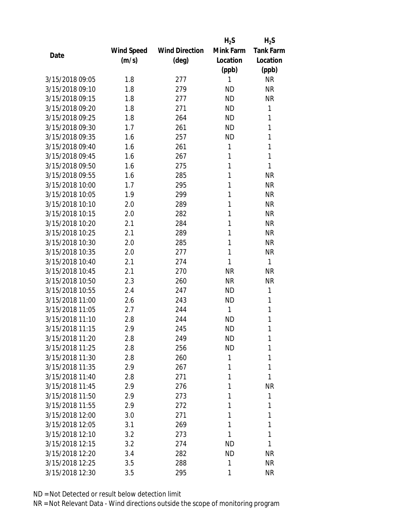|                 |            |                       | $H_2S$    | $H_2S$           |
|-----------------|------------|-----------------------|-----------|------------------|
|                 | Wind Speed | <b>Wind Direction</b> | Mink Farm | <b>Tank Farm</b> |
| Date            | (m/s)      | (deg)                 | Location  | Location         |
|                 |            |                       | (ppb)     | (ppb)            |
| 3/15/2018 09:05 | 1.8        | 277                   | 1         | <b>NR</b>        |
| 3/15/2018 09:10 | 1.8        | 279                   | <b>ND</b> | <b>NR</b>        |
| 3/15/2018 09:15 | 1.8        | 277                   | <b>ND</b> | <b>NR</b>        |
| 3/15/2018 09:20 | 1.8        | 271                   | <b>ND</b> | 1                |
| 3/15/2018 09:25 | 1.8        | 264                   | <b>ND</b> | 1                |
| 3/15/2018 09:30 | 1.7        | 261                   | <b>ND</b> | 1                |
| 3/15/2018 09:35 | 1.6        | 257                   | <b>ND</b> | 1                |
| 3/15/2018 09:40 | 1.6        | 261                   | 1         | 1                |
| 3/15/2018 09:45 | 1.6        | 267                   | 1         | $\mathbf{1}$     |
| 3/15/2018 09:50 | 1.6        | 275                   | 1         | 1                |
| 3/15/2018 09:55 | 1.6        | 285                   | 1         | <b>NR</b>        |
| 3/15/2018 10:00 | 1.7        | 295                   | 1         | <b>NR</b>        |
| 3/15/2018 10:05 | 1.9        | 299                   | 1         | <b>NR</b>        |
| 3/15/2018 10:10 | 2.0        | 289                   | 1         | <b>NR</b>        |
| 3/15/2018 10:15 | 2.0        | 282                   | 1         | <b>NR</b>        |
| 3/15/2018 10:20 | 2.1        | 284                   | 1         | <b>NR</b>        |
| 3/15/2018 10:25 | 2.1        | 289                   | 1         | <b>NR</b>        |
| 3/15/2018 10:30 | 2.0        | 285                   | 1         | <b>NR</b>        |
| 3/15/2018 10:35 | 2.0        | 277                   | 1         | <b>NR</b>        |
| 3/15/2018 10:40 | 2.1        | 274                   | 1         | $\mathbf{1}$     |
| 3/15/2018 10:45 | 2.1        | 270                   | <b>NR</b> | <b>NR</b>        |
| 3/15/2018 10:50 | 2.3        | 260                   | <b>NR</b> | <b>NR</b>        |
| 3/15/2018 10:55 | 2.4        | 247                   | <b>ND</b> | 1                |
| 3/15/2018 11:00 | 2.6        | 243                   | <b>ND</b> | 1                |
| 3/15/2018 11:05 | 2.7        | 244                   | 1         | 1                |
| 3/15/2018 11:10 | 2.8        | 244                   | <b>ND</b> | 1                |
| 3/15/2018 11:15 | 2.9        | 245                   | <b>ND</b> | 1                |
| 3/15/2018 11:20 | 2.8        | 249                   | ND        | 1                |
| 3/15/2018 11:25 | 2.8        | 256                   | <b>ND</b> | 1                |
| 3/15/2018 11:30 | 2.8        | 260                   | 1         | 1                |
| 3/15/2018 11:35 | 2.9        | 267                   | 1         | 1                |
| 3/15/2018 11:40 | 2.8        | 271                   | 1         | 1                |
| 3/15/2018 11:45 | 2.9        | 276                   | 1         | <b>NR</b>        |
| 3/15/2018 11:50 | 2.9        | 273                   | 1         | 1                |
| 3/15/2018 11:55 | 2.9        | 272                   | 1         | 1                |
| 3/15/2018 12:00 | 3.0        | 271                   | 1         | 1                |
| 3/15/2018 12:05 | 3.1        | 269                   | 1         | 1                |
| 3/15/2018 12:10 | 3.2        | 273                   | 1         | 1                |
| 3/15/2018 12:15 | 3.2        | 274                   | ND        | 1                |
| 3/15/2018 12:20 | 3.4        | 282                   | ND        | <b>NR</b>        |
| 3/15/2018 12:25 | 3.5        | 288                   | 1         | <b>NR</b>        |
| 3/15/2018 12:30 | 3.5        | 295                   | 1         | <b>NR</b>        |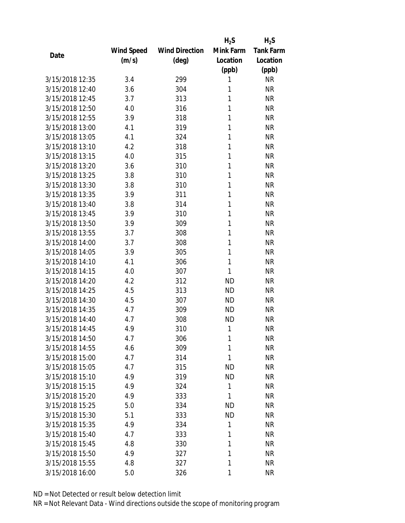|                 |            |                       | $H_2S$    | $H_2S$           |
|-----------------|------------|-----------------------|-----------|------------------|
|                 | Wind Speed | <b>Wind Direction</b> | Mink Farm | <b>Tank Farm</b> |
| Date            | (m/s)      | $(\text{deg})$        | Location  | Location         |
|                 |            |                       | (ppb)     | (ppb)            |
| 3/15/2018 12:35 | 3.4        | 299                   | 1         | <b>NR</b>        |
| 3/15/2018 12:40 | 3.6        | 304                   | 1         | <b>NR</b>        |
| 3/15/2018 12:45 | 3.7        | 313                   | 1         | <b>NR</b>        |
| 3/15/2018 12:50 | 4.0        | 316                   | 1         | <b>NR</b>        |
| 3/15/2018 12:55 | 3.9        | 318                   | 1         | <b>NR</b>        |
| 3/15/2018 13:00 | 4.1        | 319                   | 1         | <b>NR</b>        |
| 3/15/2018 13:05 | 4.1        | 324                   | 1         | <b>NR</b>        |
| 3/15/2018 13:10 | 4.2        | 318                   | 1         | <b>NR</b>        |
| 3/15/2018 13:15 | 4.0        | 315                   | 1         | <b>NR</b>        |
| 3/15/2018 13:20 | 3.6        | 310                   | 1         | <b>NR</b>        |
| 3/15/2018 13:25 | 3.8        | 310                   | 1         | <b>NR</b>        |
| 3/15/2018 13:30 | 3.8        | 310                   | 1         | <b>NR</b>        |
| 3/15/2018 13:35 | 3.9        | 311                   | 1         | <b>NR</b>        |
| 3/15/2018 13:40 | 3.8        | 314                   | 1         | <b>NR</b>        |
| 3/15/2018 13:45 | 3.9        | 310                   | 1         | <b>NR</b>        |
| 3/15/2018 13:50 | 3.9        | 309                   | 1         | <b>NR</b>        |
| 3/15/2018 13:55 | 3.7        | 308                   | 1         | <b>NR</b>        |
| 3/15/2018 14:00 | 3.7        | 308                   | 1         | <b>NR</b>        |
| 3/15/2018 14:05 | 3.9        | 305                   | 1         | <b>NR</b>        |
| 3/15/2018 14:10 | 4.1        | 306                   | 1         | <b>NR</b>        |
| 3/15/2018 14:15 | 4.0        | 307                   | 1         | <b>NR</b>        |
| 3/15/2018 14:20 | 4.2        | 312                   | <b>ND</b> | <b>NR</b>        |
| 3/15/2018 14:25 | 4.5        | 313                   | <b>ND</b> | <b>NR</b>        |
| 3/15/2018 14:30 | 4.5        | 307                   | <b>ND</b> | <b>NR</b>        |
| 3/15/2018 14:35 | 4.7        | 309                   | <b>ND</b> | <b>NR</b>        |
| 3/15/2018 14:40 | 4.7        | 308                   | <b>ND</b> | <b>NR</b>        |
| 3/15/2018 14:45 | 4.9        | 310                   | 1         | <b>NR</b>        |
| 3/15/2018 14:50 | 4.7        | 306                   | 1         | <b>NR</b>        |
| 3/15/2018 14:55 | 4.6        | 309                   | 1         | <b>NR</b>        |
| 3/15/2018 15:00 | 4.7        | 314                   | 1         | <b>NR</b>        |
| 3/15/2018 15:05 | 4.7        | 315                   | <b>ND</b> | <b>NR</b>        |
| 3/15/2018 15:10 | 4.9        | 319                   | <b>ND</b> | <b>NR</b>        |
| 3/15/2018 15:15 | 4.9        | 324                   | 1         | <b>NR</b>        |
| 3/15/2018 15:20 | 4.9        | 333                   | 1         | <b>NR</b>        |
| 3/15/2018 15:25 | 5.0        | 334                   | ND        | <b>NR</b>        |
| 3/15/2018 15:30 | 5.1        | 333                   | <b>ND</b> | <b>NR</b>        |
| 3/15/2018 15:35 | 4.9        | 334                   | 1         | <b>NR</b>        |
| 3/15/2018 15:40 | 4.7        | 333                   | 1         | <b>NR</b>        |
| 3/15/2018 15:45 | 4.8        | 330                   | 1         | <b>NR</b>        |
| 3/15/2018 15:50 | 4.9        | 327                   | 1         | <b>NR</b>        |
| 3/15/2018 15:55 | 4.8        | 327                   | 1         | <b>NR</b>        |
| 3/15/2018 16:00 | 5.0        | 326                   | 1         | <b>NR</b>        |
|                 |            |                       |           |                  |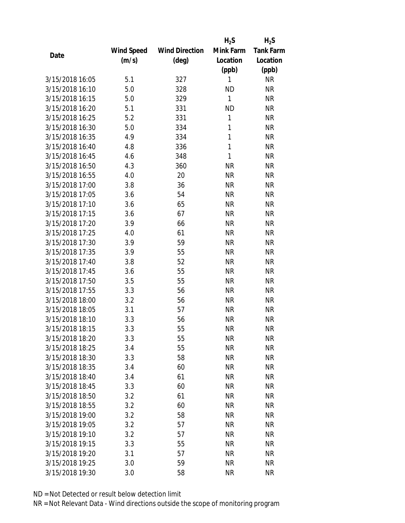|                 |            |                       | $H_2S$       | $H_2S$           |
|-----------------|------------|-----------------------|--------------|------------------|
|                 | Wind Speed | <b>Wind Direction</b> | Mink Farm    | <b>Tank Farm</b> |
| Date            | (m/s)      | (deg)                 | Location     | Location         |
|                 |            |                       | (ppb)        | (ppb)            |
| 3/15/2018 16:05 | 5.1        | 327                   | 1            | <b>NR</b>        |
| 3/15/2018 16:10 | 5.0        | 328                   | <b>ND</b>    | <b>NR</b>        |
| 3/15/2018 16:15 | 5.0        | 329                   | $\mathbf{1}$ | <b>NR</b>        |
| 3/15/2018 16:20 | 5.1        | 331                   | <b>ND</b>    | <b>NR</b>        |
| 3/15/2018 16:25 | 5.2        | 331                   | 1            | <b>NR</b>        |
| 3/15/2018 16:30 | 5.0        | 334                   | 1            | <b>NR</b>        |
| 3/15/2018 16:35 | 4.9        | 334                   | 1            | <b>NR</b>        |
| 3/15/2018 16:40 | 4.8        | 336                   | 1            | <b>NR</b>        |
| 3/15/2018 16:45 | 4.6        | 348                   | 1            | <b>NR</b>        |
| 3/15/2018 16:50 | 4.3        | 360                   | <b>NR</b>    | <b>NR</b>        |
| 3/15/2018 16:55 | 4.0        | 20                    | <b>NR</b>    | <b>NR</b>        |
| 3/15/2018 17:00 | 3.8        | 36                    | <b>NR</b>    | <b>NR</b>        |
| 3/15/2018 17:05 | 3.6        | 54                    | <b>NR</b>    | <b>NR</b>        |
| 3/15/2018 17:10 | 3.6        | 65                    | <b>NR</b>    | <b>NR</b>        |
| 3/15/2018 17:15 | 3.6        | 67                    | <b>NR</b>    | <b>NR</b>        |
| 3/15/2018 17:20 | 3.9        | 66                    | <b>NR</b>    | <b>NR</b>        |
| 3/15/2018 17:25 | 4.0        | 61                    | <b>NR</b>    | <b>NR</b>        |
| 3/15/2018 17:30 | 3.9        | 59                    | <b>NR</b>    | <b>NR</b>        |
| 3/15/2018 17:35 | 3.9        | 55                    | <b>NR</b>    | <b>NR</b>        |
| 3/15/2018 17:40 | 3.8        | 52                    | <b>NR</b>    | <b>NR</b>        |
| 3/15/2018 17:45 | 3.6        | 55                    | <b>NR</b>    | <b>NR</b>        |
| 3/15/2018 17:50 | 3.5        | 55                    | <b>NR</b>    | <b>NR</b>        |
| 3/15/2018 17:55 | 3.3        | 56                    | <b>NR</b>    | <b>NR</b>        |
| 3/15/2018 18:00 | 3.2        | 56                    | <b>NR</b>    | <b>NR</b>        |
| 3/15/2018 18:05 | 3.1        | 57                    | <b>NR</b>    | <b>NR</b>        |
| 3/15/2018 18:10 | 3.3        | 56                    | <b>NR</b>    | <b>NR</b>        |
| 3/15/2018 18:15 | 3.3        | 55                    | <b>NR</b>    | <b>NR</b>        |
| 3/15/2018 18:20 | 3.3        | 55                    | <b>NR</b>    | <b>NR</b>        |
| 3/15/2018 18:25 | 3.4        | 55                    | <b>NR</b>    | <b>NR</b>        |
| 3/15/2018 18:30 | 3.3        | 58                    | <b>NR</b>    | <b>NR</b>        |
| 3/15/2018 18:35 | 3.4        | 60                    | <b>NR</b>    | <b>NR</b>        |
| 3/15/2018 18:40 | 3.4        | 61                    | <b>NR</b>    | <b>NR</b>        |
| 3/15/2018 18:45 | 3.3        | 60                    | <b>NR</b>    | <b>NR</b>        |
| 3/15/2018 18:50 | 3.2        | 61                    | <b>NR</b>    | <b>NR</b>        |
| 3/15/2018 18:55 | 3.2        | 60                    | <b>NR</b>    | <b>NR</b>        |
| 3/15/2018 19:00 | 3.2        | 58                    | <b>NR</b>    | <b>NR</b>        |
| 3/15/2018 19:05 | 3.2        | 57                    | <b>NR</b>    | ΝR               |
| 3/15/2018 19:10 | 3.2        | 57                    | <b>NR</b>    | <b>NR</b>        |
| 3/15/2018 19:15 | 3.3        | 55                    | <b>NR</b>    | <b>NR</b>        |
| 3/15/2018 19:20 | 3.1        | 57                    | <b>NR</b>    | <b>NR</b>        |
| 3/15/2018 19:25 | 3.0        | 59                    | <b>NR</b>    | <b>NR</b>        |
| 3/15/2018 19:30 | 3.0        | 58                    | <b>NR</b>    | <b>NR</b>        |
|                 |            |                       |              |                  |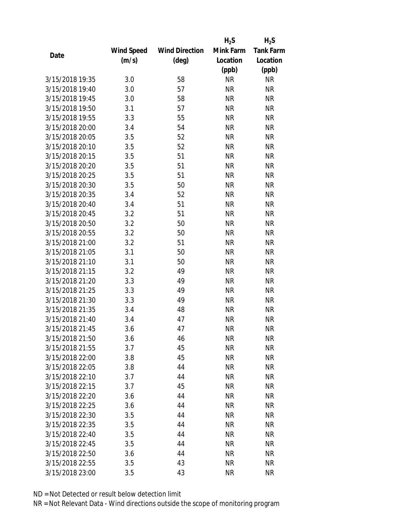|                 |            |                       | $H_2S$    | $H_2S$           |
|-----------------|------------|-----------------------|-----------|------------------|
|                 | Wind Speed | <b>Wind Direction</b> | Mink Farm | <b>Tank Farm</b> |
| Date            | (m/s)      | $(\text{deg})$        | Location  | Location         |
|                 |            |                       | (ppb)     | (ppb)            |
| 3/15/2018 19:35 | 3.0        | 58                    | <b>NR</b> | <b>NR</b>        |
| 3/15/2018 19:40 | 3.0        | 57                    | <b>NR</b> | <b>NR</b>        |
| 3/15/2018 19:45 | 3.0        | 58                    | <b>NR</b> | <b>NR</b>        |
| 3/15/2018 19:50 | 3.1        | 57                    | <b>NR</b> | <b>NR</b>        |
| 3/15/2018 19:55 | 3.3        | 55                    | <b>NR</b> | <b>NR</b>        |
| 3/15/2018 20:00 | 3.4        | 54                    | <b>NR</b> | <b>NR</b>        |
| 3/15/2018 20:05 | 3.5        | 52                    | <b>NR</b> | <b>NR</b>        |
| 3/15/2018 20:10 | 3.5        | 52                    | <b>NR</b> | <b>NR</b>        |
| 3/15/2018 20:15 | 3.5        | 51                    | <b>NR</b> | <b>NR</b>        |
| 3/15/2018 20:20 | 3.5        | 51                    | <b>NR</b> | <b>NR</b>        |
| 3/15/2018 20:25 | 3.5        | 51                    | <b>NR</b> | <b>NR</b>        |
| 3/15/2018 20:30 | 3.5        | 50                    | <b>NR</b> | <b>NR</b>        |
| 3/15/2018 20:35 | 3.4        | 52                    | <b>NR</b> | <b>NR</b>        |
| 3/15/2018 20:40 | 3.4        | 51                    | <b>NR</b> | <b>NR</b>        |
| 3/15/2018 20:45 | 3.2        | 51                    | <b>NR</b> | <b>NR</b>        |
| 3/15/2018 20:50 | 3.2        | 50                    | <b>NR</b> | <b>NR</b>        |
| 3/15/2018 20:55 | 3.2        | 50                    | <b>NR</b> | <b>NR</b>        |
| 3/15/2018 21:00 | 3.2        | 51                    | <b>NR</b> | <b>NR</b>        |
| 3/15/2018 21:05 | 3.1        | 50                    | <b>NR</b> | <b>NR</b>        |
| 3/15/2018 21:10 | 3.1        | 50                    | <b>NR</b> | <b>NR</b>        |
| 3/15/2018 21:15 | 3.2        | 49                    | <b>NR</b> | <b>NR</b>        |
| 3/15/2018 21:20 | 3.3        | 49                    | <b>NR</b> | <b>NR</b>        |
| 3/15/2018 21:25 | 3.3        | 49                    | <b>NR</b> | <b>NR</b>        |
| 3/15/2018 21:30 | 3.3        | 49                    | <b>NR</b> | <b>NR</b>        |
| 3/15/2018 21:35 | 3.4        | 48                    | <b>NR</b> | <b>NR</b>        |
| 3/15/2018 21:40 | 3.4        | 47                    | <b>NR</b> | <b>NR</b>        |
| 3/15/2018 21:45 | 3.6        | 47                    | <b>NR</b> | <b>NR</b>        |
| 3/15/2018 21:50 | 3.6        | 46                    | NR        | <b>NR</b>        |
| 3/15/2018 21:55 | 3.7        | 45                    | <b>NR</b> | <b>NR</b>        |
| 3/15/2018 22:00 | 3.8        | 45                    | NR        | <b>NR</b>        |
| 3/15/2018 22:05 | 3.8        | 44                    | <b>NR</b> | <b>NR</b>        |
| 3/15/2018 22:10 | 3.7        | 44                    | <b>NR</b> | <b>NR</b>        |
| 3/15/2018 22:15 | 3.7        | 45                    | NR        | <b>NR</b>        |
| 3/15/2018 22:20 | 3.6        | 44                    | <b>NR</b> | <b>NR</b>        |
| 3/15/2018 22:25 | 3.6        | 44                    | NR        | <b>NR</b>        |
| 3/15/2018 22:30 | 3.5        | 44                    | <b>NR</b> | <b>NR</b>        |
| 3/15/2018 22:35 | 3.5        | 44                    | ΝR        | <b>NR</b>        |
| 3/15/2018 22:40 | 3.5        | 44                    | ΝR        | <b>NR</b>        |
| 3/15/2018 22:45 | 3.5        | 44                    | <b>NR</b> | <b>NR</b>        |
| 3/15/2018 22:50 |            | 44                    |           | <b>NR</b>        |
|                 | 3.6        |                       | NR        |                  |
| 3/15/2018 22:55 | 3.5        | 43                    | <b>NR</b> | <b>NR</b>        |
| 3/15/2018 23:00 | 3.5        | 43                    | <b>NR</b> | <b>NR</b>        |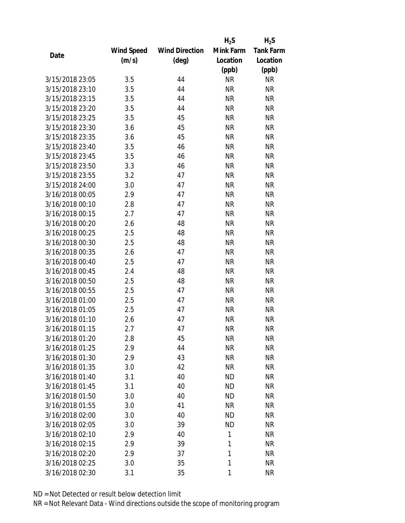|                 |            |                       | $H_2S$    | $H_2S$           |
|-----------------|------------|-----------------------|-----------|------------------|
|                 | Wind Speed | <b>Wind Direction</b> | Mink Farm | <b>Tank Farm</b> |
| Date            | (m/s)      | $(\text{deg})$        | Location  | Location         |
|                 |            |                       | (ppb)     | (ppb)            |
| 3/15/2018 23:05 | 3.5        | 44                    | <b>NR</b> | <b>NR</b>        |
| 3/15/2018 23:10 | 3.5        | 44                    | <b>NR</b> | <b>NR</b>        |
| 3/15/2018 23:15 | 3.5        | 44                    | <b>NR</b> | <b>NR</b>        |
| 3/15/2018 23:20 | 3.5        | 44                    | <b>NR</b> | <b>NR</b>        |
| 3/15/2018 23:25 | 3.5        | 45                    | <b>NR</b> | <b>NR</b>        |
| 3/15/2018 23:30 | 3.6        | 45                    | <b>NR</b> | <b>NR</b>        |
| 3/15/2018 23:35 | 3.6        | 45                    | <b>NR</b> | <b>NR</b>        |
| 3/15/2018 23:40 | 3.5        | 46                    | <b>NR</b> | <b>NR</b>        |
| 3/15/2018 23:45 | 3.5        | 46                    | <b>NR</b> | <b>NR</b>        |
| 3/15/2018 23:50 | 3.3        | 46                    | <b>NR</b> | <b>NR</b>        |
| 3/15/2018 23:55 | 3.2        | 47                    | <b>NR</b> | <b>NR</b>        |
| 3/15/2018 24:00 | 3.0        | 47                    | <b>NR</b> | <b>NR</b>        |
| 3/16/2018 00:05 | 2.9        | 47                    | <b>NR</b> | <b>NR</b>        |
| 3/16/2018 00:10 | 2.8        | 47                    | <b>NR</b> | <b>NR</b>        |
| 3/16/2018 00:15 | 2.7        | 47                    | <b>NR</b> | <b>NR</b>        |
| 3/16/2018 00:20 | 2.6        | 48                    | <b>NR</b> | <b>NR</b>        |
| 3/16/2018 00:25 | 2.5        | 48                    | <b>NR</b> | <b>NR</b>        |
| 3/16/2018 00:30 | 2.5        | 48                    | <b>NR</b> | <b>NR</b>        |
| 3/16/2018 00:35 | 2.6        | 47                    | <b>NR</b> | <b>NR</b>        |
| 3/16/2018 00:40 | 2.5        | 47                    | <b>NR</b> | <b>NR</b>        |
| 3/16/2018 00:45 | 2.4        | 48                    | <b>NR</b> | <b>NR</b>        |
| 3/16/2018 00:50 | 2.5        | 48                    | <b>NR</b> | <b>NR</b>        |
| 3/16/2018 00:55 | 2.5        | 47                    | <b>NR</b> | <b>NR</b>        |
| 3/16/2018 01:00 | 2.5        | 47                    | <b>NR</b> | <b>NR</b>        |
| 3/16/2018 01:05 | 2.5        | 47                    | <b>NR</b> | <b>NR</b>        |
| 3/16/2018 01:10 | 2.6        | 47                    | <b>NR</b> | <b>NR</b>        |
| 3/16/2018 01:15 | 2.7        | 47                    | <b>NR</b> | <b>NR</b>        |
| 3/16/2018 01:20 | 2.8        | 45                    | ΝR        | <b>NR</b>        |
| 3/16/2018 01:25 | 2.9        | 44                    | <b>NR</b> | <b>NR</b>        |
| 3/16/2018 01:30 | 2.9        | 43                    | NR        | <b>NR</b>        |
| 3/16/2018 01:35 | 3.0        | 42                    | <b>NR</b> | <b>NR</b>        |
| 3/16/2018 01:40 | 3.1        | 40                    | <b>ND</b> | <b>NR</b>        |
| 3/16/2018 01:45 | 3.1        | 40                    | <b>ND</b> | <b>NR</b>        |
| 3/16/2018 01:50 | 3.0        | 40                    | <b>ND</b> | <b>NR</b>        |
| 3/16/2018 01:55 | 3.0        | 41                    | <b>NR</b> | <b>NR</b>        |
| 3/16/2018 02:00 | 3.0        | 40                    | <b>ND</b> | <b>NR</b>        |
| 3/16/2018 02:05 | 3.0        | 39                    | ND        | <b>NR</b>        |
| 3/16/2018 02:10 | 2.9        | 40                    | 1         | <b>NR</b>        |
| 3/16/2018 02:15 | 2.9        | 39                    | 1         | <b>NR</b>        |
| 3/16/2018 02:20 | 2.9        | 37                    | 1         | <b>NR</b>        |
| 3/16/2018 02:25 | 3.0        | 35                    | 1         | <b>NR</b>        |
| 3/16/2018 02:30 | 3.1        | 35                    | 1         | <b>NR</b>        |
|                 |            |                       |           |                  |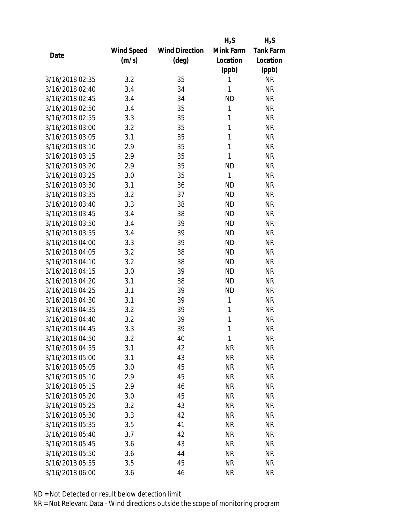|                 |            |                       | $H_2S$    | $H_2S$           |
|-----------------|------------|-----------------------|-----------|------------------|
|                 | Wind Speed | <b>Wind Direction</b> | Mink Farm | <b>Tank Farm</b> |
| Date            | (m/s)      | $(\text{deg})$        | Location  | Location         |
|                 |            |                       | (ppb)     | (ppb)            |
| 3/16/2018 02:35 | 3.2        | 35                    | 1         | <b>NR</b>        |
| 3/16/2018 02:40 | 3.4        | 34                    | 1         | <b>NR</b>        |
| 3/16/2018 02:45 | 3.4        | 34                    | <b>ND</b> | <b>NR</b>        |
| 3/16/2018 02:50 | 3.4        | 35                    | 1         | <b>NR</b>        |
| 3/16/2018 02:55 | 3.3        | 35                    | 1         | <b>NR</b>        |
| 3/16/2018 03:00 | 3.2        | 35                    | 1         | <b>NR</b>        |
| 3/16/2018 03:05 | 3.1        | 35                    | 1         | <b>NR</b>        |
| 3/16/2018 03:10 | 2.9        | 35                    | 1         | <b>NR</b>        |
| 3/16/2018 03:15 | 2.9        | 35                    | 1         | <b>NR</b>        |
| 3/16/2018 03:20 | 2.9        | 35                    | <b>ND</b> | <b>NR</b>        |
| 3/16/2018 03:25 | 3.0        | 35                    | 1         | <b>NR</b>        |
| 3/16/2018 03:30 | 3.1        | 36                    | <b>ND</b> | <b>NR</b>        |
| 3/16/2018 03:35 | 3.2        | 37                    | <b>ND</b> | <b>NR</b>        |
| 3/16/2018 03:40 | 3.3        | 38                    | <b>ND</b> | <b>NR</b>        |
| 3/16/2018 03:45 | 3.4        | 38                    | <b>ND</b> | <b>NR</b>        |
| 3/16/2018 03:50 | 3.4        | 39                    | <b>ND</b> | <b>NR</b>        |
| 3/16/2018 03:55 | 3.4        | 39                    | <b>ND</b> | <b>NR</b>        |
| 3/16/2018 04:00 | 3.3        | 39                    | <b>ND</b> | <b>NR</b>        |
| 3/16/2018 04:05 | 3.2        | 38                    | <b>ND</b> | <b>NR</b>        |
| 3/16/2018 04:10 | 3.2        | 38                    | <b>ND</b> | <b>NR</b>        |
| 3/16/2018 04:15 | 3.0        | 39                    | <b>ND</b> | <b>NR</b>        |
| 3/16/2018 04:20 | 3.1        | 38                    | <b>ND</b> | <b>NR</b>        |
| 3/16/2018 04:25 | 3.1        | 39                    | <b>ND</b> | <b>NR</b>        |
| 3/16/2018 04:30 | 3.1        | 39                    | 1         | <b>NR</b>        |
| 3/16/2018 04:35 | 3.2        | 39                    | 1         | <b>NR</b>        |
| 3/16/2018 04:40 | 3.2        | 39                    | 1         | <b>NR</b>        |
| 3/16/2018 04:45 | 3.3        | 39                    | 1         | <b>NR</b>        |
| 3/16/2018 04:50 | 3.2        | 40                    | 1         | <b>NR</b>        |
| 3/16/2018 04:55 | 3.1        | 42                    | <b>NR</b> | NR               |
| 3/16/2018 05:00 | 3.1        | 43                    | <b>NR</b> | ΝR               |
| 3/16/2018 05:05 | 3.0        | 45                    | <b>NR</b> | <b>NR</b>        |
| 3/16/2018 05:10 | 2.9        | 45                    | <b>NR</b> | <b>NR</b>        |
| 3/16/2018 05:15 | 2.9        | 46                    | <b>NR</b> | <b>NR</b>        |
| 3/16/2018 05:20 | 3.0        | 45                    | <b>NR</b> | <b>NR</b>        |
| 3/16/2018 05:25 | 3.2        | 43                    | <b>NR</b> | <b>NR</b>        |
| 3/16/2018 05:30 | 3.3        | 42                    | <b>NR</b> | <b>NR</b>        |
| 3/16/2018 05:35 | 3.5        | 41                    | <b>NR</b> | ΝR               |
| 3/16/2018 05:40 | 3.7        | 42                    | <b>NR</b> | <b>NR</b>        |
| 3/16/2018 05:45 | 3.6        | 43                    | <b>NR</b> | <b>NR</b>        |
| 3/16/2018 05:50 | 3.6        | 44                    | <b>NR</b> | <b>NR</b>        |
| 3/16/2018 05:55 | 3.5        | 45                    | <b>NR</b> | <b>NR</b>        |
| 3/16/2018 06:00 | 3.6        | 46                    | <b>NR</b> | <b>NR</b>        |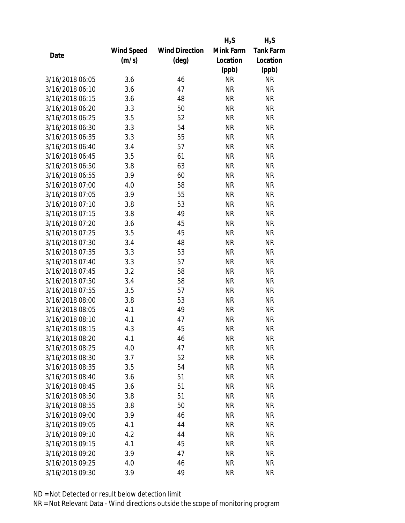|                 |            |                       | $H_2S$    | $H_2S$           |
|-----------------|------------|-----------------------|-----------|------------------|
|                 | Wind Speed | <b>Wind Direction</b> | Mink Farm | <b>Tank Farm</b> |
| Date            | (m/s)      | $(\text{deg})$        | Location  | Location         |
|                 |            |                       | (ppb)     | (ppb)            |
| 3/16/2018 06:05 | 3.6        | 46                    | <b>NR</b> | <b>NR</b>        |
| 3/16/2018 06:10 | 3.6        | 47                    | <b>NR</b> | <b>NR</b>        |
| 3/16/2018 06:15 | 3.6        | 48                    | <b>NR</b> | <b>NR</b>        |
| 3/16/2018 06:20 | 3.3        | 50                    | <b>NR</b> | <b>NR</b>        |
| 3/16/2018 06:25 | 3.5        | 52                    | <b>NR</b> | <b>NR</b>        |
| 3/16/2018 06:30 | 3.3        | 54                    | <b>NR</b> | <b>NR</b>        |
| 3/16/2018 06:35 | 3.3        | 55                    | <b>NR</b> | <b>NR</b>        |
| 3/16/2018 06:40 | 3.4        | 57                    | <b>NR</b> | <b>NR</b>        |
| 3/16/2018 06:45 | 3.5        | 61                    | <b>NR</b> | <b>NR</b>        |
| 3/16/2018 06:50 | 3.8        | 63                    | <b>NR</b> | <b>NR</b>        |
| 3/16/2018 06:55 | 3.9        | 60                    | <b>NR</b> | <b>NR</b>        |
| 3/16/2018 07:00 | 4.0        | 58                    | <b>NR</b> | <b>NR</b>        |
| 3/16/2018 07:05 | 3.9        | 55                    | <b>NR</b> | <b>NR</b>        |
| 3/16/2018 07:10 | 3.8        | 53                    | <b>NR</b> | <b>NR</b>        |
| 3/16/2018 07:15 | 3.8        | 49                    | <b>NR</b> | <b>NR</b>        |
| 3/16/2018 07:20 | 3.6        | 45                    | <b>NR</b> | <b>NR</b>        |
| 3/16/2018 07:25 | 3.5        | 45                    | <b>NR</b> | <b>NR</b>        |
| 3/16/2018 07:30 | 3.4        | 48                    | <b>NR</b> | <b>NR</b>        |
| 3/16/2018 07:35 | 3.3        | 53                    | <b>NR</b> | <b>NR</b>        |
| 3/16/2018 07:40 | 3.3        | 57                    | <b>NR</b> | <b>NR</b>        |
| 3/16/2018 07:45 | 3.2        | 58                    | <b>NR</b> | <b>NR</b>        |
| 3/16/2018 07:50 | 3.4        | 58                    | <b>NR</b> | <b>NR</b>        |
| 3/16/2018 07:55 | 3.5        | 57                    | <b>NR</b> | <b>NR</b>        |
| 3/16/2018 08:00 | 3.8        | 53                    | <b>NR</b> | <b>NR</b>        |
| 3/16/2018 08:05 | 4.1        | 49                    | <b>NR</b> | <b>NR</b>        |
| 3/16/2018 08:10 | 4.1        | 47                    | <b>NR</b> | <b>NR</b>        |
| 3/16/2018 08:15 | 4.3        | 45                    | <b>NR</b> | <b>NR</b>        |
| 3/16/2018 08:20 | 4.1        | 46                    | ΝR        | <b>NR</b>        |
| 3/16/2018 08:25 | 4.0        | 47                    | <b>NR</b> | <b>NR</b>        |
| 3/16/2018 08:30 | 3.7        | 52                    | NR        | <b>NR</b>        |
| 3/16/2018 08:35 | 3.5        | 54                    | <b>NR</b> | <b>NR</b>        |
| 3/16/2018 08:40 | 3.6        | 51                    | <b>NR</b> | <b>NR</b>        |
| 3/16/2018 08:45 | 3.6        | 51                    | ΝR        | <b>NR</b>        |
| 3/16/2018 08:50 | 3.8        | 51                    | <b>NR</b> | <b>NR</b>        |
| 3/16/2018 08:55 | 3.8        | 50                    | NR        | <b>NR</b>        |
| 3/16/2018 09:00 | 3.9        | 46                    | <b>NR</b> | <b>NR</b>        |
| 3/16/2018 09:05 | 4.1        | 44                    | ΝR        | <b>NR</b>        |
| 3/16/2018 09:10 | 4.2        | 44                    | ΝR        | <b>NR</b>        |
| 3/16/2018 09:15 | 4.1        | 45                    | ΝR        | <b>NR</b>        |
| 3/16/2018 09:20 | 3.9        | 47                    | ΝR        | <b>NR</b>        |
| 3/16/2018 09:25 | 4.0        | 46                    | <b>NR</b> | <b>NR</b>        |
| 3/16/2018 09:30 | 3.9        | 49                    | <b>NR</b> | <b>NR</b>        |
|                 |            |                       |           |                  |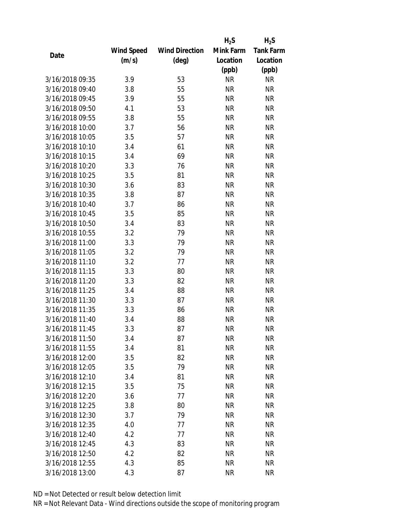|                 |            |                       | $H_2S$    | $H_2S$           |
|-----------------|------------|-----------------------|-----------|------------------|
|                 | Wind Speed | <b>Wind Direction</b> | Mink Farm | <b>Tank Farm</b> |
| Date            | (m/s)      | $(\text{deg})$        | Location  | Location         |
|                 |            |                       | (ppb)     | (ppb)            |
| 3/16/2018 09:35 | 3.9        | 53                    | <b>NR</b> | <b>NR</b>        |
| 3/16/2018 09:40 | 3.8        | 55                    | <b>NR</b> | <b>NR</b>        |
| 3/16/2018 09:45 | 3.9        | 55                    | <b>NR</b> | <b>NR</b>        |
| 3/16/2018 09:50 | 4.1        | 53                    | <b>NR</b> | <b>NR</b>        |
| 3/16/2018 09:55 | 3.8        | 55                    | <b>NR</b> | <b>NR</b>        |
| 3/16/2018 10:00 | 3.7        | 56                    | <b>NR</b> | <b>NR</b>        |
| 3/16/2018 10:05 | 3.5        | 57                    | <b>NR</b> | <b>NR</b>        |
| 3/16/2018 10:10 | 3.4        | 61                    | <b>NR</b> | <b>NR</b>        |
| 3/16/2018 10:15 | 3.4        | 69                    | <b>NR</b> | <b>NR</b>        |
| 3/16/2018 10:20 | 3.3        | 76                    | <b>NR</b> | <b>NR</b>        |
| 3/16/2018 10:25 | 3.5        | 81                    | <b>NR</b> | <b>NR</b>        |
| 3/16/2018 10:30 | 3.6        | 83                    | <b>NR</b> | <b>NR</b>        |
| 3/16/2018 10:35 | 3.8        | 87                    | <b>NR</b> | <b>NR</b>        |
| 3/16/2018 10:40 | 3.7        | 86                    | <b>NR</b> | <b>NR</b>        |
| 3/16/2018 10:45 | 3.5        | 85                    | <b>NR</b> | <b>NR</b>        |
| 3/16/2018 10:50 | 3.4        | 83                    | <b>NR</b> | <b>NR</b>        |
| 3/16/2018 10:55 | 3.2        | 79                    | <b>NR</b> | <b>NR</b>        |
| 3/16/2018 11:00 | 3.3        | 79                    | <b>NR</b> | <b>NR</b>        |
| 3/16/2018 11:05 | 3.2        | 79                    | <b>NR</b> | <b>NR</b>        |
| 3/16/2018 11:10 | 3.2        | 77                    | <b>NR</b> | <b>NR</b>        |
| 3/16/2018 11:15 | 3.3        | 80                    | <b>NR</b> | <b>NR</b>        |
| 3/16/2018 11:20 | 3.3        | 82                    | <b>NR</b> | <b>NR</b>        |
| 3/16/2018 11:25 | 3.4        | 88                    | <b>NR</b> | <b>NR</b>        |
| 3/16/2018 11:30 | 3.3        | 87                    | <b>NR</b> | <b>NR</b>        |
| 3/16/2018 11:35 | 3.3        | 86                    | <b>NR</b> | <b>NR</b>        |
| 3/16/2018 11:40 | 3.4        | 88                    | <b>NR</b> | <b>NR</b>        |
| 3/16/2018 11:45 | 3.3        | 87                    | <b>NR</b> | <b>NR</b>        |
| 3/16/2018 11:50 | 3.4        | 87                    | NR        | <b>NR</b>        |
| 3/16/2018 11:55 | 3.4        | 81                    | <b>NR</b> | <b>NR</b>        |
| 3/16/2018 12:00 | 3.5        | 82                    | NR        | <b>NR</b>        |
| 3/16/2018 12:05 | 3.5        | 79                    | <b>NR</b> | <b>NR</b>        |
| 3/16/2018 12:10 | 3.4        | 81                    | <b>NR</b> | <b>NR</b>        |
| 3/16/2018 12:15 | 3.5        | 75                    | NR        | <b>NR</b>        |
| 3/16/2018 12:20 | 3.6        | 77                    | <b>NR</b> | <b>NR</b>        |
| 3/16/2018 12:25 | 3.8        | 80                    | NR        | <b>NR</b>        |
| 3/16/2018 12:30 | 3.7        | 79                    | <b>NR</b> | <b>NR</b>        |
| 3/16/2018 12:35 | 4.0        | 77                    | NR        | <b>NR</b>        |
| 3/16/2018 12:40 | 4.2        | 77                    | ΝR        | <b>NR</b>        |
| 3/16/2018 12:45 | 4.3        | 83                    | <b>NR</b> | <b>NR</b>        |
| 3/16/2018 12:50 | 4.2        | 82                    | NR        | <b>NR</b>        |
| 3/16/2018 12:55 | 4.3        | 85                    | <b>NR</b> | <b>NR</b>        |
| 3/16/2018 13:00 | 4.3        | 87                    | <b>NR</b> | <b>NR</b>        |
|                 |            |                       |           |                  |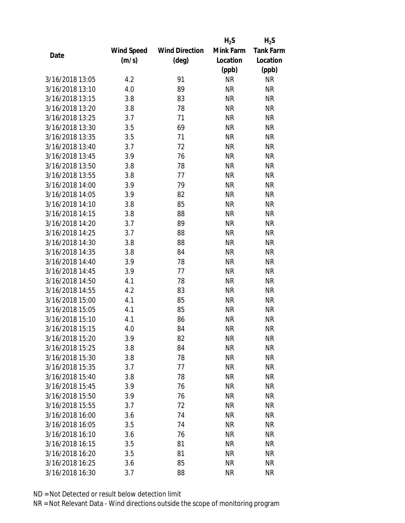|                 |            |                       | $H_2S$    | $H_2S$           |
|-----------------|------------|-----------------------|-----------|------------------|
|                 | Wind Speed | <b>Wind Direction</b> | Mink Farm | <b>Tank Farm</b> |
| Date            | (m/s)      | $(\text{deg})$        | Location  | Location         |
|                 |            |                       | (ppb)     | (ppb)            |
| 3/16/2018 13:05 | 4.2        | 91                    | <b>NR</b> | <b>NR</b>        |
| 3/16/2018 13:10 | 4.0        | 89                    | <b>NR</b> | <b>NR</b>        |
| 3/16/2018 13:15 | 3.8        | 83                    | <b>NR</b> | <b>NR</b>        |
| 3/16/2018 13:20 | 3.8        | 78                    | <b>NR</b> | <b>NR</b>        |
| 3/16/2018 13:25 | 3.7        | 71                    | <b>NR</b> | <b>NR</b>        |
| 3/16/2018 13:30 | 3.5        | 69                    | <b>NR</b> | <b>NR</b>        |
| 3/16/2018 13:35 | 3.5        | 71                    | <b>NR</b> | <b>NR</b>        |
| 3/16/2018 13:40 | 3.7        | 72                    | <b>NR</b> | <b>NR</b>        |
| 3/16/2018 13:45 | 3.9        | 76                    | <b>NR</b> | <b>NR</b>        |
| 3/16/2018 13:50 | 3.8        | 78                    | <b>NR</b> | <b>NR</b>        |
| 3/16/2018 13:55 | 3.8        | 77                    | <b>NR</b> | <b>NR</b>        |
| 3/16/2018 14:00 | 3.9        | 79                    | <b>NR</b> | <b>NR</b>        |
| 3/16/2018 14:05 | 3.9        | 82                    | <b>NR</b> | <b>NR</b>        |
| 3/16/2018 14:10 | 3.8        | 85                    | <b>NR</b> | <b>NR</b>        |
| 3/16/2018 14:15 | 3.8        | 88                    | <b>NR</b> | <b>NR</b>        |
| 3/16/2018 14:20 | 3.7        | 89                    | <b>NR</b> | <b>NR</b>        |
| 3/16/2018 14:25 | 3.7        | 88                    | <b>NR</b> | <b>NR</b>        |
| 3/16/2018 14:30 | 3.8        | 88                    | <b>NR</b> | <b>NR</b>        |
| 3/16/2018 14:35 | 3.8        | 84                    | <b>NR</b> | <b>NR</b>        |
| 3/16/2018 14:40 | 3.9        | 78                    | <b>NR</b> | <b>NR</b>        |
| 3/16/2018 14:45 | 3.9        | 77                    | <b>NR</b> | <b>NR</b>        |
| 3/16/2018 14:50 | 4.1        | 78                    | <b>NR</b> | <b>NR</b>        |
| 3/16/2018 14:55 | 4.2        | 83                    | <b>NR</b> | <b>NR</b>        |
| 3/16/2018 15:00 | 4.1        | 85                    | <b>NR</b> | <b>NR</b>        |
| 3/16/2018 15:05 | 4.1        | 85                    | <b>NR</b> | <b>NR</b>        |
| 3/16/2018 15:10 | 4.1        | 86                    | <b>NR</b> | <b>NR</b>        |
| 3/16/2018 15:15 | 4.0        | 84                    | <b>NR</b> | <b>NR</b>        |
| 3/16/2018 15:20 | 3.9        | 82                    | ΝR        | <b>NR</b>        |
| 3/16/2018 15:25 | 3.8        | 84                    | <b>NR</b> | <b>NR</b>        |
| 3/16/2018 15:30 | 3.8        | 78                    | NR        | <b>NR</b>        |
| 3/16/2018 15:35 | 3.7        | 77                    | <b>NR</b> | <b>NR</b>        |
| 3/16/2018 15:40 | 3.8        | 78                    | <b>NR</b> | <b>NR</b>        |
| 3/16/2018 15:45 | 3.9        | 76                    | ΝR        | <b>NR</b>        |
| 3/16/2018 15:50 | 3.9        | 76                    | <b>NR</b> | <b>NR</b>        |
| 3/16/2018 15:55 | 3.7        | 72                    | NR        | <b>NR</b>        |
| 3/16/2018 16:00 | 3.6        | 74                    | <b>NR</b> | <b>NR</b>        |
| 3/16/2018 16:05 | 3.5        | 74                    | ΝR        | <b>NR</b>        |
| 3/16/2018 16:10 | 3.6        | 76                    | ΝR        | <b>NR</b>        |
| 3/16/2018 16:15 | 3.5        | 81                    | ΝR        | <b>NR</b>        |
| 3/16/2018 16:20 | 3.5        | 81                    | NR        | <b>NR</b>        |
| 3/16/2018 16:25 | 3.6        | 85                    | <b>NR</b> | <b>NR</b>        |
| 3/16/2018 16:30 | 3.7        | 88                    | <b>NR</b> | <b>NR</b>        |
|                 |            |                       |           |                  |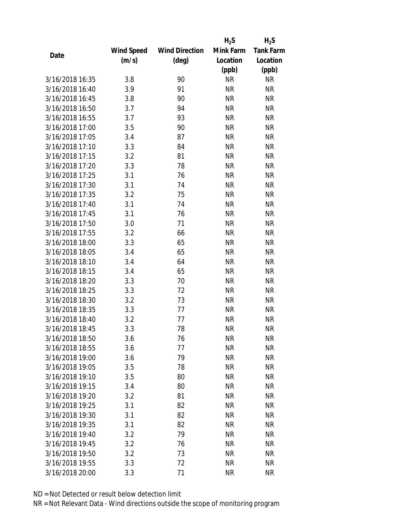|                 |            |                       | $H_2S$    | $H_2S$           |
|-----------------|------------|-----------------------|-----------|------------------|
|                 | Wind Speed | <b>Wind Direction</b> | Mink Farm | <b>Tank Farm</b> |
| Date            | (m/s)      | $(\text{deg})$        | Location  | Location         |
|                 |            |                       | (ppb)     | (ppb)            |
| 3/16/2018 16:35 | 3.8        | 90                    | <b>NR</b> | <b>NR</b>        |
| 3/16/2018 16:40 | 3.9        | 91                    | <b>NR</b> | <b>NR</b>        |
| 3/16/2018 16:45 | 3.8        | 90                    | <b>NR</b> | <b>NR</b>        |
| 3/16/2018 16:50 | 3.7        | 94                    | <b>NR</b> | <b>NR</b>        |
| 3/16/2018 16:55 | 3.7        | 93                    | <b>NR</b> | <b>NR</b>        |
| 3/16/2018 17:00 | 3.5        | 90                    | <b>NR</b> | <b>NR</b>        |
| 3/16/2018 17:05 | 3.4        | 87                    | <b>NR</b> | <b>NR</b>        |
| 3/16/2018 17:10 | 3.3        | 84                    | <b>NR</b> | <b>NR</b>        |
| 3/16/2018 17:15 | 3.2        | 81                    | <b>NR</b> | <b>NR</b>        |
| 3/16/2018 17:20 | 3.3        | 78                    | <b>NR</b> | <b>NR</b>        |
| 3/16/2018 17:25 | 3.1        | 76                    | <b>NR</b> | <b>NR</b>        |
| 3/16/2018 17:30 | 3.1        | 74                    | <b>NR</b> | <b>NR</b>        |
| 3/16/2018 17:35 | 3.2        | 75                    | <b>NR</b> | <b>NR</b>        |
| 3/16/2018 17:40 | 3.1        | 74                    | <b>NR</b> | <b>NR</b>        |
| 3/16/2018 17:45 | 3.1        | 76                    | <b>NR</b> | <b>NR</b>        |
| 3/16/2018 17:50 | 3.0        | 71                    | <b>NR</b> | <b>NR</b>        |
| 3/16/2018 17:55 | 3.2        | 66                    | <b>NR</b> | <b>NR</b>        |
| 3/16/2018 18:00 | 3.3        | 65                    | <b>NR</b> | <b>NR</b>        |
| 3/16/2018 18:05 | 3.4        | 65                    | <b>NR</b> | <b>NR</b>        |
| 3/16/2018 18:10 | 3.4        | 64                    | <b>NR</b> | <b>NR</b>        |
| 3/16/2018 18:15 | 3.4        | 65                    | <b>NR</b> | <b>NR</b>        |
| 3/16/2018 18:20 | 3.3        | 70                    | <b>NR</b> | <b>NR</b>        |
| 3/16/2018 18:25 | 3.3        | 72                    | <b>NR</b> | <b>NR</b>        |
| 3/16/2018 18:30 | 3.2        | 73                    | <b>NR</b> | <b>NR</b>        |
| 3/16/2018 18:35 | 3.3        | 77                    | <b>NR</b> | <b>NR</b>        |
| 3/16/2018 18:40 | 3.2        | 77                    | <b>NR</b> | <b>NR</b>        |
| 3/16/2018 18:45 | 3.3        | 78                    | <b>NR</b> | <b>NR</b>        |
| 3/16/2018 18:50 | 3.6        | 76                    | NR        | <b>NR</b>        |
| 3/16/2018 18:55 | 3.6        | 77                    | <b>NR</b> | <b>NR</b>        |
| 3/16/2018 19:00 | 3.6        | 79                    | NR        | <b>NR</b>        |
| 3/16/2018 19:05 | 3.5        | 78                    | <b>NR</b> | <b>NR</b>        |
| 3/16/2018 19:10 | 3.5        | 80                    | <b>NR</b> | <b>NR</b>        |
| 3/16/2018 19:15 | 3.4        | 80                    | NR        | <b>NR</b>        |
| 3/16/2018 19:20 | 3.2        | 81                    | <b>NR</b> | <b>NR</b>        |
| 3/16/2018 19:25 | 3.1        | 82                    | NR        | <b>NR</b>        |
| 3/16/2018 19:30 | 3.1        | 82                    | <b>NR</b> | <b>NR</b>        |
| 3/16/2018 19:35 | 3.1        | 82                    | NR        | <b>NR</b>        |
| 3/16/2018 19:40 | 3.2        | 79                    | NR        | <b>NR</b>        |
| 3/16/2018 19:45 | 3.2        | 76                    | NR        | <b>NR</b>        |
| 3/16/2018 19:50 | 3.2        | 73                    | NR        | <b>NR</b>        |
| 3/16/2018 19:55 | 3.3        | 72                    | <b>NR</b> | <b>NR</b>        |
| 3/16/2018 20:00 | 3.3        | 71                    | <b>NR</b> | <b>NR</b>        |
|                 |            |                       |           |                  |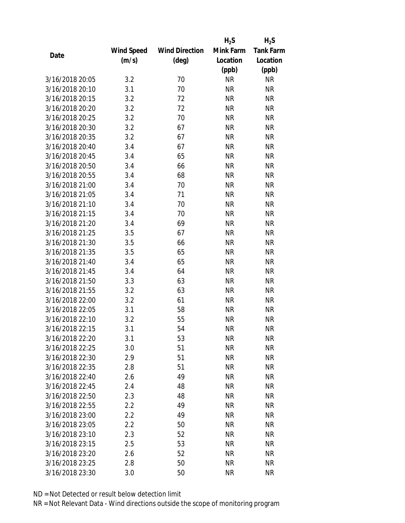|                 |            |                       | $H_2S$    | $H_2S$           |
|-----------------|------------|-----------------------|-----------|------------------|
|                 | Wind Speed | <b>Wind Direction</b> | Mink Farm | <b>Tank Farm</b> |
| Date            | (m/s)      | $(\text{deg})$        | Location  | Location         |
|                 |            |                       | (ppb)     | (ppb)            |
| 3/16/2018 20:05 | 3.2        | 70                    | <b>NR</b> | <b>NR</b>        |
| 3/16/2018 20:10 | 3.1        | 70                    | <b>NR</b> | <b>NR</b>        |
| 3/16/2018 20:15 | 3.2        | 72                    | <b>NR</b> | <b>NR</b>        |
| 3/16/2018 20:20 | 3.2        | 72                    | <b>NR</b> | <b>NR</b>        |
| 3/16/2018 20:25 | 3.2        | 70                    | <b>NR</b> | <b>NR</b>        |
| 3/16/2018 20:30 | 3.2        | 67                    | <b>NR</b> | <b>NR</b>        |
| 3/16/2018 20:35 | 3.2        | 67                    | <b>NR</b> | <b>NR</b>        |
| 3/16/2018 20:40 | 3.4        | 67                    | <b>NR</b> | <b>NR</b>        |
| 3/16/2018 20:45 | 3.4        | 65                    | <b>NR</b> | <b>NR</b>        |
| 3/16/2018 20:50 | 3.4        | 66                    | <b>NR</b> | <b>NR</b>        |
| 3/16/2018 20:55 | 3.4        | 68                    | <b>NR</b> | <b>NR</b>        |
| 3/16/2018 21:00 | 3.4        | 70                    | <b>NR</b> | <b>NR</b>        |
| 3/16/2018 21:05 | 3.4        | 71                    | <b>NR</b> | <b>NR</b>        |
| 3/16/2018 21:10 | 3.4        | 70                    | <b>NR</b> | <b>NR</b>        |
| 3/16/2018 21:15 | 3.4        | 70                    | <b>NR</b> | <b>NR</b>        |
| 3/16/2018 21:20 | 3.4        | 69                    | <b>NR</b> | <b>NR</b>        |
| 3/16/2018 21:25 | 3.5        | 67                    | <b>NR</b> | <b>NR</b>        |
| 3/16/2018 21:30 | 3.5        | 66                    | <b>NR</b> | <b>NR</b>        |
| 3/16/2018 21:35 | 3.5        | 65                    | <b>NR</b> | <b>NR</b>        |
| 3/16/2018 21:40 | 3.4        | 65                    | <b>NR</b> | <b>NR</b>        |
| 3/16/2018 21:45 | 3.4        | 64                    | <b>NR</b> | <b>NR</b>        |
| 3/16/2018 21:50 | 3.3        | 63                    | <b>NR</b> | <b>NR</b>        |
| 3/16/2018 21:55 | 3.2        | 63                    | <b>NR</b> | <b>NR</b>        |
| 3/16/2018 22:00 | 3.2        | 61                    | <b>NR</b> | <b>NR</b>        |
| 3/16/2018 22:05 | 3.1        | 58                    | <b>NR</b> | <b>NR</b>        |
| 3/16/2018 22:10 | 3.2        | 55                    | <b>NR</b> | <b>NR</b>        |
| 3/16/2018 22:15 | 3.1        | 54                    | <b>NR</b> | <b>NR</b>        |
| 3/16/2018 22:20 | 3.1        | 53                    | ΝR        | <b>NR</b>        |
| 3/16/2018 22:25 | 3.0        | 51                    | <b>NR</b> | <b>NR</b>        |
| 3/16/2018 22:30 | 2.9        | 51                    | NR        | <b>NR</b>        |
| 3/16/2018 22:35 | 2.8        | 51                    | <b>NR</b> | <b>NR</b>        |
| 3/16/2018 22:40 | 2.6        | 49                    | <b>NR</b> | <b>NR</b>        |
| 3/16/2018 22:45 | 2.4        | 48                    | ΝR        | <b>NR</b>        |
| 3/16/2018 22:50 | 2.3        | 48                    | <b>NR</b> | <b>NR</b>        |
| 3/16/2018 22:55 | 2.2        | 49                    | NR        | <b>NR</b>        |
| 3/16/2018 23:00 | 2.2        | 49                    | <b>NR</b> | <b>NR</b>        |
| 3/16/2018 23:05 | 2.2        | 50                    | ΝR        | <b>NR</b>        |
| 3/16/2018 23:10 | 2.3        | 52                    | ΝR        | <b>NR</b>        |
| 3/16/2018 23:15 | 2.5        | 53                    | ΝR        | <b>NR</b>        |
| 3/16/2018 23:20 | 2.6        | 52                    | NR        | <b>NR</b>        |
| 3/16/2018 23:25 | 2.8        | 50                    | <b>NR</b> | <b>NR</b>        |
| 3/16/2018 23:30 | 3.0        | 50                    | <b>NR</b> | <b>NR</b>        |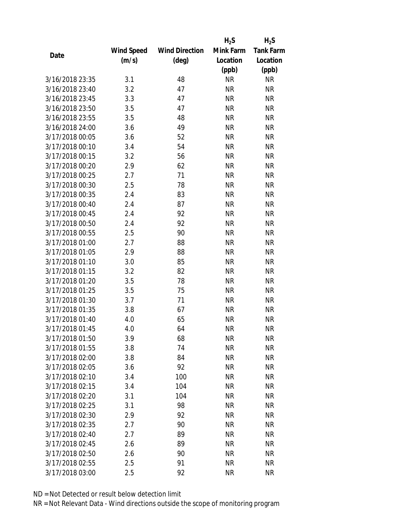|                 |            |                       | $H_2S$    | $H_2S$           |
|-----------------|------------|-----------------------|-----------|------------------|
|                 | Wind Speed | <b>Wind Direction</b> | Mink Farm | <b>Tank Farm</b> |
| Date            | (m/s)      | $(\text{deg})$        | Location  | Location         |
|                 |            |                       | (ppb)     | (ppb)            |
| 3/16/2018 23:35 | 3.1        | 48                    | <b>NR</b> | <b>NR</b>        |
| 3/16/2018 23:40 | 3.2        | 47                    | <b>NR</b> | <b>NR</b>        |
| 3/16/2018 23:45 | 3.3        | 47                    | <b>NR</b> | <b>NR</b>        |
| 3/16/2018 23:50 | 3.5        | 47                    | <b>NR</b> | <b>NR</b>        |
| 3/16/2018 23:55 | 3.5        | 48                    | <b>NR</b> | <b>NR</b>        |
| 3/16/2018 24:00 | 3.6        | 49                    | <b>NR</b> | <b>NR</b>        |
| 3/17/2018 00:05 | 3.6        | 52                    | <b>NR</b> | <b>NR</b>        |
| 3/17/2018 00:10 | 3.4        | 54                    | <b>NR</b> | <b>NR</b>        |
| 3/17/2018 00:15 | 3.2        | 56                    | <b>NR</b> | <b>NR</b>        |
| 3/17/2018 00:20 | 2.9        | 62                    | <b>NR</b> | <b>NR</b>        |
| 3/17/2018 00:25 | 2.7        | 71                    | <b>NR</b> | <b>NR</b>        |
| 3/17/2018 00:30 | 2.5        | 78                    | <b>NR</b> | <b>NR</b>        |
| 3/17/2018 00:35 | 2.4        | 83                    | <b>NR</b> | <b>NR</b>        |
| 3/17/2018 00:40 | 2.4        | 87                    | <b>NR</b> | <b>NR</b>        |
| 3/17/2018 00:45 | 2.4        | 92                    | <b>NR</b> | <b>NR</b>        |
| 3/17/2018 00:50 | 2.4        | 92                    | <b>NR</b> | <b>NR</b>        |
| 3/17/2018 00:55 | 2.5        | 90                    | <b>NR</b> | <b>NR</b>        |
| 3/17/2018 01:00 | 2.7        | 88                    | <b>NR</b> | <b>NR</b>        |
| 3/17/2018 01:05 | 2.9        | 88                    | <b>NR</b> | <b>NR</b>        |
| 3/17/2018 01:10 | 3.0        | 85                    | <b>NR</b> | <b>NR</b>        |
| 3/17/2018 01:15 | 3.2        | 82                    | <b>NR</b> | <b>NR</b>        |
| 3/17/2018 01:20 | 3.5        | 78                    | <b>NR</b> | <b>NR</b>        |
| 3/17/2018 01:25 | 3.5        | 75                    | <b>NR</b> | <b>NR</b>        |
| 3/17/2018 01:30 | 3.7        | 71                    | <b>NR</b> | <b>NR</b>        |
| 3/17/2018 01:35 | 3.8        | 67                    | <b>NR</b> | <b>NR</b>        |
| 3/17/2018 01:40 | 4.0        | 65                    | <b>NR</b> | <b>NR</b>        |
| 3/17/2018 01:45 | 4.0        | 64                    | <b>NR</b> | <b>NR</b>        |
| 3/17/2018 01:50 | 3.9        | 68                    | NR        | <b>NR</b>        |
| 3/17/2018 01:55 | 3.8        | 74                    | <b>NR</b> | <b>NR</b>        |
| 3/17/2018 02:00 | 3.8        | 84                    | NR        | <b>NR</b>        |
| 3/17/2018 02:05 | 3.6        | 92                    | <b>NR</b> | <b>NR</b>        |
| 3/17/2018 02:10 | 3.4        | 100                   | <b>NR</b> | <b>NR</b>        |
| 3/17/2018 02:15 | 3.4        | 104                   | NR        | <b>NR</b>        |
| 3/17/2018 02:20 | 3.1        | 104                   | <b>NR</b> | <b>NR</b>        |
| 3/17/2018 02:25 | 3.1        | 98                    | NR        | <b>NR</b>        |
| 3/17/2018 02:30 | 2.9        | 92                    | <b>NR</b> | <b>NR</b>        |
| 3/17/2018 02:35 | 2.7        | 90                    | NR        | <b>NR</b>        |
| 3/17/2018 02:40 | 2.7        | 89                    | NR        | <b>NR</b>        |
| 3/17/2018 02:45 | 2.6        | 89                    | <b>NR</b> | <b>NR</b>        |
| 3/17/2018 02:50 | 2.6        | 90                    | NR        | <b>NR</b>        |
| 3/17/2018 02:55 | 2.5        | 91                    | <b>NR</b> | <b>NR</b>        |
| 3/17/2018 03:00 | 2.5        | 92                    | <b>NR</b> | <b>NR</b>        |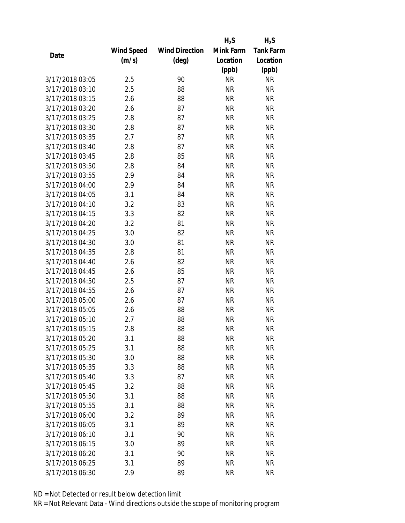|                 |            |                       | $H_2S$    | $H_2S$           |
|-----------------|------------|-----------------------|-----------|------------------|
|                 | Wind Speed | <b>Wind Direction</b> | Mink Farm | <b>Tank Farm</b> |
| Date            | (m/s)      | (deg)                 | Location  | Location         |
|                 |            |                       | (ppb)     | (ppb)            |
| 3/17/2018 03:05 | 2.5        | 90                    | <b>NR</b> | <b>NR</b>        |
| 3/17/2018 03:10 | 2.5        | 88                    | <b>NR</b> | <b>NR</b>        |
| 3/17/2018 03:15 | 2.6        | 88                    | <b>NR</b> | <b>NR</b>        |
| 3/17/2018 03:20 | 2.6        | 87                    | <b>NR</b> | <b>NR</b>        |
| 3/17/2018 03:25 | 2.8        | 87                    | <b>NR</b> | <b>NR</b>        |
| 3/17/2018 03:30 | 2.8        | 87                    | <b>NR</b> | <b>NR</b>        |
| 3/17/2018 03:35 | 2.7        | 87                    | <b>NR</b> | <b>NR</b>        |
| 3/17/2018 03:40 | 2.8        | 87                    | <b>NR</b> | <b>NR</b>        |
| 3/17/2018 03:45 | 2.8        | 85                    | <b>NR</b> | <b>NR</b>        |
| 3/17/2018 03:50 | 2.8        | 84                    | <b>NR</b> | <b>NR</b>        |
| 3/17/2018 03:55 | 2.9        | 84                    | <b>NR</b> | <b>NR</b>        |
| 3/17/2018 04:00 | 2.9        | 84                    | <b>NR</b> | <b>NR</b>        |
| 3/17/2018 04:05 | 3.1        | 84                    | <b>NR</b> | <b>NR</b>        |
| 3/17/2018 04:10 | 3.2        | 83                    | <b>NR</b> | <b>NR</b>        |
| 3/17/2018 04:15 | 3.3        | 82                    | <b>NR</b> | <b>NR</b>        |
| 3/17/2018 04:20 | 3.2        | 81                    | <b>NR</b> | <b>NR</b>        |
| 3/17/2018 04:25 | 3.0        | 82                    | <b>NR</b> | <b>NR</b>        |
| 3/17/2018 04:30 | 3.0        | 81                    | <b>NR</b> | <b>NR</b>        |
| 3/17/2018 04:35 | 2.8        | 81                    | <b>NR</b> | <b>NR</b>        |
| 3/17/2018 04:40 | 2.6        | 82                    | <b>NR</b> | <b>NR</b>        |
| 3/17/2018 04:45 | 2.6        | 85                    | <b>NR</b> | <b>NR</b>        |
| 3/17/2018 04:50 | 2.5        | 87                    | <b>NR</b> | <b>NR</b>        |
| 3/17/2018 04:55 | 2.6        | 87                    | <b>NR</b> | <b>NR</b>        |
| 3/17/2018 05:00 | 2.6        | 87                    | <b>NR</b> | <b>NR</b>        |
| 3/17/2018 05:05 | 2.6        | 88                    | <b>NR</b> | <b>NR</b>        |
| 3/17/2018 05:10 | 2.7        | 88                    | <b>NR</b> | <b>NR</b>        |
| 3/17/2018 05:15 | 2.8        | 88                    | <b>NR</b> | <b>NR</b>        |
| 3/17/2018 05:20 | 3.1        | 88                    | ΝR        | <b>NR</b>        |
| 3/17/2018 05:25 | 3.1        | 88                    | <b>NR</b> | <b>NR</b>        |
| 3/17/2018 05:30 | 3.0        | 88                    | NR        | <b>NR</b>        |
| 3/17/2018 05:35 | 3.3        | 88                    | <b>NR</b> | <b>NR</b>        |
| 3/17/2018 05:40 | 3.3        | 87                    | <b>NR</b> | <b>NR</b>        |
| 3/17/2018 05:45 | 3.2        | 88                    | NR        | <b>NR</b>        |
| 3/17/2018 05:50 | 3.1        | 88                    | <b>NR</b> | <b>NR</b>        |
| 3/17/2018 05:55 | 3.1        | 88                    | NR        | <b>NR</b>        |
| 3/17/2018 06:00 | 3.2        | 89                    | <b>NR</b> | <b>NR</b>        |
| 3/17/2018 06:05 | 3.1        | 89                    | ΝR        | <b>NR</b>        |
| 3/17/2018 06:10 | 3.1        | 90                    | ΝR        | <b>NR</b>        |
| 3/17/2018 06:15 | 3.0        | 89                    | <b>NR</b> | <b>NR</b>        |
| 3/17/2018 06:20 | 3.1        | 90                    | NR        | <b>NR</b>        |
| 3/17/2018 06:25 | 3.1        | 89                    | <b>NR</b> | <b>NR</b>        |
| 3/17/2018 06:30 | 2.9        | 89                    | <b>NR</b> | <b>NR</b>        |
|                 |            |                       |           |                  |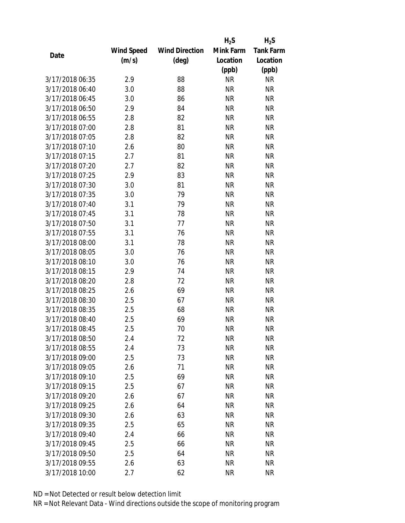|                 |            |                       | $H_2S$    | $H_2S$           |
|-----------------|------------|-----------------------|-----------|------------------|
|                 | Wind Speed | <b>Wind Direction</b> | Mink Farm | <b>Tank Farm</b> |
| Date            | (m/s)      | (deg)                 | Location  | Location         |
|                 |            |                       | (ppb)     | (ppb)            |
| 3/17/2018 06:35 | 2.9        | 88                    | <b>NR</b> | <b>NR</b>        |
| 3/17/2018 06:40 | 3.0        | 88                    | <b>NR</b> | <b>NR</b>        |
| 3/17/2018 06:45 | 3.0        | 86                    | <b>NR</b> | <b>NR</b>        |
| 3/17/2018 06:50 | 2.9        | 84                    | <b>NR</b> | <b>NR</b>        |
| 3/17/2018 06:55 | 2.8        | 82                    | <b>NR</b> | <b>NR</b>        |
| 3/17/2018 07:00 | 2.8        | 81                    | <b>NR</b> | <b>NR</b>        |
| 3/17/2018 07:05 | 2.8        | 82                    | <b>NR</b> | <b>NR</b>        |
| 3/17/2018 07:10 | 2.6        | 80                    | <b>NR</b> | <b>NR</b>        |
| 3/17/2018 07:15 | 2.7        | 81                    | <b>NR</b> | <b>NR</b>        |
| 3/17/2018 07:20 | 2.7        | 82                    | <b>NR</b> | <b>NR</b>        |
| 3/17/2018 07:25 | 2.9        | 83                    | <b>NR</b> | <b>NR</b>        |
| 3/17/2018 07:30 | 3.0        | 81                    | <b>NR</b> | <b>NR</b>        |
| 3/17/2018 07:35 | 3.0        | 79                    | <b>NR</b> | <b>NR</b>        |
| 3/17/2018 07:40 | 3.1        | 79                    | <b>NR</b> | <b>NR</b>        |
| 3/17/2018 07:45 | 3.1        | 78                    | <b>NR</b> | <b>NR</b>        |
| 3/17/2018 07:50 | 3.1        | 77                    | <b>NR</b> | <b>NR</b>        |
| 3/17/2018 07:55 | 3.1        | 76                    | <b>NR</b> | <b>NR</b>        |
| 3/17/2018 08:00 | 3.1        | 78                    | <b>NR</b> | <b>NR</b>        |
| 3/17/2018 08:05 | 3.0        | 76                    | <b>NR</b> | <b>NR</b>        |
| 3/17/2018 08:10 | 3.0        | 76                    | <b>NR</b> | <b>NR</b>        |
| 3/17/2018 08:15 | 2.9        | 74                    | <b>NR</b> | <b>NR</b>        |
| 3/17/2018 08:20 | 2.8        | 72                    | <b>NR</b> | <b>NR</b>        |
| 3/17/2018 08:25 | 2.6        | 69                    | <b>NR</b> | <b>NR</b>        |
| 3/17/2018 08:30 | 2.5        | 67                    | <b>NR</b> | <b>NR</b>        |
| 3/17/2018 08:35 | 2.5        | 68                    | <b>NR</b> | <b>NR</b>        |
| 3/17/2018 08:40 | 2.5        | 69                    | <b>NR</b> | <b>NR</b>        |
| 3/17/2018 08:45 | 2.5        | 70                    | <b>NR</b> | <b>NR</b>        |
| 3/17/2018 08:50 | 2.4        | 72                    | ΝR        | <b>NR</b>        |
| 3/17/2018 08:55 | 2.4        | 73                    | <b>NR</b> | <b>NR</b>        |
| 3/17/2018 09:00 | 2.5        | 73                    | NR        | <b>NR</b>        |
| 3/17/2018 09:05 | 2.6        | 71                    | <b>NR</b> | <b>NR</b>        |
| 3/17/2018 09:10 | 2.5        | 69                    | <b>NR</b> | <b>NR</b>        |
| 3/17/2018 09:15 | 2.5        | 67                    | NR        | <b>NR</b>        |
| 3/17/2018 09:20 | 2.6        | 67                    | <b>NR</b> | <b>NR</b>        |
| 3/17/2018 09:25 | 2.6        | 64                    | NR        | <b>NR</b>        |
| 3/17/2018 09:30 | 2.6        | 63                    | <b>NR</b> | <b>NR</b>        |
| 3/17/2018 09:35 | 2.5        | 65                    | ΝR        | <b>NR</b>        |
| 3/17/2018 09:40 | 2.4        | 66                    | ΝR        | <b>NR</b>        |
| 3/17/2018 09:45 | 2.5        | 66                    | NR        | <b>NR</b>        |
| 3/17/2018 09:50 | 2.5        | 64                    | NR        | <b>NR</b>        |
| 3/17/2018 09:55 | 2.6        | 63                    | <b>NR</b> | <b>NR</b>        |
| 3/17/2018 10:00 | 2.7        | 62                    | <b>NR</b> | <b>NR</b>        |
|                 |            |                       |           |                  |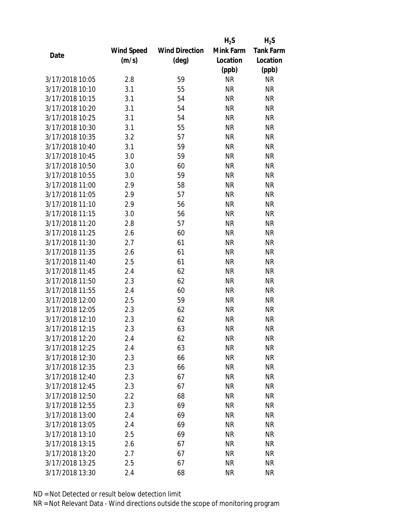|                 |            |                       | $H_2S$    | $H_2S$           |
|-----------------|------------|-----------------------|-----------|------------------|
|                 | Wind Speed | <b>Wind Direction</b> | Mink Farm | <b>Tank Farm</b> |
| Date            | (m/s)      | (deg)                 | Location  | Location         |
|                 |            |                       | (ppb)     | (ppb)            |
| 3/17/2018 10:05 | 2.8        | 59                    | <b>NR</b> | <b>NR</b>        |
| 3/17/2018 10:10 | 3.1        | 55                    | <b>NR</b> | <b>NR</b>        |
| 3/17/2018 10:15 | 3.1        | 54                    | <b>NR</b> | <b>NR</b>        |
| 3/17/2018 10:20 | 3.1        | 54                    | <b>NR</b> | <b>NR</b>        |
| 3/17/2018 10:25 | 3.1        | 54                    | <b>NR</b> | <b>NR</b>        |
| 3/17/2018 10:30 | 3.1        | 55                    | <b>NR</b> | <b>NR</b>        |
| 3/17/2018 10:35 | 3.2        | 57                    | <b>NR</b> | <b>NR</b>        |
| 3/17/2018 10:40 | 3.1        | 59                    | <b>NR</b> | <b>NR</b>        |
| 3/17/2018 10:45 | 3.0        | 59                    | <b>NR</b> | <b>NR</b>        |
| 3/17/2018 10:50 | 3.0        | 60                    | <b>NR</b> | <b>NR</b>        |
| 3/17/2018 10:55 | 3.0        | 59                    | <b>NR</b> | <b>NR</b>        |
| 3/17/2018 11:00 | 2.9        | 58                    | <b>NR</b> | <b>NR</b>        |
| 3/17/2018 11:05 | 2.9        | 57                    | <b>NR</b> | <b>NR</b>        |
| 3/17/2018 11:10 | 2.9        | 56                    | <b>NR</b> | <b>NR</b>        |
| 3/17/2018 11:15 | 3.0        | 56                    | <b>NR</b> | <b>NR</b>        |
| 3/17/2018 11:20 | 2.8        | 57                    | <b>NR</b> | <b>NR</b>        |
| 3/17/2018 11:25 | 2.6        | 60                    | <b>NR</b> | <b>NR</b>        |
| 3/17/2018 11:30 | 2.7        | 61                    | <b>NR</b> | <b>NR</b>        |
| 3/17/2018 11:35 | 2.6        | 61                    | <b>NR</b> | <b>NR</b>        |
| 3/17/2018 11:40 | 2.5        | 61                    | <b>NR</b> | <b>NR</b>        |
| 3/17/2018 11:45 | 2.4        | 62                    | <b>NR</b> | <b>NR</b>        |
| 3/17/2018 11:50 | 2.3        | 62                    | <b>NR</b> | <b>NR</b>        |
| 3/17/2018 11:55 | 2.4        | 60                    | <b>NR</b> | <b>NR</b>        |
| 3/17/2018 12:00 | 2.5        | 59                    | <b>NR</b> | <b>NR</b>        |
| 3/17/2018 12:05 | 2.3        | 62                    | <b>NR</b> | <b>NR</b>        |
| 3/17/2018 12:10 | 2.3        | 62                    | <b>NR</b> | <b>NR</b>        |
| 3/17/2018 12:15 | 2.3        | 63                    | <b>NR</b> | <b>NR</b>        |
| 3/17/2018 12:20 | 2.4        | 62                    | ΝR        | <b>NR</b>        |
| 3/17/2018 12:25 | 2.4        | 63                    | <b>NR</b> | <b>NR</b>        |
| 3/17/2018 12:30 | 2.3        | 66                    | NR        | <b>NR</b>        |
| 3/17/2018 12:35 | 2.3        | 66                    | <b>NR</b> | <b>NR</b>        |
| 3/17/2018 12:40 | 2.3        | 67                    | <b>NR</b> | <b>NR</b>        |
| 3/17/2018 12:45 | 2.3        | 67                    | NR        | <b>NR</b>        |
| 3/17/2018 12:50 | 2.2        | 68                    | <b>NR</b> | <b>NR</b>        |
| 3/17/2018 12:55 | 2.3        | 69                    | NR        | <b>NR</b>        |
| 3/17/2018 13:00 | 2.4        | 69                    | <b>NR</b> | <b>NR</b>        |
| 3/17/2018 13:05 | 2.4        | 69                    | ΝR        | <b>NR</b>        |
| 3/17/2018 13:10 | 2.5        | 69                    | ΝR        | <b>NR</b>        |
| 3/17/2018 13:15 | 2.6        | 67                    | <b>NR</b> | <b>NR</b>        |
| 3/17/2018 13:20 | 2.7        | 67                    | NR        | <b>NR</b>        |
| 3/17/2018 13:25 | 2.5        | 67                    | <b>NR</b> | <b>NR</b>        |
| 3/17/2018 13:30 | 2.4        | 68                    | <b>NR</b> | <b>NR</b>        |
|                 |            |                       |           |                  |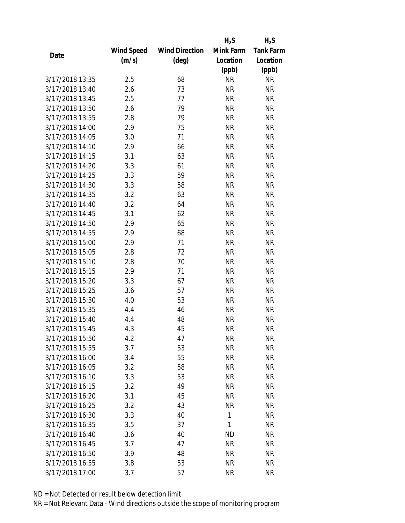|                 |            |                       | $H_2S$    | $H_2S$           |
|-----------------|------------|-----------------------|-----------|------------------|
|                 | Wind Speed | <b>Wind Direction</b> | Mink Farm | <b>Tank Farm</b> |
| Date            | (m/s)      | (deg)                 | Location  | Location         |
|                 |            |                       | (ppb)     | (ppb)            |
| 3/17/2018 13:35 | 2.5        | 68                    | <b>NR</b> | <b>NR</b>        |
| 3/17/2018 13:40 | 2.6        | 73                    | <b>NR</b> | <b>NR</b>        |
| 3/17/2018 13:45 | 2.5        | 77                    | <b>NR</b> | <b>NR</b>        |
| 3/17/2018 13:50 | 2.6        | 79                    | <b>NR</b> | <b>NR</b>        |
| 3/17/2018 13:55 | 2.8        | 79                    | <b>NR</b> | <b>NR</b>        |
| 3/17/2018 14:00 | 2.9        | 75                    | <b>NR</b> | <b>NR</b>        |
| 3/17/2018 14:05 | 3.0        | 71                    | <b>NR</b> | <b>NR</b>        |
| 3/17/2018 14:10 | 2.9        | 66                    | <b>NR</b> | <b>NR</b>        |
| 3/17/2018 14:15 | 3.1        | 63                    | <b>NR</b> | <b>NR</b>        |
| 3/17/2018 14:20 | 3.3        | 61                    | <b>NR</b> | <b>NR</b>        |
| 3/17/2018 14:25 | 3.3        | 59                    | <b>NR</b> | <b>NR</b>        |
| 3/17/2018 14:30 | 3.3        | 58                    | <b>NR</b> | <b>NR</b>        |
| 3/17/2018 14:35 | 3.2        | 63                    | <b>NR</b> | <b>NR</b>        |
| 3/17/2018 14:40 | 3.2        | 64                    | <b>NR</b> | <b>NR</b>        |
| 3/17/2018 14:45 | 3.1        | 62                    | <b>NR</b> | <b>NR</b>        |
| 3/17/2018 14:50 | 2.9        | 65                    | <b>NR</b> | <b>NR</b>        |
| 3/17/2018 14:55 | 2.9        | 68                    | <b>NR</b> | <b>NR</b>        |
| 3/17/2018 15:00 | 2.9        | 71                    | <b>NR</b> | <b>NR</b>        |
| 3/17/2018 15:05 | 2.8        | 72                    | <b>NR</b> | <b>NR</b>        |
| 3/17/2018 15:10 | 2.8        | 70                    | <b>NR</b> | <b>NR</b>        |
| 3/17/2018 15:15 | 2.9        | 71                    | <b>NR</b> | <b>NR</b>        |
| 3/17/2018 15:20 | 3.3        | 67                    | <b>NR</b> | <b>NR</b>        |
| 3/17/2018 15:25 | 3.6        | 57                    | <b>NR</b> | <b>NR</b>        |
| 3/17/2018 15:30 | 4.0        | 53                    | <b>NR</b> | <b>NR</b>        |
| 3/17/2018 15:35 | 4.4        | 46                    | <b>NR</b> | <b>NR</b>        |
| 3/17/2018 15:40 | 4.4        | 48                    | <b>NR</b> | <b>NR</b>        |
| 3/17/2018 15:45 | 4.3        | 45                    | <b>NR</b> | <b>NR</b>        |
| 3/17/2018 15:50 | 4.2        | 47                    | ΝR        | <b>NR</b>        |
| 3/17/2018 15:55 | 3.7        | 53                    | <b>NR</b> | <b>NR</b>        |
| 3/17/2018 16:00 | 3.4        | 55                    | NR        | <b>NR</b>        |
| 3/17/2018 16:05 | 3.2        | 58                    | <b>NR</b> | <b>NR</b>        |
| 3/17/2018 16:10 | 3.3        | 53                    | <b>NR</b> | <b>NR</b>        |
| 3/17/2018 16:15 | 3.2        | 49                    | NR        | <b>NR</b>        |
| 3/17/2018 16:20 | 3.1        | 45                    | <b>NR</b> | <b>NR</b>        |
| 3/17/2018 16:25 | 3.2        | 43                    | <b>NR</b> | <b>NR</b>        |
| 3/17/2018 16:30 | 3.3        | 40                    | 1         | <b>NR</b>        |
| 3/17/2018 16:35 | 3.5        | 37                    | 1         | <b>NR</b>        |
| 3/17/2018 16:40 | 3.6        | 40                    | <b>ND</b> | <b>NR</b>        |
| 3/17/2018 16:45 | 3.7        | 47                    | <b>NR</b> | <b>NR</b>        |
| 3/17/2018 16:50 | 3.9        | 48                    | NR        | <b>NR</b>        |
| 3/17/2018 16:55 | 3.8        | 53                    | <b>NR</b> | <b>NR</b>        |
| 3/17/2018 17:00 | 3.7        | 57                    | <b>NR</b> | <b>NR</b>        |
|                 |            |                       |           |                  |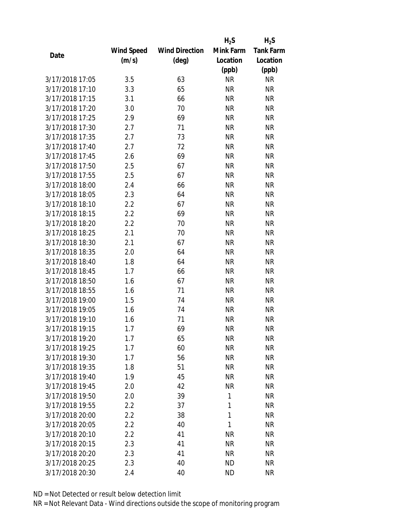|                 |            |                       | $H_2S$    | $H_2S$           |
|-----------------|------------|-----------------------|-----------|------------------|
|                 | Wind Speed | <b>Wind Direction</b> | Mink Farm | <b>Tank Farm</b> |
| Date            | (m/s)      | $(\text{deg})$        | Location  | Location         |
|                 |            |                       | (ppb)     | (ppb)            |
| 3/17/2018 17:05 | 3.5        | 63                    | <b>NR</b> | <b>NR</b>        |
| 3/17/2018 17:10 | 3.3        | 65                    | <b>NR</b> | <b>NR</b>        |
| 3/17/2018 17:15 | 3.1        | 66                    | <b>NR</b> | <b>NR</b>        |
| 3/17/2018 17:20 | 3.0        | 70                    | <b>NR</b> | <b>NR</b>        |
| 3/17/2018 17:25 | 2.9        | 69                    | <b>NR</b> | <b>NR</b>        |
| 3/17/2018 17:30 | 2.7        | 71                    | <b>NR</b> | <b>NR</b>        |
| 3/17/2018 17:35 | 2.7        | 73                    | <b>NR</b> | <b>NR</b>        |
| 3/17/2018 17:40 | 2.7        | 72                    | <b>NR</b> | <b>NR</b>        |
| 3/17/2018 17:45 | 2.6        | 69                    | <b>NR</b> | <b>NR</b>        |
| 3/17/2018 17:50 | 2.5        | 67                    | <b>NR</b> | <b>NR</b>        |
| 3/17/2018 17:55 | 2.5        | 67                    | <b>NR</b> | <b>NR</b>        |
| 3/17/2018 18:00 | 2.4        | 66                    | <b>NR</b> | <b>NR</b>        |
| 3/17/2018 18:05 | 2.3        | 64                    | <b>NR</b> | <b>NR</b>        |
| 3/17/2018 18:10 | 2.2        | 67                    | <b>NR</b> | <b>NR</b>        |
| 3/17/2018 18:15 | 2.2        | 69                    | <b>NR</b> | <b>NR</b>        |
| 3/17/2018 18:20 | 2.2        | 70                    | <b>NR</b> | <b>NR</b>        |
| 3/17/2018 18:25 | 2.1        | 70                    | <b>NR</b> | <b>NR</b>        |
| 3/17/2018 18:30 | 2.1        | 67                    | <b>NR</b> | <b>NR</b>        |
| 3/17/2018 18:35 | 2.0        | 64                    | <b>NR</b> | <b>NR</b>        |
| 3/17/2018 18:40 | 1.8        | 64                    | <b>NR</b> | <b>NR</b>        |
| 3/17/2018 18:45 | 1.7        | 66                    | <b>NR</b> | <b>NR</b>        |
| 3/17/2018 18:50 | 1.6        | 67                    | <b>NR</b> | <b>NR</b>        |
| 3/17/2018 18:55 | 1.6        | 71                    | <b>NR</b> | <b>NR</b>        |
| 3/17/2018 19:00 | 1.5        | 74                    | <b>NR</b> | <b>NR</b>        |
| 3/17/2018 19:05 | 1.6        | 74                    | <b>NR</b> | <b>NR</b>        |
| 3/17/2018 19:10 | 1.6        | 71                    | <b>NR</b> | <b>NR</b>        |
| 3/17/2018 19:15 | 1.7        | 69                    | <b>NR</b> | <b>NR</b>        |
| 3/17/2018 19:20 | 1.7        | 65                    | ΝR        | <b>NR</b>        |
| 3/17/2018 19:25 | 1.7        | 60                    | <b>NR</b> | <b>NR</b>        |
| 3/17/2018 19:30 | 1.7        | 56                    | NR        | <b>NR</b>        |
| 3/17/2018 19:35 | 1.8        | 51                    | <b>NR</b> | <b>NR</b>        |
| 3/17/2018 19:40 | 1.9        | 45                    | <b>NR</b> | <b>NR</b>        |
| 3/17/2018 19:45 | 2.0        | 42                    | <b>NR</b> | <b>NR</b>        |
| 3/17/2018 19:50 | 2.0        | 39                    | 1         | <b>NR</b>        |
| 3/17/2018 19:55 | 2.2        | 37                    | 1         | <b>NR</b>        |
| 3/17/2018 20:00 | 2.2        | 38                    | 1         | <b>NR</b>        |
| 3/17/2018 20:05 | 2.2        | 40                    | 1         | <b>NR</b>        |
| 3/17/2018 20:10 | 2.2        | 41                    | <b>NR</b> | <b>NR</b>        |
| 3/17/2018 20:15 | 2.3        | 41                    | <b>NR</b> | <b>NR</b>        |
| 3/17/2018 20:20 | 2.3        | 41                    | NR        | <b>NR</b>        |
| 3/17/2018 20:25 | 2.3        | 40                    | <b>ND</b> | <b>NR</b>        |
| 3/17/2018 20:30 | 2.4        | 40                    | <b>ND</b> | <b>NR</b>        |
|                 |            |                       |           |                  |